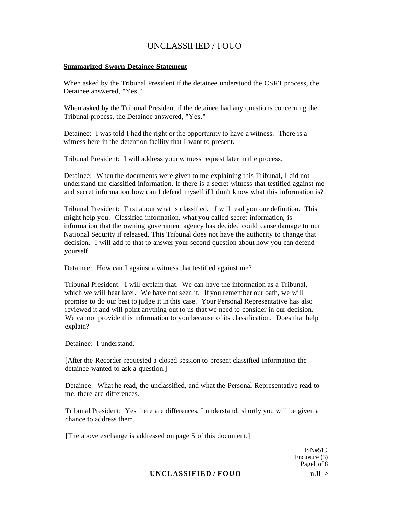#### **Summarized Sworn Detainee Statement**

When asked by the Tribunal President if the detainee understood the CSRT process, the Detainee answered, "Yes."

When asked by the Tribunal President if the detainee had any questions concerning the Tribunal process, the Detainee answered, "Yes."

Detainee: I was told I had the right or the opportunity to have a witness. There is a witness here in the detention facility that I want to present.

Tribunal President: I will address your witness request later in the process.

Detainee: When the documents were given to me explaining this Tribunal, I did not understand the classified information. If there is a secret witness that testified against me and secret information how can I defend myself if I don't know what this information is?

Tribunal President: First about what is classified. I will read you our definition. This might help you. Classified information, what you called secret information, is information that the owning government agency has decided could cause damage to our National Security if released. This Tribunal does not have the authority to change that decision. I will add to that to answer your second question about how you can defend yourself.

Detainee: How can I against a witness that testified against me?

Tribunal President: I will explain that. We can have the information as a Tribunal, which we will hear later. We have not seen it. If you remember our oath, we will promise to do our best to judge it in this case. Your Personal Representative has also reviewed it and will point anything out to us that we need to consider in our decision. We cannot provide this information to you because of its classification. Does that help explain?

Detainee: I understand.

[After the Recorder requested a closed session to present classified information the detainee wanted to ask a question.]

Detainee: What he read, the unclassified, and what the Personal Representative read to me, there are differences.

Tribunal President: Yes there are differences, I understand, shortly you will be given a chance to address them.

[The above exchange is addressed on page 5 of this document.]

ISN#519 Enclosure (3) Pagel of 8

#### UNCLASSIFIED / FOUO nJl->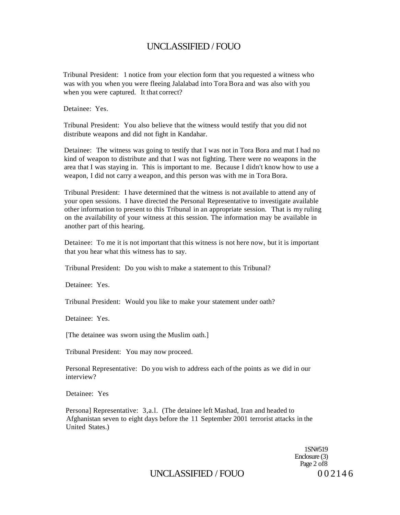Tribunal President: 1 notice from your election form that you requested a witness who was with you when you were fleeing Jalalabad into Tora Bora and was also with you when you were captured. It that correct?

Detainee: Yes.

Tribunal President: You also believe that the witness would testify that you did not distribute weapons and did not fight in Kandahar.

Detainee: The witness was going to testify that I was not in Tora Bora and mat I had no kind of weapon to distribute and that I was not fighting. There were no weapons in the area that I was staying in. This is important to me. Because I didn't know how to use a weapon, I did not carry a weapon, and this person was with me in Tora Bora.

Tribunal President: I have determined that the witness is not available to attend any of your open sessions. I have directed the Personal Representative to investigate available other information to present to this Tribunal in an appropriate session. That is my ruling on the availability of your witness at this session. The information may be available in another part of this hearing.

Detainee: To me it is not important that this witness is not here now, but it is important that you hear what this witness has to say.

Tribunal President: Do you wish to make a statement to this Tribunal?

Detainee: Yes.

Tribunal President: Would you like to make your statement under oath?

Detainee: Yes.

[The detainee was sworn using the Muslim oath.]

Tribunal President: You may now proceed.

Personal Representative: Do you wish to address each of the points as we did in our interview?

Detainee: Yes

Persona] Representative: 3,a.l. (The detainee left Mashad, Iran and headed to Afghanistan seven to eight days before the 11 September 2001 terrorist attacks in the United States.)

> 1SN#519 Enclosure (3) Page 2 of 8

UNCLASSIFIED / FOUO 0 0 2 1 4 6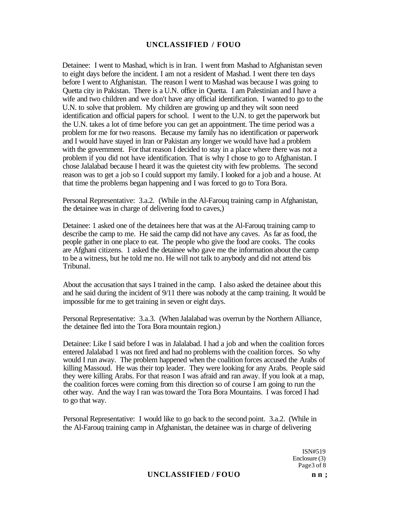Detainee: I went to Mashad, which is in Iran. I went from Mashad to Afghanistan seven to eight days before the incident. I am not a resident of Mashad. I went there ten days before I went to Afghanistan. The reason I went to Mashad was because I was going to Quetta city in Pakistan. There is a U.N. office in Quetta. I am Palestinian and I have a wife and two children and we don't have any official identification. I wanted to go to the U.N. to solve that problem. My children are growing up and they wilt soon need identification and official papers for school. I went to the U.N. to get the paperwork but the U.N. takes a lot of time before you can get an appointment. The time period was a problem for me for two reasons. Because my family has no identification or paperwork and I would have stayed in Iran or Pakistan any longer we would have had a problem with the government. For that reason I decided to stay in a place where there was not a problem if you did not have identification. That is why I chose to go to Afghanistan. I chose Jalalabad because I heard it was the quietest city with few problems. The second reason was to get a job so I could support my family. I looked for a job and a house. At that time the problems began happening and I was forced to go to Tora Bora.

Personal Representative: 3.a.2. (While in the Al-Farouq training camp in Afghanistan, the detainee was in charge of delivering food to caves,)

Detainee: 1 asked one of the detainees here that was at the Al-Farouq training camp to describe the camp to me. He said the camp did not have any caves. As far as food, the people gather in one place to eat. The people who give the food are cooks. The cooks are Afghani citizens. 1 asked the detainee who gave me the information about the camp to be a witness, but he told me no. He will not talk to anybody and did not attend bis Tribunal.

About the accusation that says I trained in the camp. I also asked the detainee about this and he said during the incident of 9/11 there was nobody at the camp training. It would be impossible for me to get training in seven or eight days.

Personal Representative: 3.a.3. (When Jalalabad was overrun by the Northern Alliance, the detainee fled into the Tora Bora mountain region.)

Detainee: Like I said before I was in Jalalabad. I had a job and when the coalition forces entered Jalalabad 1 was not fired and had no problems with the coalition forces. So why would I run away. The problem happened when the coalition forces accused the Arabs of killing Massoud. He was their top leader. They were looking for any Arabs. People said they were killing Arabs. For that reason I was afraid and ran away. If you look at a map, the coalition forces were coming from this direction so of course I am going to run the other way. And the way I ran was toward the Tora Bora Mountains. I was forced I had to go that way.

Personal Representative: I would like to go back to the second point. 3.a.2. (While in the Al-Farouq training camp in Afghanistan, the detainee was in charge of delivering

> ISN#519 Enclosure (3) Page3 of 8

#### UNCLASSIFIED / FOUO n n;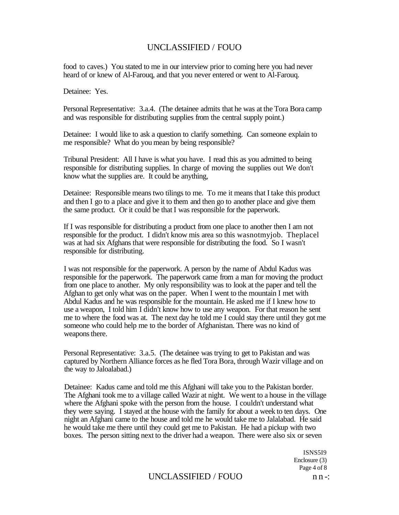food to caves.) You stated to me in our interview prior to coming here you had never heard of or knew of Al-Farouq, and that you never entered or went to Al-Farouq.

Detainee: Yes.

Personal Representative: 3.a.4. (The detainee admits that he was at the Tora Bora camp and was responsible for distributing supplies from the central supply point.)

Detainee: I would like to ask a question to clarify something. Can someone explain to me responsible? What do you mean by being responsible?

Tribunal President: All I have is what you have. I read this as you admitted to being responsible for distributing supplies. In charge of moving the supplies out We don't know what the supplies are. It could be anything,

Detainee: Responsible means two tilings to me. To me it means that I take this product and then I go to a place and give it to them and then go to another place and give them the same product. Or it could be that I was responsible for the paperwork.

If I was responsible for distributing a product from one place to another then I am not responsible for the product. I didn't know mis area so this wasnotmyjob. Theplacel was at had six Afghans that were responsible for distributing the food. So I wasn't responsible for distributing.

I was not responsible for the paperwork. A person by the name of Abdul Kadus was responsible for the paperwork. The paperwork came from a man for moving the product from one place to another. My only responsibility was to look at the paper and tell the Afghan to get only what was on the paper. When I went to the mountain I met with Abdul Kadus and he was responsible for the mountain. He asked me if I knew how to use a weapon, I told him I didn't know how to use any weapon. For that reason he sent me to where the food was at. The next day he told me I could stay there until they got me someone who could help me to the border of Afghanistan. There was no kind of weapons there.

Personal Representative: 3.a.5. (The detainee was trying to get to Pakistan and was captured by Northern Alliance forces as he fled Tora Bora, through Wazir village and on the way to Jaloalabad.)

Detainee: Kadus came and told me this Afghani will take you to the Pakistan border. The Afghani took me to a village called Wazir at night. We went to a house in the village where the Afghani spoke with the person from the house. I couldn't understand what they were saying. I stayed at the house with the family for about a week to ten days. One night an Afghani came to the house and told me he would take me to Jalalabad. He said he would take me there until they could get me to Pakistan. He had a pickup with two boxes. The person sitting next to the driver had a weapon. There were also six or seven

> ISNS5I9 Enclosure (3) Page 4 of 8

# UNCLASSIFIED / FOUO n n -: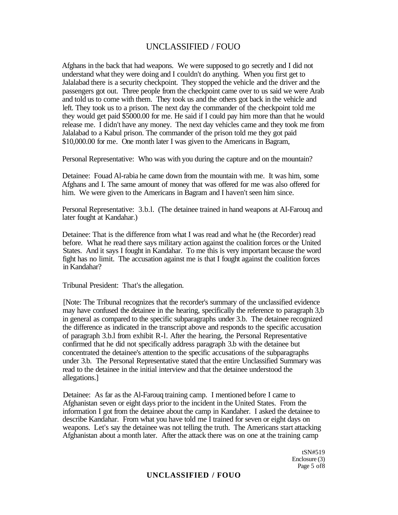Afghans in the back that had weapons. We were supposed to go secretly and I did not understand what they were doing and I couldn't do anything. When you first get to Jalalabad there is a security checkpoint. They stopped the vehicle and the driver and the passengers got out. Three people from the checkpoint came over to us said we were Arab and told us to come with them. They took us and the others got back in the vehicle and left. They took us to a prison. The next day the commander of the checkpoint told me they would get paid \$5000.00 for me. He said if I could pay him more than that he would release me. I didn't have any money. The next day vehicles came and they took me from Jalalabad to a Kabul prison. The commander of the prison told me they got paid \$10,000.00 for me. One month later I was given to the Americans in Bagram,

Personal Representative: Who was with you during the capture and on the mountain?

Detainee: Fouad Al-rabia he came down from the mountain with me. It was him, some Afghans and I. The same amount of money that was offered for me was also offered for him. We were given to the Americans in Bagram and I haven't seen him since.

Personal Representative: 3.b.l. (The detainee trained in hand weapons at AI-Farouq and later fought at Kandahar.)

Detainee: That is the difference from what I was read and what he (the Recorder) read before. What he read there says military action against the coalition forces or the United States. And it says I fought in Kandahar. To me this is very important because the word fight has no limit. The accusation against me is that I fought against the coalition forces in Kandahar?

Tribunal President: That's the allegation.

[Note: The Tribunal recognizes that the recorder's summary of the unclassified evidence may have confused the detainee in the hearing, specifically the reference to paragraph 3,b in general as compared to the specific subparagraphs under 3.b. The detainee recognized the difference as indicated in the transcript above and responds to the specific accusation of paragraph 3.b.l from exhibit R-l. After the hearing, the Personal Representative confirmed that he did not specifically address paragraph 3.b with the detainee but concentrated the detainee's attention to the specific accusations of the subparagraphs under 3.b. The Personal Representative stated that the entire Unclassified Summary was read to the detainee in the initial interview and that the detainee understood the allegations.]

Detainee: As far as the Al-Farouq training camp. I mentioned before I came to Afghanistan seven or eight days prior to the incident in the United States. From the information I got from the detainee about the camp in Kandaher. I asked the detainee to describe Kandahar. From what you have told me I trained for seven or eight days on weapons. Let's say the detainee was not telling the truth. The Americans start attacking Afghanistan about a month later. After the attack there was on one at the training camp

> tSN#519 Enclosure (3) Page 5 of8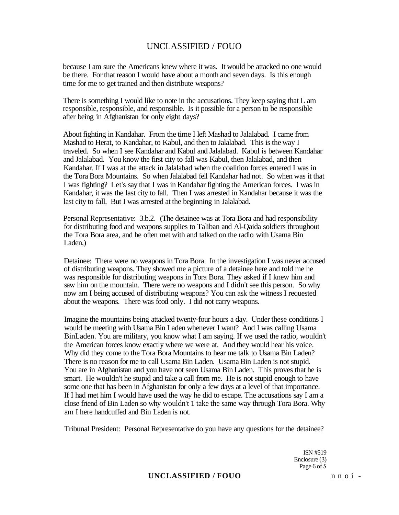because I am sure the Americans knew where it was. It would be attacked no one would be there. For that reason I would have about a month and seven days. Is this enough time for me to get trained and then distribute weapons?

There is something I would like to note in the accusations. They keep saying that L am responsible, responsible, and responsible. Is it possible for a person to be responsible after being in Afghanistan for only eight days?

About fighting in Kandahar. From the time I left Mashad to Jalalabad. I came from Mashad to Herat, to Kandahar, to Kabul, and then to Jalalabad. This is the way I traveled. So when I see Kandahar and Kabul and Jalalabad. Kabul is between Kandahar and Jalalabad. You know the first city to fall was Kabul, then Jalalabad, and then Kandahar. If I was at the attack in Jalalabad when the coalition forces entered I was in the Tora Bora Mountains. So when Jalalabad fell Kandahar had not. So when was it that I was fighting? Let's say that I was in Kandahar fighting the American forces. I was in Kandahar, it was the last city to fall. Then I was arrested in Kandahar because it was the last city to fall. But I was arrested at the beginning in Jalalabad.

Personal Representative: 3.b.2. (The detainee was at Tora Bora and had responsibility for distributing food and weapons supplies to Taliban and Al-Qaida soldiers throughout the Tora Bora area, and he often met with and talked on the radio with Usama Bin Laden,)

Detainee: There were no weapons in Tora Bora. In the investigation I was never accused of distributing weapons. They showed me a picture of a detainee here and told me he was responsible for distributing weapons in Tora Bora. They asked if I knew him and saw him on the mountain. There were no weapons and I didn't see this person. So why now am I being accused of distributing weapons? You can ask the witness I requested about the weapons. There was food only. I did not carry weapons.

Imagine the mountains being attacked twenty-four hours a day. Under these conditions I would be meeting with Usama Bin Laden whenever I want? And I was calling Usama BinLaden. You are military, you know what I am saying. If we used the radio, wouldn't the American forces know exactly where we were at. And they would hear his voice. Why did they come to the Tora Bora Mountains to hear me talk to Usama Bin Laden? There is no reason for me to call Usama Bin Laden. Usama Bin Laden is not stupid. You are in Afghanistan and you have not seen Usama Bin Laden. This proves that he is smart. He wouldn't he stupid and take a call from me. He is not stupid enough to have some one that has been in Afghanistan for only a few days at a level of that importance. If I had met him I would have used the way he did to escape. The accusations say I am a close friend of Bin Laden so why wouldn't 1 take the same way through Tora Bora. Why am I here handcuffed and Bin Laden is not.

Tribunal President: Personal Representative do you have any questions for the detainee?

ISN #519 Enclosure (3) Page 6 of *S* 

### **UNCLASSIFIED / FOUO** n n o i -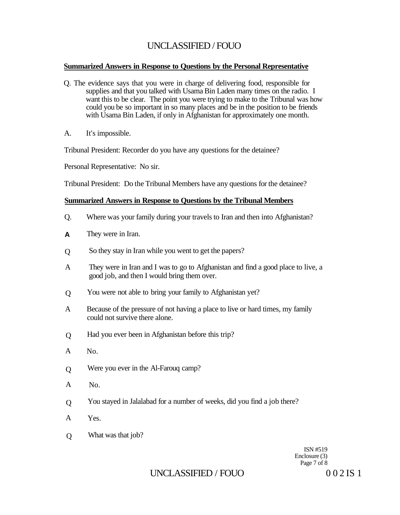### **Summarized Answers in Response to Questions by the Personal Representative**

- Q. The evidence says that you were in charge of delivering food, responsible for supplies and that you talked with Usama Bin Laden many times on the radio. I want this to be clear. The point you were trying to make to the Tribunal was how could you be so important in so many places and be in the position to be friends with Usama Bin Laden, if only in Afghanistan for approximately one month.
- A. It's impossible.

Tribunal President: Recorder do you have any questions for the detainee?

Personal Representative: No sir.

Tribunal President: Do the Tribunal Members have any questions for the detainee?

### **Summarized Answers in Response to Questions by the Tribunal Members**

- Q. Where was your family during your travels to Iran and then into Afghanistan?
- They were in Iran. **A**
- So they stay in Iran while you went to get the papers?  $\overline{O}$
- A They were in Iran and I was to go to Afghanistan and find a good place to live, a good job, and then I would bring them over.
- $\Omega$ You were not able to bring your family to Afghanistan yet?
- A Because of the pressure of not having a place to live or hard times, my family could not survive there alone.
- $\overline{O}$ Had you ever been in Afghanistan before this trip?
- A No.
- Q Were you ever in the Al-Farouq camp?
- A No.
- $\Omega$ You stayed in Jalalabad for a number of weeks, did you find a job there?
- A Yes.
- Q What was that job?

ISN #519 Enclosure (3) Page 7 of 8

# UNCLASSIFIED / FOUO 0 0 2 IS 1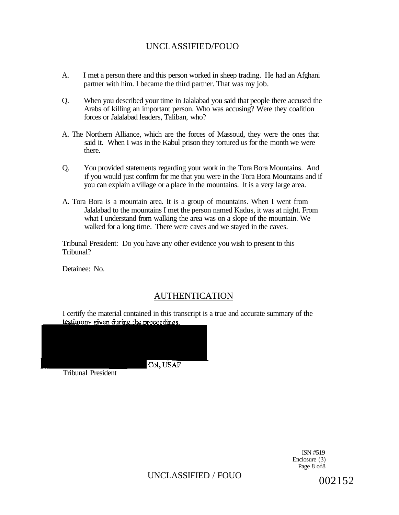- A. I met a person there and this person worked in sheep trading. He had an Afghani partner with him. I became the third partner. That was my job.
- Q. When you described your time in Jalalabad you said that people there accused the Arabs of killing an important person. Who was accusing? Were they coalition forces or Jalalabad leaders, Taliban, who?
- A. The Northern Alliance, which are the forces of Massoud, they were the ones that said it. When I was in the Kabul prison they tortured us for the month we were there.
- Q. You provided statements regarding your work in the Tora Bora Mountains. And if you would just confirm for me that you were in the Tora Bora Mountains and if you can explain a village or a place in the mountains. It is a very large area.
- A. Tora Bora is a mountain area. It is a group of mountains. When I went from Jalalabad to the mountains I met the person named Kadus, it was at night. From what I understand from walking the area was on a slope of the mountain. We walked for a long time. There were caves and we stayed in the caves.

Tribunal President: Do you have any other evidence you wish to present to this Tribunal?

Detainee: No.

# AUTHENTICATION

I certify the material contained in this transcript is a true and accurate summary of the testimony given during the proceedings.



ISN #519 Enclosure (3) Page 8 of8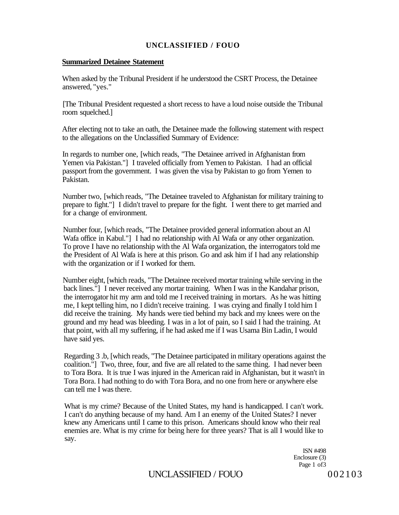#### **Summarized Detainee Statement**

When asked by the Tribunal President if he understood the CSRT Process, the Detainee answered, "yes."

[The Tribunal President requested a short recess to have a loud noise outside the Tribunal room squelched.]

After electing not to take an oath, the Detainee made the following statement with respect to the allegations on the Unclassified Summary of Evidence:

In regards to number one, [which reads, "The Detainee arrived in Afghanistan from Yemen via Pakistan."] I traveled officially from Yemen to Pakistan. I had an official passport from the government. I was given the visa by Pakistan to go from Yemen to Pakistan.

Number two, [which reads, "The Detainee traveled to Afghanistan for military training to prepare to fight."] I didn't travel to prepare for the fight. I went there to get married and for a change of environment.

Number four, [which reads, "The Detainee provided general information about an Al Wafa office in Kabul."] I had no relationship with Al Wafa or any other organization. To prove I have no relationship with the Al Wafa organization, the interrogators told me the President of Al Wafa is here at this prison. Go and ask him if I had any relationship with the organization or if I worked for them.

Number eight, [which reads, "The Detainee received mortar training while serving in the back lines."] I never received any mortar training. When I was in the Kandahar prison, the interrogator hit my arm and told me I received training in mortars. As he was hitting me, I kept telling him, no I didn't receive training. I was crying and finally I told him I did receive the training. My hands were tied behind my back and my knees were on the ground and my head was bleeding. I was in a lot of pain, so I said I had the training. At that point, with all my suffering, if he had asked me if I was Usama Bin Ladin, I would have said yes.

Regarding 3 .b, [which reads, "The Detainee participated in military operations against the coalition."] Two, three, four, and five are all related to the same thing. I had never been to Tora Bora. It is true I was injured in the American raid in Afghanistan, but it wasn't in Tora Bora. I had nothing to do with Tora Bora, and no one from here or anywhere else can tell me I was there.

What is my crime? Because of the United States, my hand is handicapped. I can't work. I can't do anything because of my hand. Am I an enemy of the United States? I never knew any Americans until I came to this prison. Americans should know who their real enemies are. What is my crime for being here for three years? That is all I would like to say.

> ISN #498 Enclosure (3) Page 1 of 3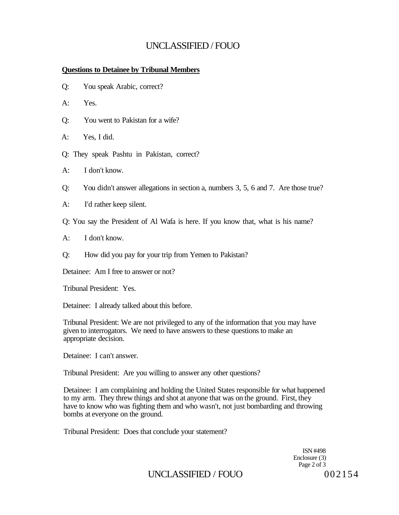### **Questions to Detainee by Tribunal Members**

- Q: You speak Arabic, correct?
- A: Yes.
- Q: You went to Pakistan for a wife?
- A: Yes, I did.
- Q: They speak Pashtu in Pakistan, correct?
- A: I don't know.
- Q: You didn't answer allegations in section a, numbers 3, 5, 6 and 7. Are those true?
- A: I'd rather keep silent.
- Q: You say the President of Al Wafa is here. If you know that, what is his name?
- A: I don't know.
- Q: How did you pay for your trip from Yemen to Pakistan?

Detainee: Am I free to answer or not?

Tribunal President: Yes.

Detainee: I already talked about this before.

Tribunal President: We are not privileged to any of the information that you may have given to interrogators. We need to have answers to these questions to make an appropriate decision.

Detainee: I can't answer.

Tribunal President: Are you willing to answer any other questions?

Detainee: I am complaining and holding the United States responsible for what happened to my arm. They threw things and shot at anyone that was on the ground. First, they have to know who was fighting them and who wasn't, not just bombarding and throwing bombs at everyone on the ground.

Tribunal President: Does that conclude your statement?

ISN #498 Enclosure (3) Page 2 of 3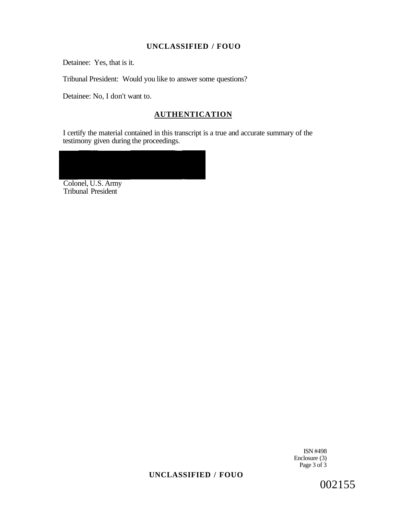Detainee: Yes, that is it.

Tribunal President: Would you like to answer some questions?

Detainee: No, I don't want to.

## **AUTHENTICATION**

I certify the material contained in this transcript is a true and accurate summary of the testimony given during the proceedings.

Colonel, U.S. Army Tribunal President

> ISN #498 Enclosure (3) Page 3 of 3

# **UNCLASSIFIED / FOUO**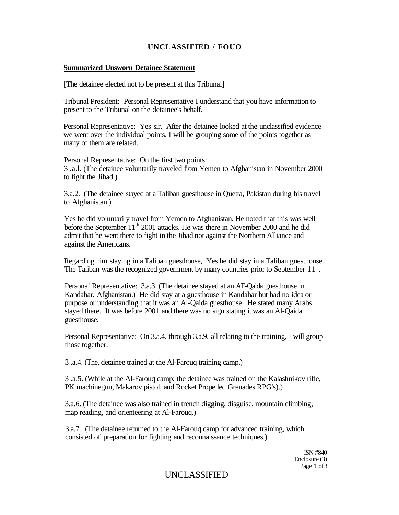#### **Summarized Unsworn Detainee Statement**

[The detainee elected not to be present at this Tribunal]

Tribunal President: Personal Representative I understand that you have information to present to the Tribunal on the detainee's behalf.

Personal Representative: Yes sir. After the detainee looked at the unclassified evidence we went over the individual points. I will be grouping some of the points together as many of them are related.

Personal Representative: On the first two points: 3 .a.l. (The detainee voluntarily traveled from Yemen to Afghanistan in November 2000 to fight the Jihad.)

3.a.2. (The detainee stayed at a Taliban guesthouse in Quetta, Pakistan during his travel to Afghanistan.)

Yes he did voluntarily travel from Yemen to Afghanistan. He noted that this was well before the September 11<sup>th</sup> 2001 attacks. He was there in November 2000 and he did admit that he went there to fight in the Jihad not against the Northern Alliance and against the Americans.

Regarding him staying in a Taliban guesthouse, Yes he did stay in a Taliban guesthouse. The Taliban was the recognized government by many countries prior to September  $11<sup>1</sup>$ .

Persona! Representative: 3.a.3 (The detainee stayed at an AE-Qaida guesthouse in Kandahar, Afghanistan.) He did stay at a guesthouse in Kandahar but had no idea or purpose or understanding that it was an Al-Qaida guesthouse. He stated many Arabs stayed there. It was before 2001 and there was no sign stating it was an Al-Qaida guesthouse.

Personal Representative: On 3.a.4. through 3.a.9. all relating to the training, I will group those together:

3 .a.4. (The, detainee trained at the Al-Farouq training camp.)

3 .a.5. (While at the Al-Farouq camp; the detainee was trained on the Kalashnikov rifle, PK machinegun, Makarov pistol, and Rocket Propelled Grenades RPG's).)

3.a.6. (The detainee was also trained in trench digging, disguise, mountain climbing, map reading, and orienteering at Al-Farouq.)

3.a.7. (The detainee returned to the Al-Farouq camp for advanced training, which consisted of preparation for fighting and reconnaissance techniques.)

> ISN #840 Enclosure (3) Page 1 of 3

## UNCLASSIFIED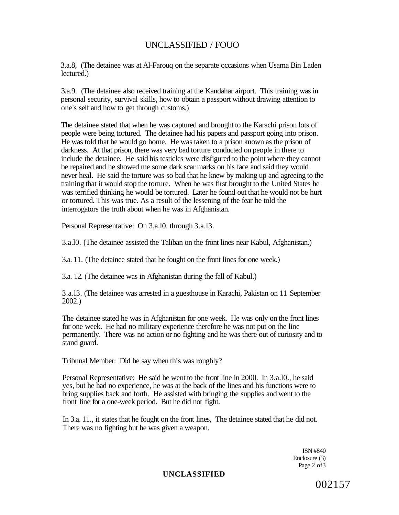3.a.8, (The detainee was at Al-Farouq on the separate occasions when Usama Bin Laden lectured.)

3.a.9. (The detainee also received training at the Kandahar airport. This training was in personal security, survival skills, how to obtain a passport without drawing attention to one's self and how to get through customs.)

The detainee stated that when he was captured and brought to the Karachi prison lots of people were being tortured. The detainee had his papers and passport going into prison. He was told that he would go home. He was taken to a prison known as the prison of darkness. At that prison, there was very bad torture conducted on people in there to include the detainee. He said his testicles were disfigured to the point where they cannot be repaired and he showed me some dark scar marks on his face and said they would never heal. He said the torture was so bad that he knew by making up and agreeing to the training that it would stop the torture. When he was first brought to the United States he was terrified thinking he would be tortured. Later he found out that he would not be hurt or tortured. This was true. As a result of the lessening of the fear he told the interrogators the truth about when he was in Afghanistan.

Personal Representative: On 3,a.l0. through 3.a.l3.

3.a.l0. (The detainee assisted the Taliban on the front lines near Kabul, Afghanistan.)

3.a. 11. (The detainee stated that he fought on the front lines for one week.)

3.a. 12. (The detainee was in Afghanistan during the fall of Kabul.)

3.a.l3. (The detainee was arrested in a guesthouse in Karachi, Pakistan on 11 September 2002.)

The detainee stated he was in Afghanistan for one week. He was only on the front lines for one week. He had no military experience therefore he was not put on the line permanently. There was no action or no fighting and he was there out of curiosity and to stand guard.

Tribunal Member: Did he say when this was roughly?

Personal Representative: He said he went to the front line in 2000. In 3.a.l0., he said yes, but he had no experience, he was at the back of the lines and his functions were to bring supplies back and forth. He assisted with bringing the supplies and went to the front line for a one-week period. But he did not fight.

In 3.a. 11., it states that he fought on the front lines, The detainee stated that he did not. There was no fighting but he was given a weapon.

> ISN #840 Enclosure (3) Page 2 of 3

**UNCLASSIFIED**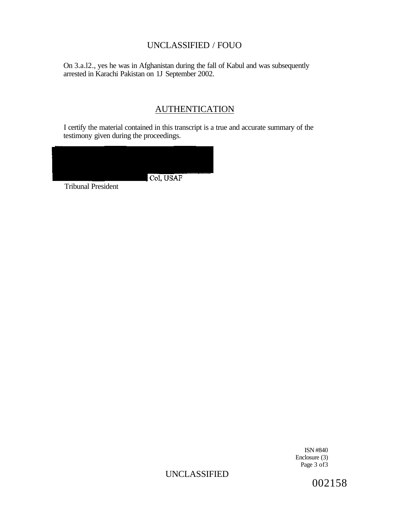On 3.a.l2., yes he was in Afghanistan during the fall of Kabul and was subsequently arrested in Karachi Pakistan on 1J September 2002.

# **AUTHENTICATION**

I certify the material contained in this transcript is a true and accurate summary of the testimony given during the proceedings.



ISN #840 Enclosure (3) Page 3 of3

# UNCLASSIFIED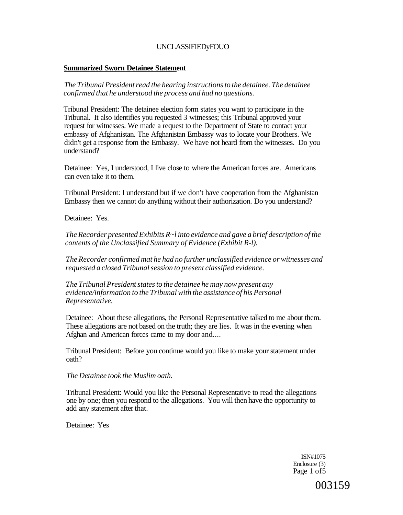### **Summarized Sworn Detainee Statement**

*The Tribunal President read the hearing instructions to the detainee. The detainee confirmed that he understood the process and had no questions.* 

Tribunal President: The detainee election form states you want to participate in the Tribunal. It also identifies you requested 3 witnesses; this Tribunal approved your request for witnesses. We made a request to the Department of State to contact your embassy of Afghanistan. The Afghanistan Embassy was to locate your Brothers. We didn't get a response from the Embassy. We have not heard from the witnesses. Do you understand?

Detainee: Yes, I understood, I live close to where the American forces are. Americans can even take it to them.

Tribunal President: I understand but if we don't have cooperation from the Afghanistan Embassy then we cannot do anything without their authorization. Do you understand?

Detainee: Yes.

*The Recorder presented Exhibits R~l into evidence and gave a brief description of the contents of the Unclassified Summary of Evidence (Exhibit R-l).* 

*The Recorder confirmed mat he had no further unclassified evidence or witnesses and requested a closed Tribunal session to present classified evidence.* 

*The Tribunal President states to the detainee he may now present any evidence/information to the Tribunal with the assistance of his Personal Representative.* 

Detainee: About these allegations, the Personal Representative talked to me about them. These allegations are not based on the truth; they are lies. It was in the evening when Afghan and American forces came to my door and....

Tribunal President: Before you continue would you like to make your statement under oath?

*The Detainee took the Muslim oath.* 

Tribunal President: Would you like the Personal Representative to read the allegations one by one; then you respond to the allegations. You will then have the opportunity to add any statement after that.

Detainee: Yes

ISN#1075 Enclosure (3) Page 1 of5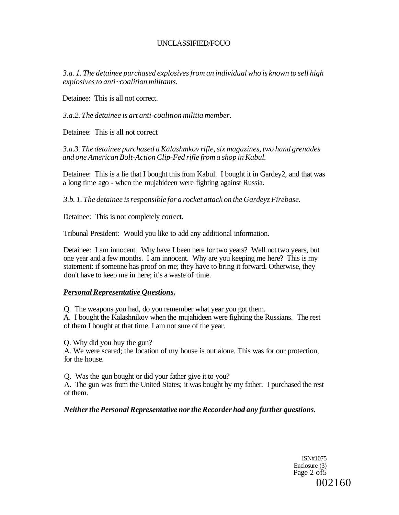*3.a. 1. The detainee purchased explosives from an individual who is known to sell high explosives to anti~coalition militants.* 

Detainee: This is all not correct.

*3.a.2. The detainee is art anti-coalition militia member.* 

Detainee: This is all not correct

*3.a.3. The detainee purchased a Kalashmkov rifle, six magazines, two hand grenades and one American Bolt-Action Clip-Fed rifle from a shop in Kabul.* 

Detainee: This is a lie that I bought this from Kabul. I bought it in Gardey2, and that was a long time ago - when the mujahideen were fighting against Russia.

*3.b. 1. The detainee is responsible for a rocket attack on the Gardeyz Firebase.* 

Detainee: This is not completely correct.

Tribunal President: Would you like to add any additional information.

Detainee: I am innocent. Why have I been here for two years? Well not two years, but one year and a few months. I am innocent. Why are you keeping me here? This is my statement: if someone has proof on me; they have to bring it forward. Otherwise, they don't have to keep me in here; it's a waste of time.

### *Personal Representative Questions.*

Q. The weapons you had, do you remember what year you got them.

A. I bought the Kalashnikov when the mujahideen were fighting the Russians. The rest of them I bought at that time. I am not sure of the year.

Q. Why did you buy the gun?

A. We were scared; the location of my house is out alone. This was for our protection, for the house.

Q. Was the gun bought or did your father give it to you?

A. The gun was from the United States; it was bought by my father. I purchased the rest of them.

### *Neither the Personal Representative nor the Recorder had any further questions.*

ISN#1075 Enclosure (3) Page 2 of 5 002160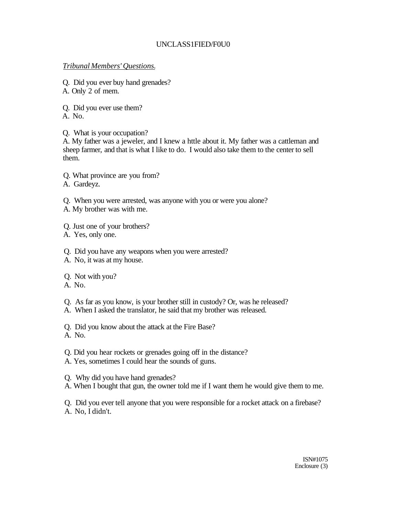## UNCLASS1FIED/F0U0

### *Tribunal Members' Questions.*

Q. Did you ever buy hand grenades? A. Only 2 of mem.

Q. Did you ever use them?

A. No.

Q. What is your occupation?

A. My father was a jeweler, and I knew a httle about it. My father was a cattleman and sheep farmer, and that is what I like to do. I would also take them to the center to sell them.

Q. What province are you from?

A. Gardeyz.

Q. When you were arrested, was anyone with you or were you alone?

A. My brother was with me.

Q. Just one of your brothers?

A. Yes, only one.

Q. Did you have any weapons when you were arrested?

A. No, it was at my house.

Q. Not with you?

A. No.

Q. As far as you know, is your brother still in custody? Or, was he released?

A. When I asked the translator, he said that my brother was released.

Q. Did you know about the attack at the Fire Base?

A. No.

Q. Did you hear rockets or grenades going off in the distance?

A. Yes, sometimes I could hear the sounds of guns.

Q. Why did you have hand grenades?

A. When I bought that gun, the owner told me if I want them he would give them to me.

Q. Did you ever tell anyone that you were responsible for a rocket attack on a firebase? A. No, I didn't.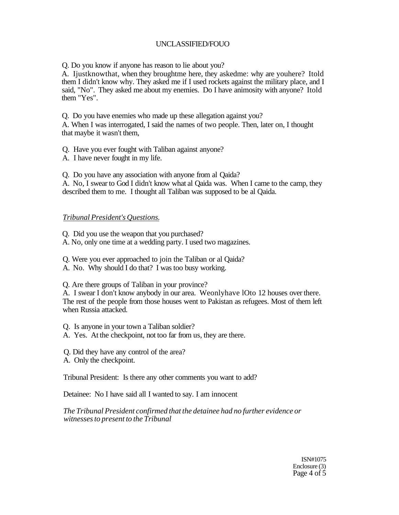Q. Do you know if anyone has reason to lie about you?

A. Ijustknowthat, when they broughtme here, they askedme: why are youhere? Itold them I didn't know why. They asked me if I used rockets against the military place, and I said, "No". They asked me about my enemies. Do I have animosity with anyone? Itold them "Yes".

Q. Do you have enemies who made up these allegation against you?

A. When I was interrogated, I said the names of two people. Then, later on, I thought that maybe it wasn't them,

Q. Have you ever fought with Taliban against anyone?

A. I have never fought in my life.

Q. Do you have any association with anyone from al Qaida?

A. No, I swear to God I didn't know what al Qaida was. When I came to the camp, they described them to me. I thought all Taliban was supposed to be al Qaida.

#### *Tribunal President's Questions.*

Q. Did you use the weapon that you purchased?

A. No, only one time at a wedding party. I used two magazines.

- Q. Were you ever approached to join the Taliban or al Qaida?
- A. No. Why should I do that? I was too busy working.

Q. Are there groups of Taliban in your province?

A. I swear I don't know anybody in our area. Weonlyhave lOto 12 houses over there. The rest of the people from those houses went to Pakistan as refugees. Most of them left when Russia attacked.

- Q. Is anyone in your town a Taliban soldier?
- A. Yes. At the checkpoint, not too far from us, they are there.
- Q. Did they have any control of the area?
- A. Only the checkpoint.

Tribunal President: Is there any other comments you want to add?

Detainee: No I have said all I wanted to say. I am innocent

*The Tribunal President confirmed that the detainee had no further evidence or witnesses to present to the Tribunal* 

> ISN#1075 Enclosure (3) Page 4 of 5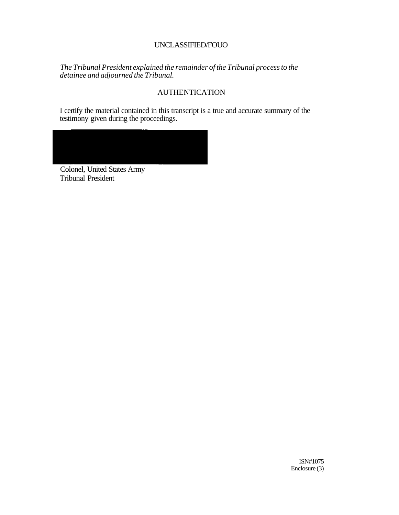*The Tribunal President explained the remainder of the Tribunal process to the detainee and adjourned the Tribunal.* 

# **AUTHENTICATION**

I certify the material contained in this transcript is a true and accurate summary of the testimony given during the proceedings.

Colonel, United States Army Tribunal President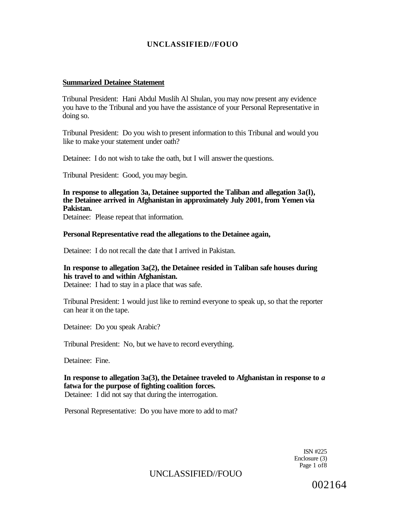#### **Summarized Detainee Statement**

Tribunal President: Hani Abdul Muslih Al Shulan, you may now present any evidence you have to the Tribunal and you have the assistance of your Personal Representative in doing so.

Tribunal President: Do you wish to present information to this Tribunal and would you like to make your statement under oath?

Detainee: I do not wish to take the oath, but I will answer the questions.

Tribunal President: Good, you may begin.

**In response to allegation 3a, Detainee supported the Taliban and allegation 3a(l), the Detainee arrived in Afghanistan in approximately July 2001, from Yemen via Pakistan.** 

Detainee: Please repeat that information.

#### **Personal Representative read the allegations to the Detainee again,**

Detainee: I do not recall the date that I arrived in Pakistan.

### **In response to allegation 3a(2), the Detainee resided in Taliban safe houses during his travel to and within Afghanistan.**

Detainee: I had to stay in a place that was safe.

Tribunal President: 1 would just like to remind everyone to speak up, so that the reporter can hear it on the tape.

Detainee: Do you speak Arabic?

Tribunal President: No, but we have to record everything.

Detainee: Fine.

**In response to allegation 3a(3), the Detainee traveled to Afghanistan in response to** *a*  **fatwa for the purpose of fighting coalition forces.**  Detainee: I did not say that during the interrogation.

Personal Representative: Do you have more to add to mat?

ISN #225 Enclosure (3) Page 1 of8

UNCLASSIFIED//FOUO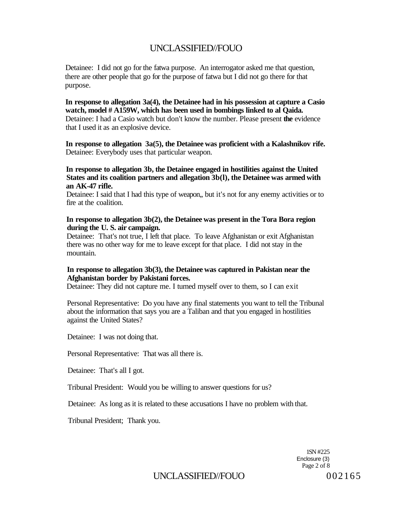Detainee: I did not go for the fatwa purpose. An interrogator asked me that question, there are other people that go for the purpose of fatwa but I did not go there for that purpose.

**In response to allegation 3a(4), the Detainee had in his possession at capture a Casio watch, model # A159W, which has been used in bombings linked to al Qaida.**  Detainee: I had a Casio watch but don't know the number. Please present **the** evidence that I used it as an explosive device.

**In response to allegation 3a(5), the Detainee was proficient with a Kalashnikov rife.**  Detainee: Everybody uses that particular weapon.

**In response to allegation 3b, the Detainee engaged in hostilities against the United States and its coalition partners and allegation 3b(l), the Detainee was armed with an AK-47 rifle.** 

Detainee: I said that I had this type of weapon,, but it's not for any enemy activities or to fire at the coalition.

#### **In response to allegation 3b(2), the Detainee was present in the Tora Bora region during the U. S. air campaign.**

Detainee: That's not true, I left that place. To leave Afghanistan or exit Afghanistan there was no other way for me to leave except for that place. I did not stay in the mountain.

#### **In response to allegation 3b(3), the Detainee was captured in Pakistan near the Afghanistan border by Pakistani forces.**

Detainee: They did not capture me. I turned myself over to them, so I can exit

Personal Representative: Do you have any final statements you want to tell the Tribunal about the information that says you are a Taliban and that you engaged in hostilities against the United States?

Detainee: I was not doing that.

Personal Representative: That was all there is.

Detainee: That's all I got.

Tribunal President: Would you be willing to answer questions for us?

Detainee: As long as it is related to these accusations I have no problem with that.

Tribunal President; Thank you.

1SN #225 Enclosure (3) Page 2 of 8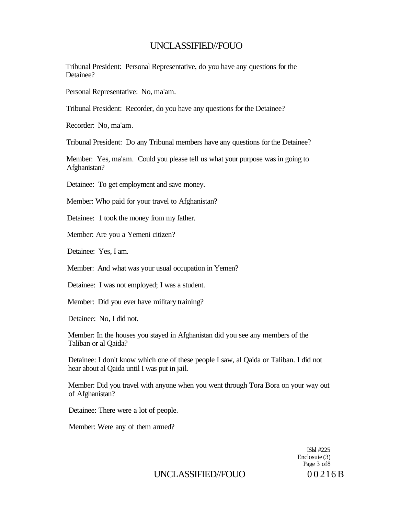Tribunal President: Personal Representative, do you have any questions for the Detainee?

Personal Representative: No, ma'am.

Tribunal President: Recorder, do you have any questions for the Detainee?

Recorder: No, ma'am.

Tribunal President: Do any Tribunal members have any questions for the Detainee?

Member: Yes, ma'am. Could you please tell us what your purpose was in going to Afghanistan?

Detainee: To get employment and save money.

Member: Who paid for your travel to Afghanistan?

Detainee: 1 took the money from my father.

Member: Are you a Yemeni citizen?

Detainee: Yes, I am.

Member: And what was your usual occupation in Yemen?

Detainee: I was not employed; I was a student.

Member: Did you ever have military training?

Detainee: No, I did not.

Member: In the houses you stayed in Afghanistan did you see any members of the Taliban or al Qaida?

Detainee: I don't know which one of these people I saw, al Qaida or Taliban. I did not hear about al Qaida until I was put in jail.

Member: Did you travel with anyone when you went through Tora Bora on your way out of Afghanistan?

Detainee: There were a lot of people.

Member: Were any of them armed?

ISlsl #225 Enclosuie (3) Page 3 of8

UNCLASSIFIED//FOUO 00216 B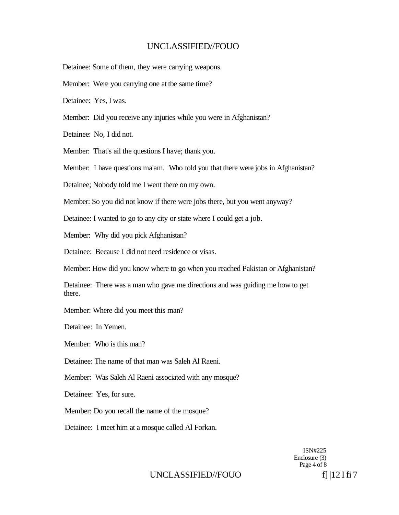Detainee: Some of them, they were carrying weapons.

Member: Were you carrying one at tbe same time?

Detainee: Yes, I was.

Member: Did you receive any injuries while you were in Afghanistan?

Detainee: No, I did not.

Member: That's ail the questions I have; thank you.

Member: I have questions ma'am. Who told you that there were jobs in Afghanistan?

Detainee; Nobody told me I went there on my own.

Member: So you did not know if there were jobs there, but you went anyway?

Detainee: I wanted to go to any city or state where I could get a job.

Member: Why did you pick Afghanistan?

Detainee: Because I did not need residence or visas.

Member: How did you know where to go when you reached Pakistan or Afghanistan?

Detainee: There was a man who gave me directions and was guiding me how to get there.

Member: Where did you meet this man?

Detainee: In Yemen.

Member: Who is this man?

Detainee: The name of that man was Saleh Al Raeni.

Member: Was Saleh Al Raeni associated with any mosque?

Detainee: Yes, for sure.

Member: Do you recall the name of the mosque?

Detainee: I meet him at a mosque called Al Forkan.

ISN#225 Enclosure (3) Page 4 of 8

### UNCLASSIFIED//FOUO f] |12 I fi 7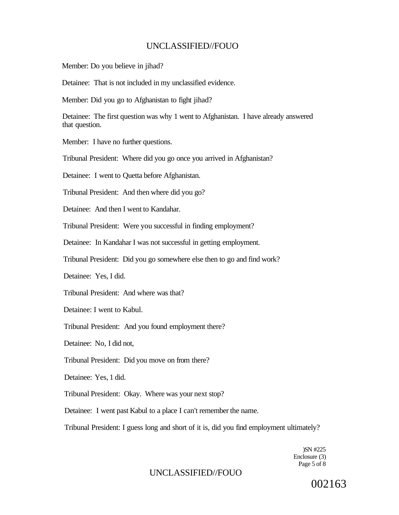Member: Do you believe in jihad?

Detainee: That is not included in my unclassified evidence.

Member: Did you go to Afghanistan to fight jihad?

Detainee: The first question was why 1 went to Afghanistan. I have already answered that question.

Member: I have no further questions.

Tribunal President: Where did you go once you arrived in Afghanistan?

Detainee: I went to Quetta before Afghanistan.

Tribunal President: And then where did you go?

Detainee: And then I went to Kandahar.

Tribunal President: Were you successful in finding employment?

Detainee: In Kandahar I was not successful in getting employment.

Tribunal President: Did you go somewhere else then to go and find work?

Detainee: Yes, I did.

Tribunal President: And where was that?

Detainee: I went to Kabul.

Tribunal President: And you found employment there?

Detainee: No, I did not,

Tribunal President: Did you move on from there?

Detainee: Yes, 1 did.

Tribunal President: Okay. Where was your next stop?

Detainee: I went past Kabul to a place I can't remember the name.

Tribunal President: I guess long and short of it is, did you find employment ultimately?

)SN #225 Enclosure (3) Page 5 of 8

## UNCLASSIFIED//FOUO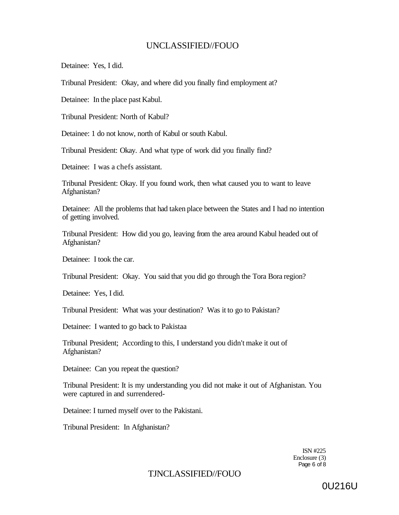Detainee: Yes, I did.

Tribunal President: Okay, and where did you finally find employment at?

Detainee: In the place past Kabul.

Tribunal President: North of Kabul?

Detainee: 1 do not know, north of Kabul or south Kabul.

Tribunal President: Okay. And what type of work did you finally find?

Detainee: I was a chefs assistant.

Tribunal President: Okay. If you found work, then what caused you to want to leave Afghanistan?

Detainee: All the problems that had taken place between the States and I had no intention of getting involved.

Tribunal President: How did you go, leaving from the area around Kabul headed out of Afghanistan?

Detainee: I took the car.

Tribunal President: Okay. You said that you did go through the Tora Bora region?

Detainee: Yes, I did.

Tribunal President: What was your destination? Was it to go to Pakistan?

Detainee: I wanted to go back to Pakistaa

Tribunal President; According to this, I understand you didn't make it out of Afghanistan?

Detainee: Can you repeat the question?

Tribunal President: It is my understanding you did not make it out of Afghanistan. You were captured in and surrendered-

Detainee: I turned myself over to the Pakistani.

Tribunal President: In Afghanistan?

ISN #225 Enclosure (3) Page 6 of 8

## TJNCLASSIFIED//FOUO

0U216U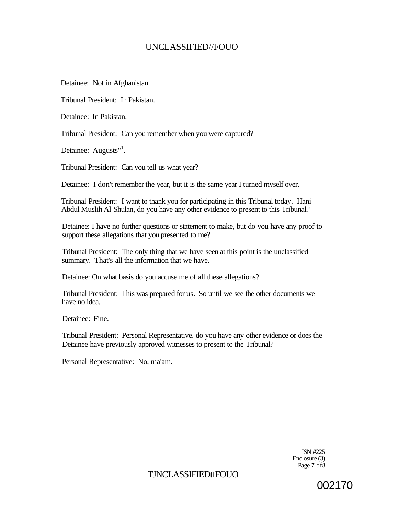Detainee: Not in Afghanistan.

Tribunal President: In Pakistan.

Detainee: In Pakistan.

Tribunal President: Can you remember when you were captured?

Detainee: Augusts"<sup>1</sup>.

Tribunal President: Can you tell us what year?

Detainee: I don't remember the year, but it is the same year I turned myself over.

Tribunal President: I want to thank you for participating in this Tribunal today. Hani Abdul Muslih Al Shulan, do you have any other evidence to present to this Tribunal?

Detainee: I have no further questions or statement to make, but do you have any proof to support these allegations that you presented to me?

Tribunal President: The only thing that we have seen at this point is the unclassified summary. That's all the information that we have.

Detainee: On what basis do you accuse me of all these allegations?

Tribunal President: This was prepared for us. So until we see the other documents we have no idea.

Detainee: Fine.

Tribunal President: Personal Representative, do you have any other evidence or does the Detainee have previously approved witnesses to present to the Tribunal?

Personal Representative: No, ma'am.

ISN #225 Enclosure (3) Page 7 of8

TJNCLASSIFIEDtfFOUO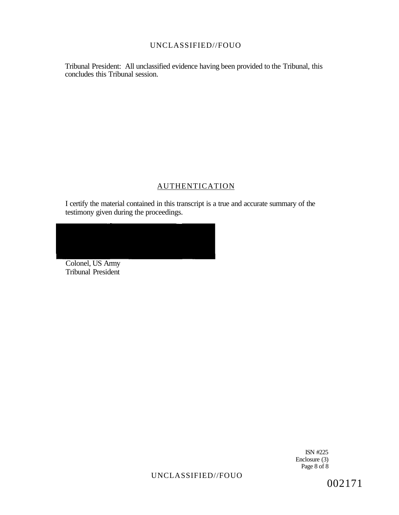Tribunal President: All unclassified evidence having been provided to the Tribunal, this concludes this Tribunal session.

## AUTHENTICATION

I certify the material contained in this transcript is a true and accurate summary of the testimony given during the proceedings.

Colonel, US Army Tribunal President

> ISN #225 Enclosure (3) Page 8 of 8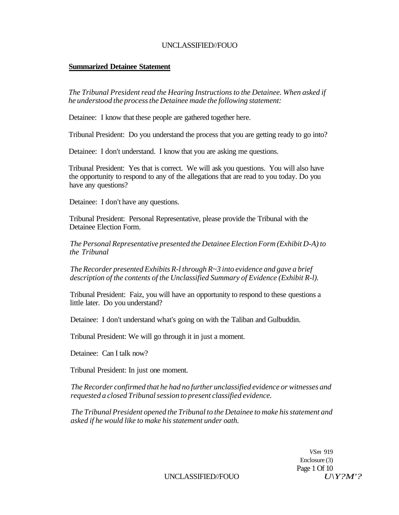### **Summarized Detainee Statement**

*The Tribunal President read the Hearing Instructions to the Detainee. When asked if he understood the process the Detainee made the following statement:* 

Detainee: I know that these people are gathered together here.

Tribunal President: Do you understand the process that you are getting ready to go into?

Detainee: I don't understand. I know that you are asking me questions.

Tribunal President: Yes that is correct. We will ask you questions. You will also have the opportunity to respond to any of the allegations that are read to you today. Do you have any questions?

Detainee: I don't have any questions.

Tribunal President: Personal Representative, please provide the Tribunal with the Detainee Election Form.

*The Personal Representative presented the Detainee Election Form (Exhibit D-A) to the Tribunal* 

*The Recorder presented Exhibits R-l through R~3 into evidence and gave a brief description of the contents of the Unclassified Summary of Evidence (Exhibit R-l).* 

Tribunal President: Faiz, you will have an opportunity to respond to these questions a little later. Do you understand?

Detainee: I don't understand what's going on with the Taliban and Gulbuddin.

Tribunal President: We will go through it in just a moment.

Detainee: Can I talk now?

Tribunal President: In just one moment.

*The Recorder confirmed that he had no further unclassified evidence or witnesses and requested a closed Tribunal session to present classified evidence.* 

*The Tribunal President opened the Tribunal to the Detainee to make his statement and asked if he would like to make his statement under oath.* 

> *VSm* 919 Enclosure (3) Page 1 Of 10

UNCLASSIFIED//FOUO  $U\ Y?M'$ ?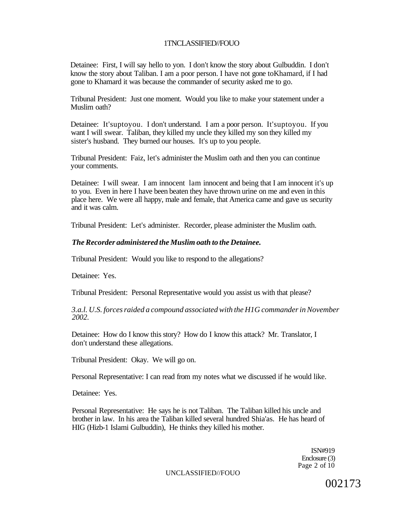Detainee: First, I will say hello to yon. I don't know the story about Gulbuddin. I don't know the story about Taliban. I am a poor person. I have not gone toKhamard, if I had gone to Khamard it was because the commander of security asked me to go.

Tribunal President: Just one moment. Would you like to make your statement under a Muslim oath?

Detainee: It'suptoyou. I don't understand. I am a poor person. It'suptoyou. If you want I will swear. Taliban, they killed my uncle they killed my son they killed my sister's husband. They burned our houses. It's up to you people.

Tribunal President: Faiz, let's administer the Muslim oath and then you can continue your comments.

Detainee: I will swear. I am innocent lam innocent and being that I am innocent it's up to you. Even in here I have been beaten they have thrown urine on me and even in this place here. We were all happy, male and female, that America came and gave us security and it was calm.

Tribunal President: Let's administer. Recorder, please administer the Muslim oath.

#### *The Recorder administered the Muslim oath to the Detainee.*

Tribunal President: Would you like to respond to the allegations?

Detainee: Yes.

Tribunal President: Personal Representative would you assist us with that please?

*3.a.l. U.S. forces raided a compound associated with the H1G commander in November 2002.* 

Detainee: How do I know this story? How do I know this attack? Mr. Translator, I don't understand these allegations.

Tribunal President: Okay. We will go on.

Personal Representative: I can read from my notes what we discussed if he would like.

Detainee: Yes.

Personal Representative: He says he is not Taliban. The Taliban killed his uncle and brother in law. In his area the Taliban killed several hundred Shia'as. He has heard of HIG (Hizb-1 Islami Gulbuddin), He thinks they killed his mother.

> ISN#919 Enclosure (3) Page 2 of 10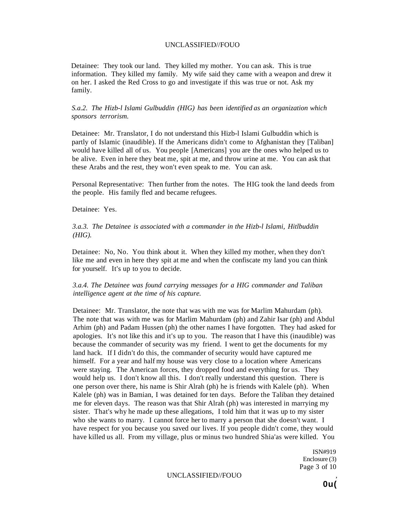Detainee: They took our land. They killed my mother. You can ask. This is true information. They killed my family. My wife said they came with a weapon and drew it on her. I asked the Red Cross to go and investigate if this was true or not. Ask my family.

#### *S.a.2. The Hizb-l Islami Gulbuddin (HIG) has been identified as an organization which sponsors terrorism.*

Detainee: Mr. Translator, I do not understand this Hizb-l Islami Gulbuddin which is partly of Islamic (inaudible). If the Americans didn't come to Afghanistan they [Taliban] would have killed all of us. You people [Americans] you are the ones who helped us to be alive. Even in here they beat me, spit at me, and throw urine at me. You can ask that these Arabs and the rest, they won't even speak to me. You can ask.

Personal Representative: Then further from the notes. The HIG took the land deeds from the people. His family fled and became refugees.

Detainee: Yes.

#### *3.a.3. The Detainee is associated with a commander in the Hizb-l Islami, Hitlbuddin (HIG).*

Detainee: No, No. You think about it. When they killed my mother, when they don't like me and even in here they spit at me and when the confiscate my land you can think for yourself. It's up to you to decide.

### *3.a.4. The Detainee was found carrying messages for a HIG commander and Taliban intelligence agent at the time of his capture.*

Detainee: Mr. Translator, the note that was with me was for Marlim Mahurdam (ph). The note that was with me was for Marlim Mahurdam (ph) and Zahir Isar (ph) and Abdul Arhim (ph) and Padam Hussen (ph) the other names I have forgotten. They had asked for apologies. It's not like this and it's up to you. The reason that I have this (inaudible) was because the commander of security was my friend. I went to get the documents for my land hack. If I didn't do this, the commander of security would have captured me himself. For a year and half my house was very close to a location where Americans were staying. The American forces, they dropped food and everything for us. They would help us. I don't know all this. I don't really understand this question. There is one person over there, his name is Shir Alrah (ph) he is friends with Kalele (ph). When Kalele (ph) was in Bamian, I was detained for ten days. Before the Taliban they detained me for eleven days. The reason was that Shir Alrah (ph) was interested in marrying my sister. That's why he made up these allegations, I told him that it was up to my sister who she wants to marry. I cannot force her to marry a person that she doesn't want. I have respect for you because you saved our lives. If you people didn't come, they would have killed us all. From my village, plus or minus two hundred Shia'as were killed. You

> ISN#919 Enclosure (3) Page 3 of 10

UNCLASSIFIED//FOUO ,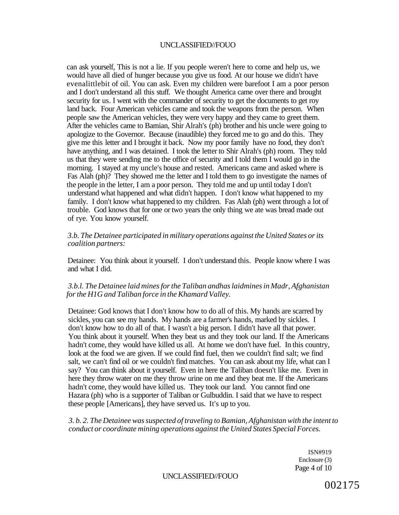can ask yourself, This is not a lie. If you people weren't here to come and help us, we would have all died of hunger because you give us food. At our house we didn't have evenalittlebit of oil. You can ask. Even my children were barefoot I am a poor person and I don't understand all this stuff. We thought America came over there and brought security for us. I went with the commander of security to get the documents to get roy land back. Four American vehicles came and took the weapons from the person. When people saw the American vehicles, they were very happy and they came to greet them. After the vehicles came to Bamian, Shir Alrah's (ph) brother and his uncle were going to apologize to the Governor. Because (inaudible) they forced me to go and do this. They give me this letter and I brought it back. Now my poor family have no food, they don't have anything, and I was detained. I took the letter to Shir Alrah's (ph) room. They told us that they were sending me to the office of security and I told them I would go in the morning. I stayed at my uncle's house and rested. Americans came and asked where is Fas Alah (ph)? They showed me the letter and I told them to go investigate the names of the people in the letter, I am a poor person. They told me and up until today I don't understand what happened and what didn't happen. I don't know what happened to my family. I don't know what happened to my children. Fas Alah (ph) went through a lot of trouble. God knows that for one or two years the only thing we ate was bread made out of rye. You know yourself.

### *3.b. The Detainee participated in military operations against the United States or its coalition partners:*

Detainee: You think about it yourself. I don't understand this. People know where I was and what I did.

### *3.b.l. The Detainee laid mines for the Taliban andhas laidmines in Madr, Afghanistan for the H1G and Taliban force in the Khamard Valley.*

Detainee: God knows that I don't know how to do all of this. My hands are scarred by sickles, you can see my hands. My hands are a farmer's hands, marked by sickles. I don't know how to do all of that. I wasn't a big person. I didn't have all that power. You think about it yourself. When they beat us and they took our land. If the Americans hadn't come, they would have killed us all. At home we don't have fuel. In this country, look at the food we are given. If we could find fuel, then we couldn't find salt; we find salt, we can't find oil or we couldn't find matches. You can ask about my life, what can I say? You can think about it yourself. Even in here the Taliban doesn't like me. Even in here they throw water on me they throw urine on me and they beat me. If the Americans hadn't come, they would have killed us. They took our land. You cannot find one Hazara (ph) who is a supporter of Taliban or Gulbuddin. I said that we have to respect these people [Americans], they have served us. It's up to you.

*3. b. 2. The Detainee was suspected of traveling to Bamian, Afghanistan with the intent to conduct or coordinate mining operations against the United States Special Forces.* 

> ISN#919 Enclosure (3) Page 4 of 10

UNCLASSIFIED//FOUO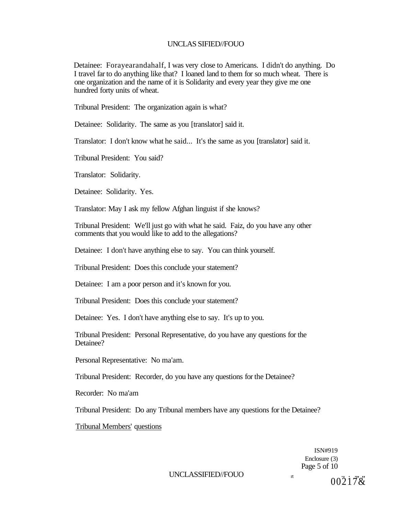Detainee: Forayearandahalf, I was very close to Americans. I didn't do anything. Do I travel far to do anything like that? I loaned land to them for so much wheat. There is one organization and the name of it is Solidarity and every year they give me one hundred forty units of wheat.

Tribunal President: The organization again is what?

Detainee: Solidarity. The same as you [translator] said it.

Translator: I don't know what he said... It's the same as you [translator] said it.

Tribunal President: You said?

Translator: Solidarity.

Detainee: Solidarity. Yes.

Translator: May I ask my fellow Afghan linguist if she knows?

Tribunal President: We'll just go with what he said. Faiz, do you have any other comments that you would like to add to the allegations?

Detainee: I don't have anything else to say. You can think yourself.

Tribunal President: Does this conclude your statement?

Detainee: I am a poor person and it's known for you.

Tribunal President: Does this conclude your statement?

Detainee: Yes. I don't have anything else to say. It's up to you.

Tribunal President: Personal Representative, do you have any questions for the Detainee?

Personal Representative: No ma'am.

Tribunal President: Recorder, do you have any questions for the Detainee?

Recorder: No ma'am

Tribunal President: Do any Tribunal members have any questions for the Detainee?

Tribunal Members' questions

ISN#919 Enclosure (3) Page 5 of 10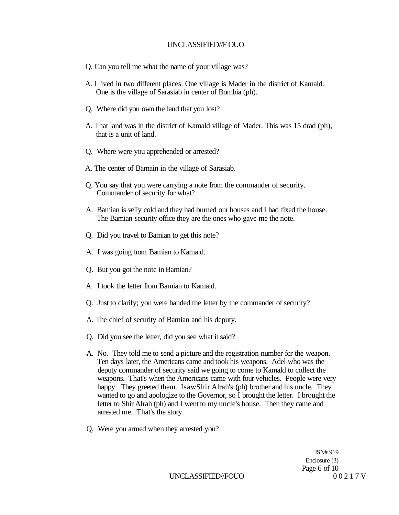- Q. Can you tell me what the name of your village was?
- A. I lived in two different places. One village is Mader in the district of Kamald. One is the village of Sarasiab in center of Bombia (ph).
- Q. Where did you own the land that you lost?
- A. That land was in the district of Kamald village of Mader. This was 15 drad (ph), that is a unit of land.
- Q. Where were you apprehended or arrested?
- A. The center of Bamain in the village of Sarasiab.
- Q. You say that you were carrying a note from the commander of security. Commander of security for what?
- A. Bamian is veTy cold and they had burned our houses and I had fixed the house. The Bamian security office they are the ones who gave me the note.
- Q. Did you travel to Bamian to get this note?
- A. I was going from Bamian to Kamald.
- Q. But you got the note in Bamian?
- A. I took the letter from Bamian to Kamald.
- Q. Just to clarify; you were handed the letter by the commander of security?
- A. The chief of security of Bamian and his deputy.
- Q. Did you see the letter, did you see what it said?
- A. No. They told me to send a picture and the registration number for the weapon. Ten days later, the Americans came and took his weapons. Adel who was the deputy commander of security said we going to come to Kamald to collect the weapons. That's when the Americans came with four vehicles. People were very happy. They greeted them. IsawShir Alrah's (ph) brother and his uncle. They wanted to go and apologize to the Governor, so I brought the letter. I brought the letter to Shir Alrah (ph) and I went to my uncle's house. Then they came and arrested me. That's the story.
- Q. Were you armed when they arrested you?

ISN# 919 Enclosure (3) Page 6 of 10

UNCLASSIFIED//FOUO 00217 V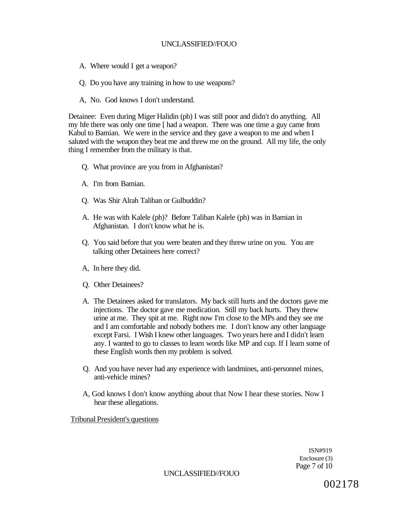- A. Where would I get a weapon?
- Q. Do you have any training in how to use weapons?
- A, No. God knows I don't understand.

Detainee: Even during Miger Halidin (ph) I was still poor and didn't do anything. All my hfe there was only one time [ had a weapon. There was one time a guy came from Kabul to Bamian. We were in the service and they gave a weapon to me and when I saluted with the weapon they beat me and threw me on the ground. All my life, the only thing I remember from the military is that.

- Q. What province are you from in Afghanistan?
- A. I'm from Bamian.
- Q. Was Shir Alrah Taliban or Gulbuddin?
- A. He was with Kalele (ph)? Before Taliban Kalele (ph) was in Bamian in Afghanistan. I don't know what he is.
- Q. You said before that you were beaten and they threw urine on you. You are talking other Detainees here correct?
- A, In here they did.
- Q. Other Detainees?
- A. The Detainees asked for translators. My back still hurts and the doctors gave me injections. The doctor gave me medication. Still my back hurts. They threw urine at me. They spit at me. Right now I'm close to the MPs and they see me and I am comfortable and nobody bothers me. I don't know any other language except Farsi. I Wish I knew other languages. Two years here and I didn't learn any. I wanted to go to classes to learn words like MP and cup. If I learn some of these English words then my problem is solved.
- Q. And you have never had any experience with landmines, anti-personnel mines, anti-vehicle mines?
- A, God knows I don't know anything about that Now I hear these stories. Now I hear these allegations.

Tribunal President's questions

ISN#919 Enclosure (3) Page 7 of 10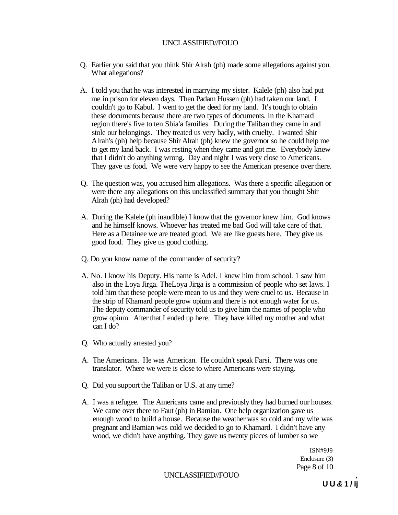- Q. Earlier you said that you think Shir Alrah (ph) made some allegations against you. What allegations?
- A. I told you that he was interested in marrying my sister. Kalele (ph) also had put me in prison for eleven days. Then Padam Hussen (ph) had taken our land. I couldn't go to Kabul. I went to get the deed for my land. It's tough to obtain these documents because there are two types of documents. In the Khamard region there's five to ten Shia'a families. During the Taliban they came in and stole our belongings. They treated us very badly, with cruelty. I wanted Shir Alrah's (ph) help because Shir Alrah (ph) knew the governor so he could help me to get my land back. I was resting when they came and got me. Everybody knew that I didn't do anything wrong. Day and night I was very close to Americans. They gave us food. We were very happy to see the American presence over there.
- Q. The question was, you accused him allegations. Was there a specific allegation or were there any allegations on this unclassified summary that you thought Shir Alrah (ph) had developed?
- A. During the Kalele (ph inaudible) I know that the governor knew him. God knows and he himself knows. Whoever has treated me bad God will take care of that. Here as a Detainee we are treated good. We are like guests here. They give us good food. They give us good clothing.
- Q. Do you know name of the commander of security?
- A. No. I know his Deputy. His name is Adel. I knew him from school. 1 saw him also in the Loya Jirga. TheLoya Jirga is a commission of people who set laws. I told him that these people were mean to us and they were cruel to us. Because in the strip of Khamard people grow opium and there is not enough water for us. The deputy commander of security told us to give him the names of people who grow opium. After that I ended up here. They have killed my mother and what can I do?
- Q. Who actually arrested you?
- A. The Americans. He was American. He couldn't speak Farsi. There was one translator. Where we were is close to where Americans were staying.
- Q. Did you support the Taliban or U.S. at any time?
- A. I was a refugee. The Americans came and previously they had burned our houses. We came over there to Faut (ph) in Bamian. One help organization gave us enough wood to build a house. Because the weather was so cold and my wife was pregnant and Bamian was cold we decided to go to Khamard. I didn't have any wood, we didn't have anything. They gave us twenty pieces of lumber so we

ISN#9J9 Enclosure (3) Page 8 of 10

UNCLASSIFIED//FOUO ,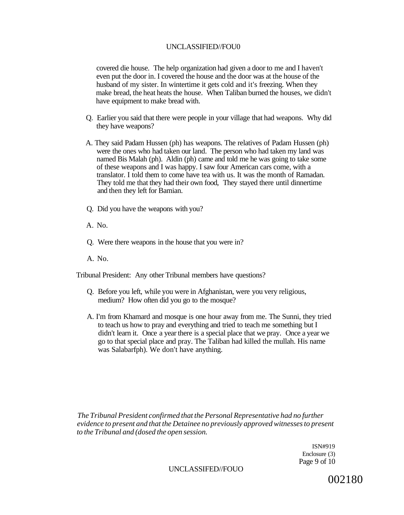covered die house. The help organization had given a door to me and I haven't even put the door in. I covered the house and the door was at the house of the husband of my sister. In wintertime it gets cold and it's freezing. When they make bread, the heat heats the house. When Taliban burned the houses, we didn't have equipment to make bread with.

- Q. Earlier you said that there were people in your village that had weapons. Why did they have weapons?
- A. They said Padam Hussen (ph) has weapons. The relatives of Padam Hussen (ph) were the ones who had taken our land. The person who had taken my land was named Bis Malah (ph). Aldin (ph) came and told me he was going to take some of these weapons and I was happy. I saw four American cars come, with a translator. I told them to come have tea with us. It was the month of Ramadan. They told me that they had their own food, They stayed there until dinnertime and then they left for Bamian.
- Q. Did you have the weapons with you?
- A. No.
- Q. Were there weapons in the house that you were in?
- A. No.

Tribunal President: Any other Tribunal members have questions?

- Q. Before you left, while you were in Afghanistan, were you very religious, medium? How often did you go to the mosque?
- A. I'm from Khamard and mosque is one hour away from me. The Sunni, they tried to teach us how to pray and everything and tried to teach me something but I didn't learn it. Once a year there is a special place that we pray. Once a year we go to that special place and pray. The Taliban had killed the mullah. His name was Salabarfph). We don't have anything.

*The Tribunal President confirmed that the Personal Representative had no further evidence to present and that the Detainee no previously approved witnesses to present to the Tribunal and (dosed the open session.* 

> ISN#919 Enclosure (3) Page 9 of 10

#### UNCLASSIFED//FOUO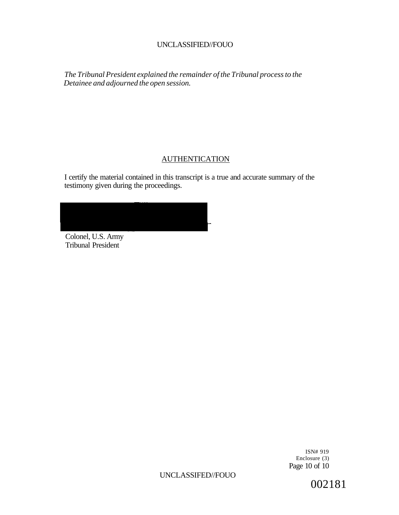*The Tribunal President explained the remainder of the Tribunal process to the Detainee and adjourned the open session.* 

# **AUTHENTICATION**

I certify the material contained in this transcript is a true and accurate summary of the testimony given during the proceedings.

Colonel, U.S. Army Tribunal President

> ISN# 919 Enclosure (3) Page 10 of 10

UNCLASSIFED//FOUO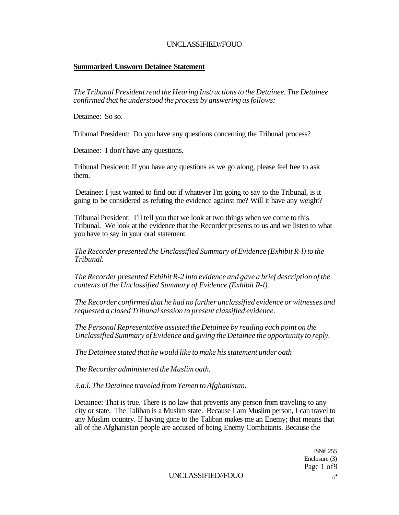### **Summarized Unsworn Detainee Statement**

*The Tribunal President read the Hearing Instructions to the Detainee. The Detainee confirmed that he understood the process by answering as follows:* 

Detainee: So so.

Tribunal President: Do you have any questions concerning the Tribunal process?

Detainee: I don't have any questions.

Tribunal President: If you have any questions as we go along, please feel free to ask them.

Detainee: I just wanted to find out if whatever I'm going to say to the Tribunal, is it going to be considered as refuting the evidence against me? Will it have any weight?

Tribunal President: I'll tell you that we look at two things when we come to this Tribunal. We look at the evidence that the Recorder presents to us and we listen to what you have to say in your oral statement.

*The Recorder presented the Unclassified Summary of Evidence (Exhibit R-l) to the Tribunal.* 

*The Recorder presented Exhibit R-2 into evidence and gave a brief description of the contents of the Unclassified Summary of Evidence (Exhibit R-l).* 

*The Recorder confirmed that he had no further unclassified evidence or witnesses and requested a closed Tribunal session to present classified evidence.* 

*The Personal Representative assisted the Detainee by reading each point on the Unclassified Summary of Evidence and giving the Detainee the opportunity to reply.* 

*The Detainee stated that he would like to make his statement under oath* 

*The Recorder administered the Muslim oath.* 

*3.a.l. The Detainee traveled from Yemen to Afghanistan.* 

Detainee: That is true. There is no law that prevents any person from traveling to any city or state. The Taliban is a Muslim state. Because I am Muslim person, I can travel to any Muslim country. If having gone to the Taliban makes me an Enemy; that means that all of the Afghanistan people are accused of being Enemy Combatants. Because the

> **ISNff 255** Enclosure (3) Page 1 of9

UNCLASSIFIED//FOUO newsletch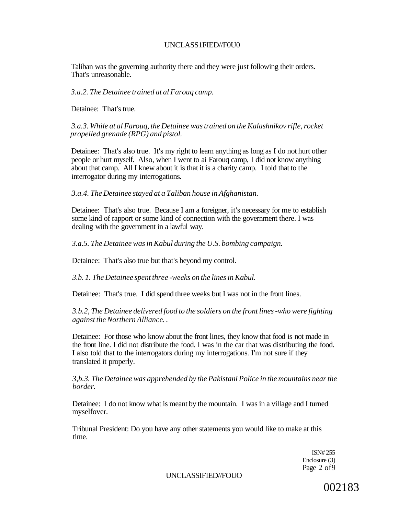### UNCLASS1FIED//F0U0

Taliban was the governing authority there and they were just following their orders. That's unreasonable.

*3.a.2. The Detainee trained at al Farouq camp.* 

Detainee: That's true.

*3.a.3. While at al Farouq, the Detainee was trained on the Kalashnikov rifle, rocket propelled grenade (RPG) and pistol.* 

Detainee: That's also true. It's my right to learn anything as long as I do not hurt other people or hurt myself. Also, when I went to ai Farouq camp, I did not know anything about that camp. All I knew about it is that it is a charity camp. I told that to the interrogator during my interrogations.

*3.a.4. The Detainee stayed at a Taliban house in Afghanistan.* 

Detainee: That's also true. Because I am a foreigner, it's necessary for me to establish some kind of rapport or some kind of connection with the government there. I was dealing with the government in a lawful way.

*3.a.5. The Detainee was in Kabul during the U.S. bombing campaign.* 

Detainee: That's also true but that's beyond my control.

*3.b. 1. The Detainee spent three -weeks on the lines in Kabul.* 

Detainee: That's true. I did spend three weeks but I was not in the front lines.

*3.b.2, The Detainee delivered food to the soldiers on the front lines -who were fighting against the Northern Alliance. .* 

Detainee: For those who know about the front lines, they know that food is not made in the front line. I did not distribute the food. I was in the car that was distributing the food. I also told that to the interrogators during my interrogations. I'm not sure if they translated it properly.

*3,b.3. The Detainee was apprehended by the Pakistani Police in the mountains near the border.* 

Detainee: I do not know what is meant by the mountain. I was in a village and I turned myselfover.

Tribunal President: Do you have any other statements you would like to make at this time.

> ISN# 255 Enclosure (3) Page 2 of9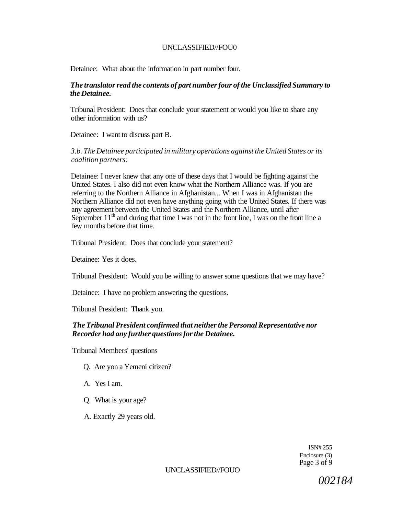Detainee: What about the information in part number four.

### *The translator read the contents of part number four of the Unclassified Summary to the Detainee.*

Tribunal President: Does that conclude your statement or would you like to share any other information with us?

Detainee: I want to discuss part B.

### *3.b. The Detainee participated in military operations against the United States or its coalition partners:*

Detainee: I never knew that any one of these days that I would be fighting against the United States. I also did not even know what the Northern Alliance was. If you are referring to the Northern Alliance in Afghanistan... When I was in Afghanistan the Northern Alliance did not even have anything going with the United States. If there was any agreement between the United States and the Northern Alliance, until after September  $11<sup>th</sup>$  and during that time I was not in the front line, I was on the front line a few months before that time.

Tribunal President: Does that conclude your statement?

Detainee: Yes it does.

Tribunal President: Would you be willing to answer some questions that we may have?

Detainee: I have no problem answering the questions.

Tribunal President: Thank you.

### *The Tribunal President confirmed that neither the Personal Representative nor Recorder had any further questions for the Detainee.*

Tribunal Members' questions

- Q. Are yon a Yemeni citizen?
- A. Yes I am.
- Q. What is your age?
- A. Exactly 29 years old.

ISN# 255 Enclosure (3) Page 3 of 9

### UNCLASSIFIED//FOUO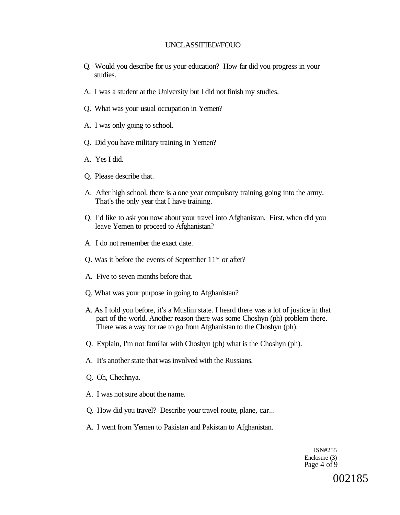- Q. Would you describe for us your education? How far did you progress in your studies.
- A. I was a student at the University but I did not finish my studies.
- Q. What was your usual occupation in Yemen?
- A. I was only going to school.
- Q. Did you have military training in Yemen?
- A. Yes I did.
- Q. Please describe that.
- A. After high school, there is a one year compulsory training going into the army. That's the only year that I have training.
- Q. I'd like to ask you now about your travel into Afghanistan. First, when did you leave Yemen to proceed to Afghanistan?
- A. I do not remember the exact date.
- Q. Was it before the events of September 11\* or after?
- A. Five to seven months before that.
- Q. What was your purpose in going to Afghanistan?
- A. As I told you before, it's a Muslim state. I heard there was a lot of justice in that part of the world. Another reason there was some Choshyn (ph) problem there. There was a way for rae to go from Afghanistan to the Choshyn (ph).
- Q. Explain, I'm not familiar with Choshyn (ph) what is the Choshyn (ph).
- A. It's another state that was involved with the Russians.
- Q. Oh, Chechnya.
- A. I was not sure about the name.
- Q. How did you travel? Describe your travel route, plane, car...
- A. I went from Yemen to Pakistan and Pakistan to Afghanistan.

ISN#255 Enclosure (3) Page 4 of 9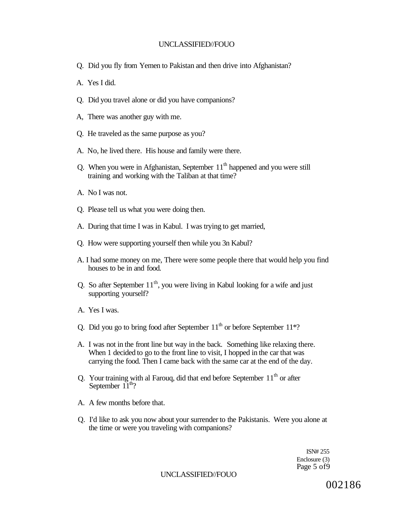- Q. Did you fly from Yemen to Pakistan and then drive into Afghanistan?
- A. Yes I did.
- Q. Did you travel alone or did you have companions?
- A, There was another guy with me.
- Q. He traveled as the same purpose as you?
- A. No, he lived there. His house and family were there.
- Q. When you were in Afghanistan, September  $11<sup>th</sup>$  happened and you were still training and working with the Taliban at that time?
- A. No I was not.
- Q. Please tell us what you were doing then.
- A. During that time I was in Kabul. I was trying to get married,
- Q. How were supporting yourself then while you 3n Kabul?
- A. I had some money on me, There were some people there that would help you find houses to be in and food.
- Q. So after September  $11<sup>th</sup>$ , you were living in Kabul looking for a wife and just supporting yourself?
- A. Yes I was.
- Q. Did you go to bring food after September  $11<sup>th</sup>$  or before September  $11*$ ?
- A. I was not in the front line but way in the back. Something like relaxing there. When 1 decided to go to the front line to visit, I hopped in the car that was carrying the food. Then I came back with the same car at the end of the day.
- Q. Your training with al Farouq, did that end before September  $11<sup>th</sup>$  or after September  $11^{th}$ ?
- A. A few months before that.
- Q. I'd like to ask you now about your surrender to the Pakistanis. Were you alone at the time or were you traveling with companions?

ISN# 255 Enclosure (3) Page 5 of9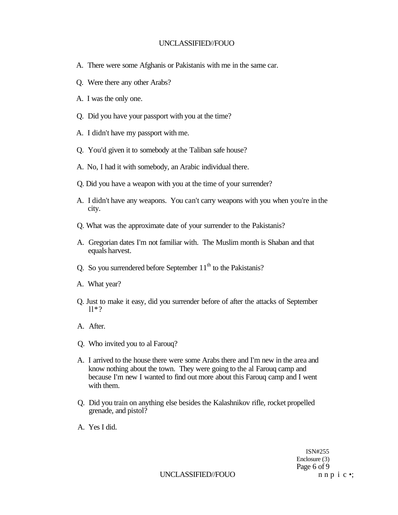- A. There were some Afghanis or Pakistanis with me in the same car.
- Q. Were there any other Arabs?
- A. I was the only one.
- Q. Did you have your passport with you at the time?
- A. I didn't have my passport with me.
- Q. You'd given it to somebody at the Taliban safe house?
- A. No, I had it with somebody, an Arabic individual there.
- Q. Did you have a weapon with you at the time of your surrender?
- A. I didn't have any weapons. You can't carry weapons with you when you're in the city.
- Q. What was the approximate date of your surrender to the Pakistanis?
- A. Gregorian dates I'm not familiar with. The Muslim month is Shaban and that equals harvest.
- Q. So you surrendered before September  $11<sup>th</sup>$  to the Pakistanis?
- A. What year?
- Q. Just to make it easy, did you surrender before of after the attacks of September ll\*?
- A. After.
- Q. Who invited you to al Farouq?
- A. I arrived to the house there were some Arabs there and I'm new in the area and know nothing about the town. They were going to the al Farouq camp and because I'm new I wanted to find out more about this Farouq camp and I went with them.
- Q. Did you train on anything else besides the Kalashnikov rifle, rocket propelled grenade, and pistol?
- A. Yes I did.

ISN#255 Enclosure (3) Page 6 of 9

UNCLASSIFIED//FOUO n n p i c •;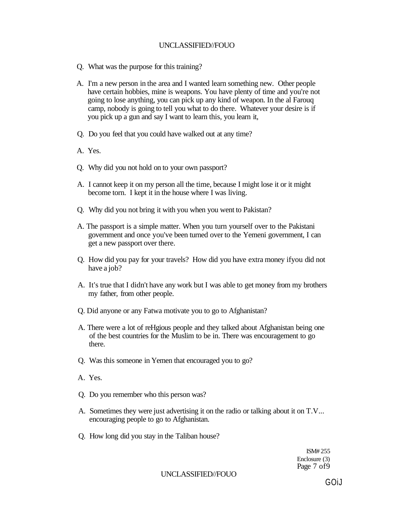- Q. What was the purpose for this training?
- A. I'm a new person in the area and I wanted learn something new. Other people have certain hobbies, mine is weapons. You have plenty of time and you're not going to lose anything, you can pick up any kind of weapon. In the al Farouq camp, nobody is going to tell you what to do there. Whatever your desire is if you pick up a gun and say I want to learn this, you learn it,
- Q. Do you feel that you could have walked out at any time?
- A. Yes.
- Q. Why did you not hold on to your own passport?
- A. I cannot keep it on my person all the time, because I might lose it or it might become torn. I kept it in the house where I was living.
- Q. Why did you not bring it with you when you went to Pakistan?
- A. The passport is a simple matter. When you turn yourself over to the Pakistani government and once you've been turned over to the Yemeni government, I can get a new passport over there.
- Q. How did you pay for your travels? How did you have extra money ifyou did not have a job?
- A. It's true that I didn't have any work but I was able to get money from my brothers my father, from other people.
- Q. Did anyone or any Fatwa motivate you to go to Afghanistan?
- A. There were a lot of reHgious people and they talked about Afghanistan being one of the best countries for the Muslim to be in. There was encouragement to go there.
- Q. Was this someone in Yemen that encouraged you to go?
- A. Yes.
- Q. Do you remember who this person was?
- A. Sometimes they were just advertising it on the radio or talking about it on T.V... encouraging people to go to Afghanistan.
- Q. How long did you stay in the Taliban house?

ISM# 255 Enclosure (3) Page 7 of 9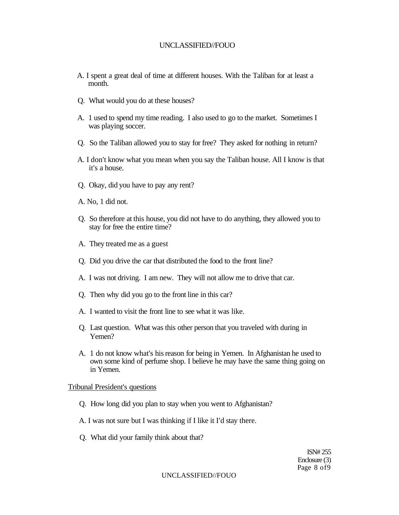- A. I spent a great deal of time at different houses. With the Taliban for at least a month.
- Q. What would you do at these houses?
- A. 1 used to spend my time reading. I also used to go to the market. Sometimes I was playing soccer.
- Q. So the Taliban allowed you to stay for free? They asked for nothing in return?
- A. I don't know what you mean when you say the Taliban house. All I know is that it's a house.
- Q. Okay, did you have to pay any rent?
- A. No, 1 did not.
- Q. So therefore at this house, you did not have to do anything, they allowed you to stay for free the entire time?
- A. They treated me as a guest
- Q. Did you drive the car that distributed the food to the front line?
- A. I was not driving. I am new. They will not allow me to drive that car.
- Q. Then why did you go to the front line in this car?
- A. I wanted to visit the front line to see what it was like.
- Q. Last question. What was this other person that you traveled with during in Yemen?
- A. 1 do not know what's his reason for being in Yemen. In Afghanistan he used to own some kind of perfume shop. I believe he may have the same thing going on in Yemen.

#### Tribunal President's questions

- Q. How long did you plan to stay when you went to Afghanistan?
- A. I was not sure but I was thinking if I like it I'd stay there.
- Q. What did your family think about that?

ISN# 255 Enclosure (3) Page 8 of9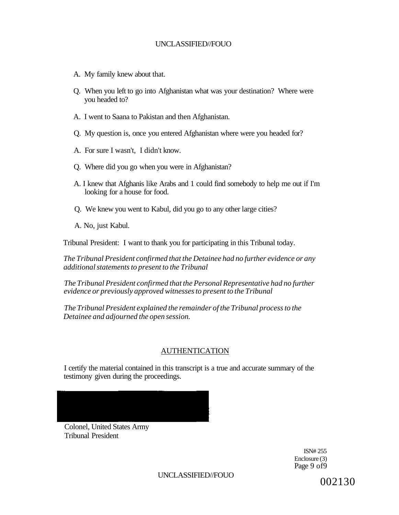- A. My family knew about that.
- Q. When you left to go into Afghanistan what was your destination? Where were you headed to?
- A. I went to Saana to Pakistan and then Afghanistan.
- Q. My question is, once you entered Afghanistan where were you headed for?
- A. For sure I wasn't, I didn't know.
- Q. Where did you go when you were in Afghanistan?
- A. I knew that Afghanis like Arabs and 1 could find somebody to help me out if I'm looking for a house for food.
- Q. We knew you went to Kabul, did you go to any other large cities?
- A. No, just Kabul.

Tribunal President: I want to thank you for participating in this Tribunal today.

*The Tribunal President confirmed that the Detainee had no further evidence or any additional statements to present to the Tribunal* 

*The Tribunal President confirmed that the Personal Representative had no further evidence or previously approved witnesses to present to the Tribunal* 

*The Tribunal President explained the remainder of the Tribunal process to the Detainee and adjourned the open session.* 

# AUTHENTICATION

I certify the material contained in this transcript is a true and accurate summary of the testimony given during the proceedings.



Colonel, United States Army Tribunal President

> ISN# 255 Enclosure (3) Page 9 of9

UNCLASSIFIED//FOUO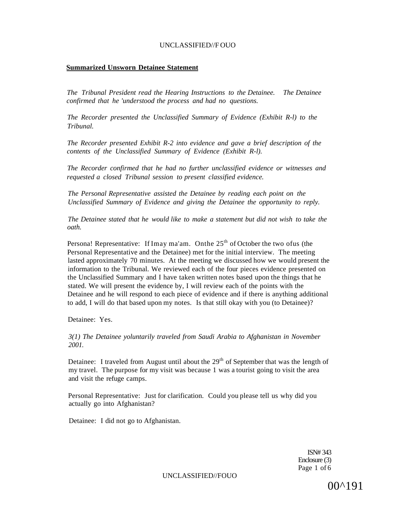#### **Summarized Unsworn Detainee Statement**

*The Tribunal President read the Hearing Instructions to the Detainee. The Detainee confirmed that he 'understood the process and had no questions.* 

*The Recorder presented the Unclassified Summary of Evidence (Exhibit R-l) to the Tribunal.* 

*The Recorder presented Exhibit R-2 into evidence and gave a brief description of the contents of the Unclassified Summary of Evidence (Exhibit R-l).* 

*The Recorder confirmed that he had no further unclassified evidence or witnesses and requested a closed Tribunal session to present classified evidence.* 

*The Personal Representative assisted the Detainee by reading each point on the Unclassified Summary of Evidence and giving the Detainee the opportunity to reply.* 

*The Detainee stated that he would like to make a statement but did not wish to take the oath.* 

Persona! Representative: If Imay ma'am. Onthe  $25<sup>th</sup>$  of October the two ofus (the Personal Representative and the Detainee) met for the initial interview. The meeting lasted approximately 70 minutes. At the meeting we discussed how we would present the information to the Tribunal. We reviewed each of the four pieces evidence presented on the Unclassified Summary and I have taken written notes based upon the things that he stated. We will present the evidence by, I will review each of the points with the Detainee and he will respond to each piece of evidence and if there is anything additional to add, I will do that based upon my notes. Is that still okay with you (to Detainee)?

Detainee: Yes.

*3(1) The Detainee yoluntarily traveled from Saudi Arabia to Afghanistan in November 2001.* 

Detainee: I traveled from August until about the  $29<sup>th</sup>$  of September that was the length of my travel. The purpose for my visit was because 1 was a tourist going to visit the area and visit the refuge camps.

Personal Representative: Just for clarification. Could you please tell us why did you actually go into Afghanistan?

Detainee: I did not go to Afghanistan.

ISN# 343 Enclosure (3) Page 1 of 6

UNCLASSIFIED//FOUO

00^191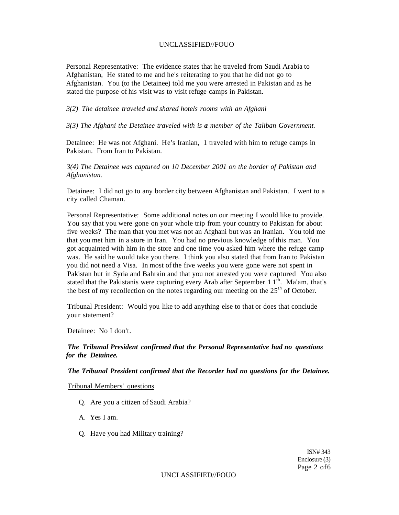Personal Representative: The evidence states that he traveled from Saudi Arabia to Afghanistan, He stated to me and he's reiterating to you that he did not go to Afghanistan. You (to the Detainee) told me you were arrested in Pakistan and as he stated the purpose of his visit was to visit refuge camps in Pakistan.

#### *3(2) The detainee traveled and shared hotels rooms with an Afghani*

*3(3) The Afghani the Detainee traveled with is a member of the Taliban Government.* 

Detainee: He was not Afghani. He's Iranian, 1 traveled with him to refuge camps in Pakistan. From Iran to Pakistan.

*3(4) The Detainee was captured on 10 December 2001 on the border of Pakistan and Afghanistan.* 

Detainee: I did not go to any border city between Afghanistan and Pakistan. I went to a city called Chaman.

Personal Representative: Some additional notes on our meeting I would like to provide. You say that you were gone on your whole trip from your country to Pakistan for about five weeks? The man that you met was not an Afghani but was an Iranian. You told me that you met him in a store in Iran. You had no previous knowledge of this man. You got acquainted with him in the store and one time you asked him where the refuge camp was. He said he would take you there. I think you also stated that from Iran to Pakistan you did not need a Visa. In most of the five weeks you were gone were not spent in Pakistan but in Syria and Bahrain and that you not arrested you were captured You also stated that the Pakistanis were capturing every Arab after September 1  $1<sup>th</sup>$ . Ma'am, that's the best of my recollection on the notes regarding our meeting on the  $25<sup>th</sup>$  of October.

Tribunal President: Would you like to add anything else to that or does that conclude your statement?

Detainee: No I don't.

#### *The Tribunal President confirmed that the Personal Representative had no questions for the Detainee.*

*The Tribunal President confirmed that the Recorder had no questions for the Detainee.* 

#### Tribunal Members' questions

- Q. Are you a citizen of Saudi Arabia?
- A. Yes I am.
- Q. Have you had Military training?

ISN# 343 Enclosure (3) Page 2 of6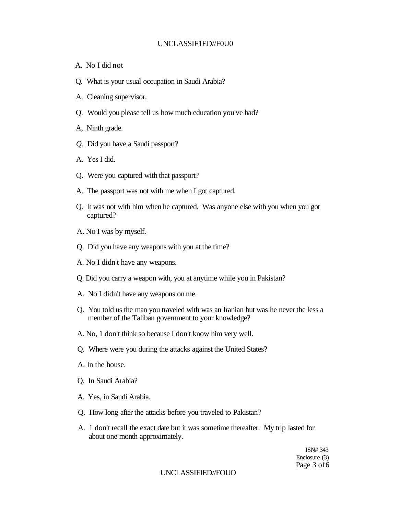#### UNCLASSIF1ED//F0U0

- A. No I did not
- Q. What is your usual occupation in Saudi Arabia?
- A. Cleaning supervisor.
- Q. Would you please tell us how much education you've had?
- A, Ninth grade.
- *Q.* Did you have a Saudi passport?
- A. Yes I did.
- Q. Were you captured with that passport?
- A. The passport was not with me when I got captured.
- Q. It was not with him when he captured. Was anyone else with you when you got captured?
- A. No I was by myself.
- Q. Did you have any weapons with you at the time?
- A. No I didn't have any weapons.
- Q. Did you carry a weapon with, you at anytime while you in Pakistan?
- A. No I didn't have any weapons on me.
- Q. You told us the man you traveled with was an Iranian but was he never the less a member of the Taliban government to your knowledge?
- A. No, 1 don't think so because I don't know him very well.
- Q. Where were you during the attacks against the United States?
- A. In the house.
- Q. In Saudi Arabia?
- A. Yes, in Saudi Arabia.
- Q. How long after the attacks before you traveled to Pakistan?
- A. 1 don't recall the exact date but it was sometime thereafter. My trip lasted for about one month approximately.

ISN# 343 Enclosure (3) Page 3 of6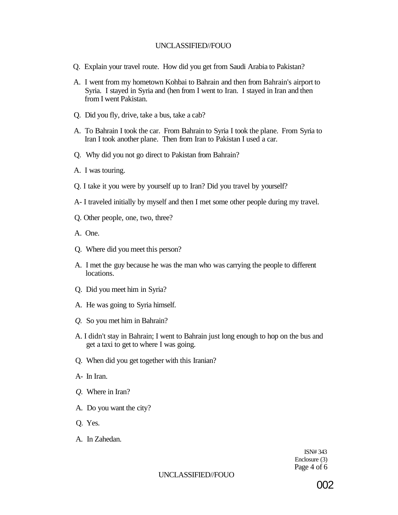- Q. Explain your travel route. How did you get from Saudi Arabia to Pakistan?
- A. I went from my hometown Kohbai to Bahrain and then from Bahrain's airport to Syria. I stayed in Syria and (hen from I went to Iran. I stayed in Iran and then from I went Pakistan.
- Q. Did you fly, drive, take a bus, take a cab?
- A. To Bahrain I took the car. From Bahrain to Syria I took the plane. From Syria to Iran I took another plane. Then from Iran to Pakistan I used a car.
- Q. Why did you not go direct to Pakistan from Bahrain?
- A. I was touring.
- Q. I take it you were by yourself up to Iran? Did you travel by yourself?
- A- I traveled initially by myself and then I met some other people during my travel.
- Q. Other people, one, two, three?
- A. One.
- Q. Where did you meet this person?
- A. I met the guy because he was the man who was carrying the people to different locations.
- Q. Did you meet him in Syria?
- A. He was going to Syria himself.
- *Q.* So you met him in Bahrain?
- A. I didn't stay in Bahrain; I went to Bahrain just long enough to hop on the bus and get a taxi to get to where I was going.
- Q. When did you get together with this Iranian?
- A- In Iran.
- *Q.* Where in Iran?
- A. Do you want the city?
- Q. Yes.
- A. In Zahedan.

ISN# 343 Enclosure (3) Page 4 of 6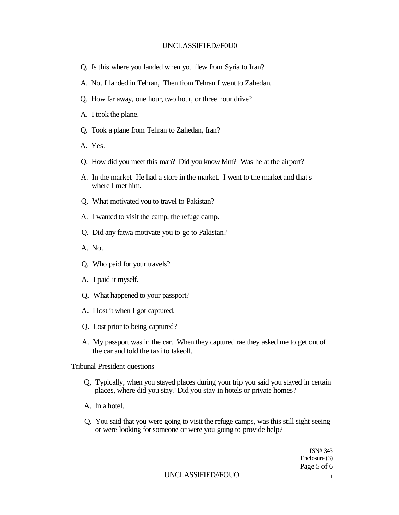### UNCLASSIF1ED//F0U0

- Q, Is this where you landed when you flew from Syria to Iran?
- A. No. I landed in Tehran, Then from Tehran I went to Zahedan.
- Q. How far away, one hour, two hour, or three hour drive?
- A. I took the plane.
- Q. Took a plane from Tehran to Zahedan, Iran?
- A. Yes.
- Q. How did you meet this man? Did you know Mm? Was he at the airport?
- A. In the market He had a store in the market. I went to the market and that's where I met him.
- Q. What motivated you to travel to Pakistan?
- A. I wanted to visit the camp, the refuge camp.
- Q. Did any fatwa motivate you to go to Pakistan?
- A. No.
- Q. Who paid for your travels?
- A. I paid it myself.
- Q. What happened to your passport?
- A. I lost it when I got captured.
- Q. Lost prior to being captured?
- A. My passport was in the car. When they captured rae they asked me to get out of the car and told the taxi to takeoff.

#### Tribunal President questions

- Q, Typically, when you stayed places during your trip you said you stayed in certain places, where did you stay? Did you stay in hotels or private homes?
- A. In a hotel.
- Q. You said that you were going to visit the refuge camps, was this still sight seeing or were looking for someone or were you going to provide help?

ISN# 343 Enclosure (3) Page 5 of 6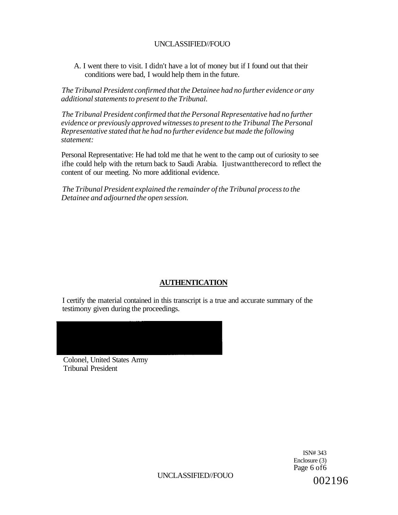A. I went there to visit. I didn't have a lot of money but if I found out that their conditions were bad, I would help them in the future.

*The Tribunal President confirmed that the Detainee had no further evidence or any additional statements to present to the Tribunal.* 

*The Tribunal President confirmed that the Personal Representative had no further evidence or previously approved witnesses to present to the Tribunal The Personal Representative stated that he had no further evidence but made the following statement:* 

Personal Representative: He had told me that he went to the camp out of curiosity to see ifhe could help with the return back to Saudi Arabia. Ijustwanttherecord to reflect the content of our meeting. No more additional evidence.

*The Tribunal President explained the remainder of the Tribunal process to the Detainee and adjourned the open session.* 

# **AUTHENTICATION**

I certify the material contained in this transcript is a true and accurate summary of the testimony given during the proceedings.

Colonel, United States Army Tribunal President

> ISN# 343 Enclosure (3) Page 6 of6

UNCLASSIFIED//FOUO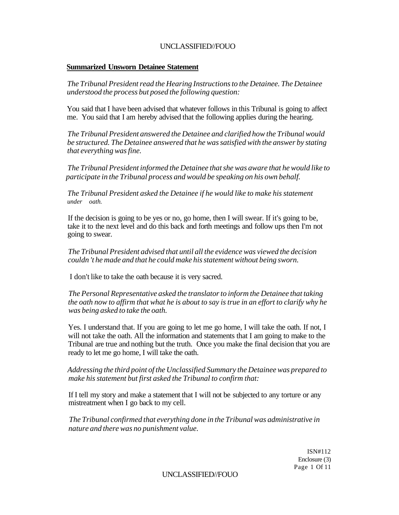### **Summarized Unsworn Detainee Statement**

*The Tribunal President read the Hearing Instructions to the Detainee. The Detainee understood the process but posed the following question:* 

You said that I have been advised that whatever follows in this Tribunal is going to affect me. You said that I am hereby advised that the following applies during the hearing.

*The Tribunal President answered the Detainee and clarified how the Tribunal would be structured. The Detainee answered that he was satisfied with the answer by stating that everything was fine.* 

*The Tribunal President informed the Detainee that she was aware that he would like to participate in the Tribunal process and would be speaking on his own behalf.* 

*The Tribunal President asked the Detainee if he would like to make his statement under oath.* 

If the decision is going to be yes or no, go home, then I will swear. If it's going to be, take it to the next level and do this back and forth meetings and follow ups then I'm not going to swear.

*The Tribunal President advised that until all the evidence was viewed the decision couldn 't he made and that he could make his statement without being sworn.* 

I don't like to take the oath because it is very sacred.

*The Personal Representative asked the translator to inform the Detainee that taking the oath now to affirm that what he is about to say is true in an effort to clarify why he was being asked to take the oath.* 

Yes. I understand that. If you are going to let me go home, I will take the oath. If not, I will not take the oath. All the information and statements that I am going to make to the Tribunal are true and nothing but the truth. Once you make the final decision that you are ready to let me go home, I will take the oath.

### *Addressing the third point of the Unclassified Summary the Detainee was prepared to make his statement but first asked the Tribunal to confirm that:*

If I tell my story and make a statement that I will not be subjected to any torture or any mistreatment when I go back to my cell.

*The Tribunal confirmed that everything done in the Tribunal was administrative in nature and there was no punishment value.* 

> ISN#112 Enclosure (3) Page 1 Of 11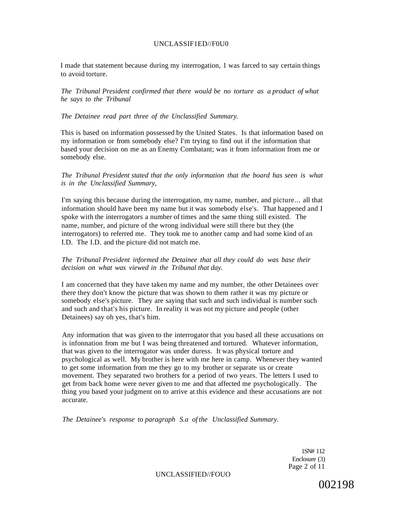#### UNCLASSIF1ED//F0U0

I made that statement because during my interrogation, 1 was farced to say certain things to avoid torture.

*The Tribunal President confirmed that there would be no torture as a product of what he says to the Tribunal* 

#### *The Detainee read part three of the Unclassified Summary.*

This is based on information possessed by the United States. Is that information based on my information or from somebody else? I'm trying to find out if the information that based your decision on me as an Enemy Combatant; was it from information from me or somebody else.

*The Tribunal President stated that the only information that the board has seen is what is in the Unclassified Summary,* 

I'm saying this because during the interrogation, my name, number, and picture... all that information should have been my name but it was somebody else's. That happened and I spoke with the interrogators a number of times and the same thing still existed. The name, number, and picture of the wrong individual were still there but they (the interrogators) to referred me. They took me to another camp and had some kind of an I.D. The I.D. and the picture did not match me.

#### *The Tribunal President informed the Detainee that all they could do was base their decision on what was viewed in the Tribunal that day.*

I am concerned that they have taken my name and my number, the other Detainees over there they don't know the picture that was shown to them rather it was my picture or somebody else's picture. They are saying that such and such individual is number such and such and that's his picture. In reality it was not my picture and people (other Detainees) say oh yes, that's him.

Any information that was given to the interrogator that you based all these accusations on is infonnation from me but I was being threatened and tortured. Whatever information, that was given to the interrogator was under duress. It was physical torture and psychological as well. My brother is here with me here in camp. Whenever they wanted to get some information from me they go to my brother or separate us or create movement. They separated two brothers for a period of two years. The letters I used to get from back home were never given to me and that affected me psychologically. The thing you based your judgment on to arrive at this evidence and these accusations are not accurate.

*The Detainee's response to paragraph S.a of the Unclassified Summary.* 

1SN# 112 Enclosure (3) Page 2 of 11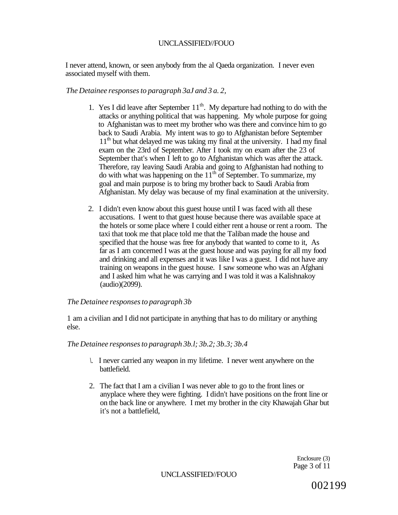I never attend, known, or seen anybody from the al Qaeda organization. I never even associated myself with them.

### *The Detainee responses to paragraph 3aJ and 3 a. 2,*

- 1. Yes I did leave after September  $11<sup>th</sup>$ . My departure had nothing to do with the attacks or anything political that was happening. My whole purpose for going to Afghanistan was to meet my brother who was there and convince him to go back to Saudi Arabia. My intent was to go to Afghanistan before September 11<sup>th</sup> but what delayed me was taking my final at the university. I had my final exam on the 23rd of September. After I took my on exam after the 23 of September that's when I left to go to Afghanistan which was after the attack. Therefore, ray leaving Saudi Arabia and going to Afghanistan had nothing to do with what was happening on the  $11<sup>th</sup>$  of September. To summarize, my goal and main purpose is to bring my brother back to Saudi Arabia from Afghanistan. My delay was because of my final examination at the university.
- 2. I didn't even know about this guest house until I was faced with all these accusations. I went to that guest house because there was available space at the hotels or some place where I could either rent a house or rent a room. The taxi that took me that place told me that the Taliban made the house and specified that the house was free for anybody that wanted to come to it, As far as I am concerned I was at the guest house and was paying for all my food and drinking and all expenses and it was like I was a guest. I did not have any training on weapons in the guest house. I saw someone who was an Afghani and I asked him what he was carrying and I was told it was a Kalishnakoy (audio)(2099).

### *The Detainee responses to paragraph 3b*

1 am a civilian and I did not participate in anything that has to do military or anything else.

### *The Detainee responses to paragraph 3b.l; 3b.2; 3b.3; 3b.4*

- *\.* I never carried any weapon in my lifetime. I never went anywhere on the battlefield.
- 2. The fact that I am a civilian I was never able to go to the front lines or anyplace where they were fighting. I didn't have positions on the front line or on the back line or anywhere. I met my brother in the city Khawajah Ghar but it's not a battlefield,

Enclosure (3) Page 3 of 11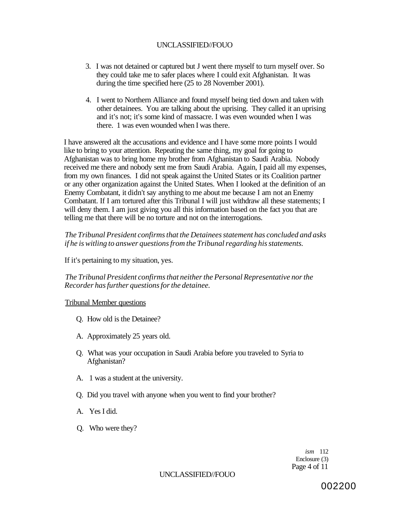- 3. I was not detained or captured but J went there myself to turn myself over. So they could take me to safer places where I could exit Afghanistan. It was during the time specified here (25 to 28 November 2001).
- 4. I went to Northern Alliance and found myself being tied down and taken with other detainees. You are talking about the uprising. They called it an uprising and it's not; it's some kind of massacre. I was even wounded when I was there. 1 was even wounded when I was there.

I have answered alt the accusations and evidence and I have some more points I would like to bring to your attention. Repeating the same thing, my goal for going to Afghanistan was to bring home my brother from Afghanistan to Saudi Arabia. Nobody received me there and nobody sent me from Saudi Arabia. Again, I paid all my expenses, from my own finances. I did not speak against the United States or its Coalition partner or any other organization against the United States. When I looked at the definition of an Enemy Combatant, it didn't say anything to me about me because I am not an Enemy Combatant. If I am tortured after this Tribunal I will just withdraw all these statements; I will deny them. I am just giving you all this information based on the fact you that are telling me that there will be no torture and not on the interrogations.

*The Tribunal President confirms that the Detainees statement has concluded and asks if he is witling to answer questions from the Tribunal regarding his statements.* 

If it's pertaining to my situation, yes.

*The Tribunal President confirms that neither the Personal Representative nor the Recorder has further questions for the detainee.* 

### Tribunal Member questions

- Q. How old is the Detainee?
- A. Approximately 25 years old.
- Q. What was your occupation in Saudi Arabia before you traveled to Syria to Afghanistan?
- A. 1 was a student at the university.
- Q. Did you travel with anyone when you went to find your brother?
- A. Yes I did.
- Q. Who were they?

*ism* 112 Enclosure (3) Page 4 of 11

### UNCLASSIFIED//FOUO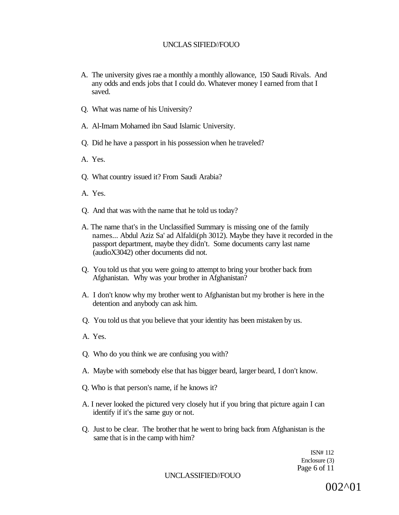- A. The university gives rae a monthly a monthly allowance, 150 Saudi Rivals. And any odds and ends jobs that I could do. Whatever money I earned from that I saved.
- Q. What was name of his University?
- A. Al-Imam Mohamed ibn Saud Islamic University.
- Q. Did he have a passport in his possession when he traveled?
- A. Yes.
- Q. What country issued it? From Saudi Arabia?
- A. Yes.
- Q. And that was with the name that he told us today?
- A. The name that's in the Unclassified Summary is missing one of the family names... Abdul Aziz Sa' ad Alfaldi(ph 3012). Maybe they have it recorded in the passport department, maybe they didn't. Some documents carry last name (audioX3042) other documents did not.
- Q. You told us that you were going to attempt to bring your brother back from Afghanistan. Why was your brother in Afghanistan?
- A. I don't know why my brother went to Afghanistan but my brother is here in the detention and anybody can ask him.
- Q. You told us that you believe that your identity has been mistaken by us.
- A. Yes.
- Q. Who do you think we are confusing you with?
- A. Maybe with somebody else that has bigger beard, larger beard, I don't know.
- Q. Who is that person's name, if he knows it?
- A. I never looked the pictured very closely hut if you bring that picture again I can identify if it's the same guy or not.
- Q. Just to be clear. The brother that he went to bring back from Afghanistan is the same that is in the camp with him?

ISN# 112 Enclosure (3) Page 6 of 11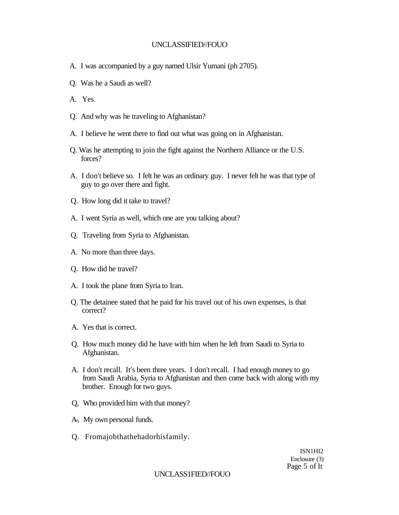- A. I was accompanied by a guy named Ulsir Yumani (ph 2705).
- Q. Was he a Saudi as well?
- A. Yes.
- Q. And why was he traveling to Afghanistan?
- A. I believe he went there to find out what was going on in Afghanistan.
- Q. Was he attempting to join the fight against the Northern Alliance or the U.S. forces?
- A. I don't believe so. I felt he was an ordinary guy. I never felt he was that type of guy to go over there and fight.
- Q. How long did it take to travel?
- A. I went Syria as well, which one are you talking about?
- Q. Traveling from Syria to Afghanistan.
- A. No more than three days.
- Q. How did he travel?
- A. I took the plane from Syria to Iran.
- Q. The detainee stated that he paid for his travel out of his own expenses, is that correct?
- A. Yes that is correct.
- Q. How much money did he have with him when he left from Saudi to Syria to Afghanistan.
- A. I don't recall. It's been three years. I don't recall. I had enough money to go from Saudi Arabia, Syria to Afghanistan and then come back with along with my brother. Enough for two guys.
- Q, Who provided him with that money?
- A-, My own personal funds.
- Q. Fromajobthathehadorhisfamily.

ISN1HI2 Enclosure (3) Page 5 of It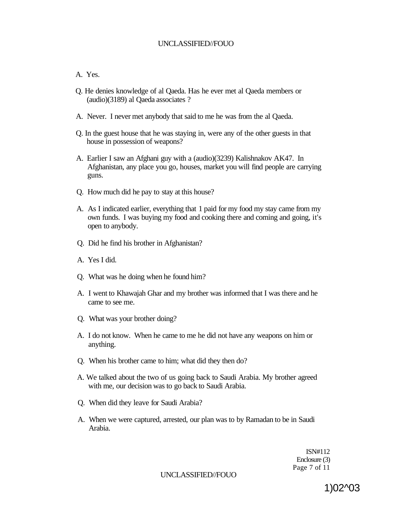### A. Yes.

- Q. He denies knowledge of al Qaeda. Has he ever met al Qaeda members or (audio)(3189) al Qaeda associates ?
- A. Never. I never met anybody that said to me he was from the al Qaeda.
- Q. In the guest house that he was staying in, were any of the other guests in that house in possession of weapons?
- A. Earlier I saw an Afghani guy with a (audio)(3239) Kalishnakov AK47. In Afghanistan, any place you go, houses, market you will find people are carrying guns.
- Q. How much did he pay to stay at this house?
- A. As I indicated earlier, everything that 1 paid for my food my stay came from my own funds. I was buying my food and cooking there and coming and going, it's open to anybody.
- Q. Did he find his brother in Afghanistan?
- A. Yes I did.
- Q. What was he doing when he found him?
- A. I went to Khawajah Ghar and my brother was informed that I was there and he came to see me.
- Q. What was your brother doing?
- A. I do not know. When he came to me he did not have any weapons on him or anything.
- Q. When his brother came to him; what did they then do?
- A. We talked about the two of us going back to Saudi Arabia. My brother agreed with me, our decision was to go back to Saudi Arabia.
- Q. When did they leave for Saudi Arabia?
- A. When we were captured, arrested, our plan was to by Ramadan to be in Saudi Arabia.

ISN#112 Enclosure (3) Page 7 of 11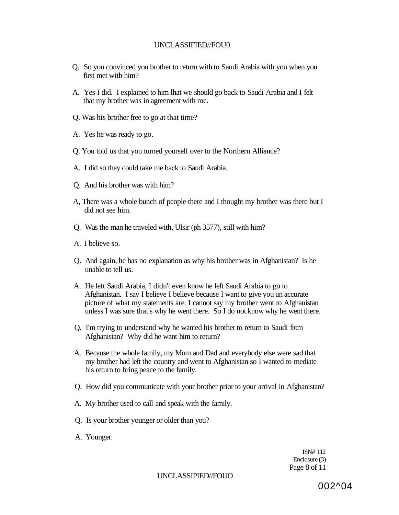- Q. So you convinced you brother to return with to Saudi Arabia with you when you first met with him?
- A. Yes I did. I explained to him lhat we should go back to Saudi Arabia and I felt that my brother was in agreement with me.
- Q. Was his brother free to go at that time?
- A. Yes he was ready to go.
- Q. You told us that you turned yourself over to the Northern Alliance?
- A. I did so they could take me back to Saudi Arabia.
- Q. And his brother was with him?
- A, There was a whole bunch of people there and I thought my brother was there but I did not see him.
- Q. Was the man he traveled with, Ulsir (ph 3577), still with him?
- A. I believe so.
- Q. And again, he has no explanation as why his brother was in Afghanistan? Is he unable to tell us.
- A. He left Saudi Arabia, I didn't even know he left Saudi Arabia to go to Afghanistan. I say I believe I believe because I want to give you an accurate picture of what my statements are. I cannot say my brother went to Afghanistan unless I was sure that's why he went there. So I do not know why he went there.
- Q. I'm trying to understand why he wanted his brother to return to Saudi from Afghanistan? Why did he want him to return?
- A. Because the whole family, my Mom and Dad and everybody else were sad that my brother had left the country and went to Afghanistan so I wanted to mediate his return to bring peace to the family.
- Q. How did you communicate with your brother prior to your arrival in Afghanistan?
- A. My brother used to call and speak with the family.
- Q. Is your brother younger or older than you?
- A. Younger.

ISN# 112 Enclosure (3) Page 8 of 11

UNCLASSIPIED//FOUO

002^04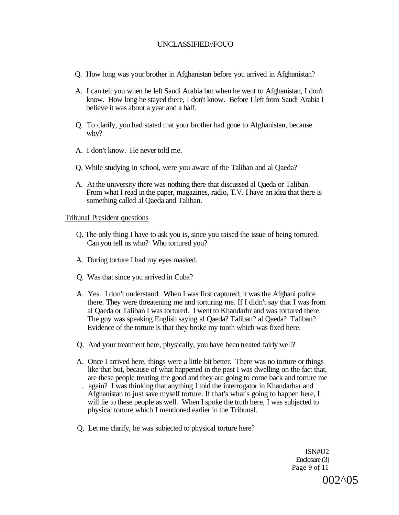- Q. How long was your brother in Afghanistan before you arrived in Afghanistan?
- A. I can tell you when he left Saudi Arabia but when he went to Afghanistan, I don't know. How long he stayed there, I don't know. Before I left from Saudi Arabia I believe it was about a year and a half.
- Q. To clarify, you had stated that your brother had gone to Afghanistan, because why?
- A. I don't know. He never told me.
- Q. While studying in school, were you aware of the Taliban and al Qaeda?
- A. At the university there was nothing there that discussed al Qaeda or Taliban. From what I read in the paper, magazines, radio, T.V. I have an idea that there is something called al Qaeda and Taliban.

#### Tribunal President questions

- Q. The only thing I have to ask you is, since you raised the issue of being tortured. Can you tell us who? Who tortured you?
- A. During torture I had my eyes masked.
- Q. Was that since you arrived in Cuba?
- A. Yes. I don't understand. When I was first captured; it was the Afghani police there. They were threatening me and torturing me. If I didn't say that I was from al Qaeda or Taliban I was tortured. I went to Khandarhr and was tortured there. The guy was speaking English saying al Qaeda? Taliban? al Qaeda? Taliban? Evidence of the torture is that they broke my tooth which was fixed here.
- Q. And your treatment here, physically, you have been treated fairly well?
- A. Once I arrived here, things were a little bit better. There was no torture or things like that but, because of what happened in the past I was dwelling on the fact that, are these people treating me good and they are going to come back and torture me . again? I was thinking that anything I told the interrogator in Khandarhar and Afghanistan to just save myself torture. If that's what's going to happen here, I will lie to these people as well. When I spoke the truth here, I was subjected to physical torture which I mentioned earlier in the Tribunal.
- Q. Let me clarify, he was subjected to physical torture here?

ISN#U2 Enclosure (3) Page 9 of 11

002^05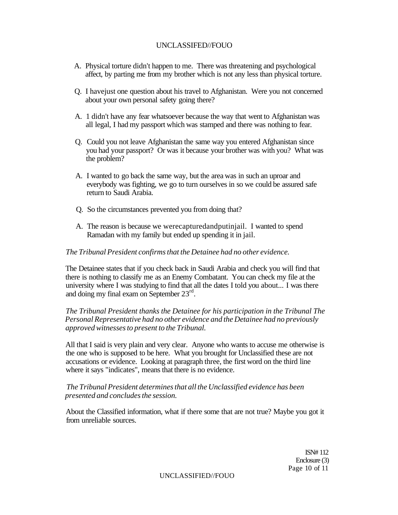- A. Physical torture didn't happen to me. There was threatening and psychological affect, by parting me from my brother which is not any less than physical torture.
- Q. I havejust one question about his travel to Afghanistan. Were you not concerned about your own personal safety going there?
- A. 1 didn't have any fear whatsoever because the way that went to Afghanistan was all legal, I had my passport which was stamped and there was nothing to fear.
- Q. Could you not leave Afghanistan the same way you entered Afghanistan since you had your passport? Or was it because your brother was with you? What was the problem?
- A. I wanted to go back the same way, but the area was in such an uproar and everybody was fighting, we go to turn ourselves in so we could be assured safe return to Saudi Arabia.
- Q. So the circumstances prevented you from doing that?
- A. The reason is because we werecapturedandputinjail. I wanted to spend Ramadan with my family but ended up spending it in jail.

#### *The Tribunal President confirms that the Detainee had no other evidence.*

The Detainee states that if you check back in Saudi Arabia and check you will find that there is nothing to classify me as an Enemy Combatant. You can check my file at the university where I was studying to find that all the dates I told you about... I was there and doing my final exam on September 23rd .

*The Tribunal President thanks the Detainee for his participation in the Tribunal The Personal Representative had no other evidence and the Detainee had no previously approved witnesses to present to the Tribunal.* 

All that I said is very plain and very clear. Anyone who wants to accuse me otherwise is the one who is supposed to be here. What you brought for Unclassified these are not accusations or evidence. Looking at paragraph three, the first word on the third line where it says "indicates", means that there is no evidence.

### *The Tribunal President determines that all the Unclassified evidence has been presented and concludes the session.*

About the Classified information, what if there some that are not true? Maybe you got it from unreliable sources.

> ISN# 112 Enclosure (3) Page 10 of 11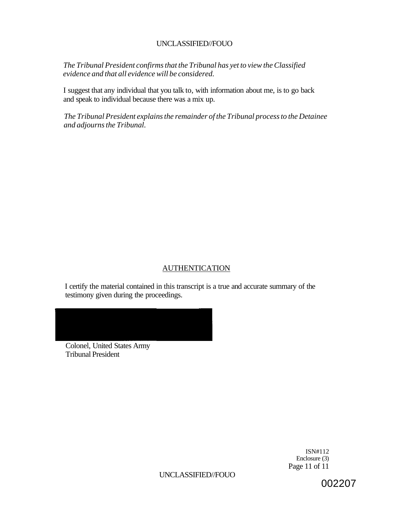*The Tribunal President confirms that the Tribunal has yet to view the Classified evidence and that all evidence will be considered.* 

I suggest that any individual that you talk to, with information about me, is to go back and speak to individual because there was a mix up.

*The Tribunal President explains the remainder of the Tribunal process to the Detainee and adjourns the Tribunal.* 

# AUTHENTICATION

I certify the material contained in this transcript is a true and accurate summary of the testimony given during the proceedings.

Colonel, United States Army

Tribunal President

ISN#112 Enclosure (3) Page 11 of 11

UNCLASSIFIED//FOUO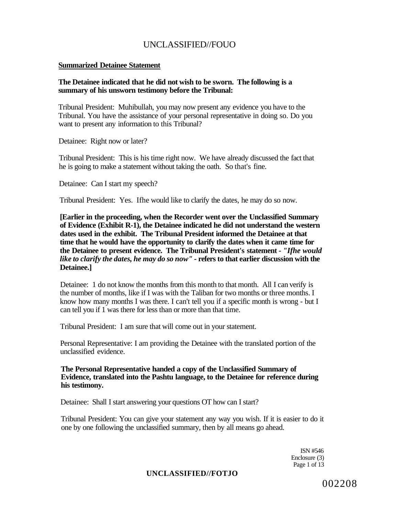#### **Summarized Detainee Statement**

### **The Detainee indicated that he did not wish to be sworn. The following is a summary of his unsworn testimony before the Tribunal:**

Tribunal President: Muhibullah, you may now present any evidence you have to the Tribunal. You have the assistance of your personal representative in doing so. Do you want to present any information to this Tribunal?

Detainee: Right now or later?

Tribunal President: This is his time right now. We have already discussed the fact that he is going to make a statement without taking the oath. So that's fine.

Detainee: Can I start my speech?

Tribunal President: Yes. Ifhe would like to clarify the dates, he may do so now.

**[Earlier in the proceeding, when the Recorder went over the Unclassified Summary of Evidence (Exhibit R-1), the Detainee indicated he did not understand the western dates used in the exhibit. The Tribunal President informed the Detainee at that time that he would have the opportunity to clarify the dates when it came time for the Detainee to present evidence. The Tribunal President's statement -** *"Ifhe would like to clarify the dates, he may do so now" -* **refers to that earlier discussion with the Detainee.]** 

Detainee: 1 do not know the months from this month to that month. All I can verify is the number of months, like if I was with the Taliban for two months or three months. I know how many months I was there. I can't tell you if a specific month is wrong - but I can tell you if 1 was there for less than or more than that time.

Tribunal President: I am sure that will come out in your statement.

Personal Representative: I am providing the Detainee with the translated portion of the unclassified evidence.

**The Personal Representative handed a copy of the Unclassified Summary of Evidence, translated into the Pashtu language, to the Detainee for reference during his testimony.** 

Detainee: Shall I start answering your questions OT how can I start?

Tribunal President: You can give your statement any way you wish. If it is easier to do it one by one following the unclassified summary, then by all means go ahead.

> ISN #546 Enclosure (3) Page 1 of 13

### **UNCLASSIFIED//FOTJO**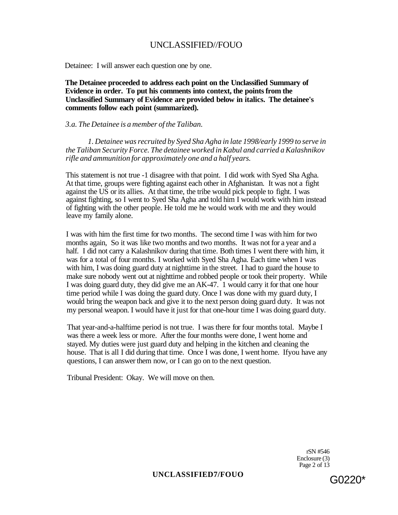Detainee: I will answer each question one by one.

**The Detainee proceeded to address each point on the Unclassified Summary of Evidence in order. To put his comments into context, the points from the Unclassified Summary of Evidence are provided below in italics. The detainee's comments follow each point (summarized).** 

#### *3.a. The Detainee is a member of the Taliban.*

*1. Detainee was recruited by Syed Sha Agha in late 1998/early 1999 to serve in the Taliban Security Force. The detainee worked in Kabul and carried a Kalashnikov rifle and ammunition for approximately one and a half years.* 

This statement is not true -1 disagree with that point. I did work with Syed Sha Agha. At that time, groups were fighting against each other in Afghanistan. It was not a fight against the US or its allies. At that time, the tribe would pick people to fight. I was against fighting, so I went to Syed Sha Agha and told him I would work with him instead of fighting with the other people. He told me he would work with me and they would leave my family alone.

I was with him the first time for two months. The second time I was with him for two months again, So it was like two months and two months. It was not for a year and a half. I did not carry a Kalashnikov during that time. Both times I went there with him, it was for a total of four months. I worked with Syed Sha Agha. Each time when I was with him, I was doing guard duty at nighttime in the street. I had to guard the house to make sure nobody went out at nighttime and robbed people or took their property. While I was doing guard duty, they did give me an AK-47. 1 would carry it for that one hour time period while I was doing the guard duty. Once I was done with my guard duty, I would bring the weapon back and give it to the next person doing guard duty. It was not my personal weapon. I would have it just for that one-hour time I was doing guard duty.

That year-and-a-halftime period is not true. I was there for four months total. Maybe I was there a week less or more. After the four months were done, I went home and stayed. My duties were just guard duty and helping in the kitchen and cleaning the house. That is all I did during that time. Once I was done, I went home. Ifyou have any questions, I can answer them now, or I can go on to the next question.

Tribunal President: Okay. We will move on then.

rSN #546 Enclosure (3) Page 2 of 13

# UNCLASSIFIED7/FOUO G0220<sup>\*</sup>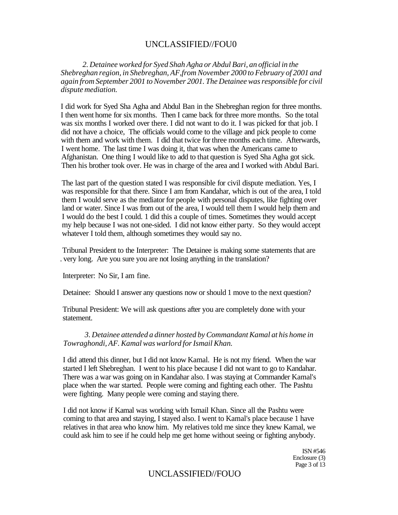*2. Detainee worked for Syed Shah Agha or Abdul Bari, an official in the Shebreghan region, in Shebreghan, AF,from November 2000 to February of 2001 and again from September 2001 to November 2001. The Detainee was responsible for civil dispute mediation.* 

I did work for Syed Sha Agha and Abdul Ban in the Shebreghan region for three months. I then went home for six months. Then I came back for three more months. So the total was six months I worked over there. I did not want to do it. I was picked for that job. I did not have a choice, The officials would come to the village and pick people to come with them and work with them. I did that twice for three months each time. Afterwards, I went home. The last time I was doing it, that was when the Americans came to Afghanistan. One thing I would like to add to that question is Syed Sha Agha got sick. Then his brother took over. He was in charge of the area and I worked with Abdul Bari.

The last part of the question stated I was responsible for civil dispute mediation. Yes, I was responsible for that there. Since I am from Kandahar, which is out of the area, I told them I would serve as the mediator for people with personal disputes, like fighting over land or water. Since I was from out of the area, I would tell them I would help them and I would do the best I could. 1 did this a couple of times. Sometimes they would accept my help because I was not one-sided. I did not know either party. So they would accept whatever I told them, although sometimes they would say no.

Tribunal President to the Interpreter: The Detainee is making some statements that are . very long. Are you sure you are not losing anything in the translation?

Interpreter: No Sir, I am fine.

Detainee: Should I answer any questions now or should 1 move to the next question?

Tribunal President: We will ask questions after you are completely done with your statement.

*3. Detainee attended a dinner hosted by Commandant Kamal at his home in Towraghondi, AF. Kamal was warlord for Ismail Khan.* 

I did attend this dinner, but I did not know Kamal. He is not my friend. When the war started I left Shebreghan. I went to his place because I did not want to go to Kandahar. There was a war was going on in Kandahar also. I was staying at Commander Kamal's place when the war started. People were coming and fighting each other. The Pashtu were fighting. Many people were coming and staying there.

I did not know if Kamal was working with Ismail Khan. Since all the Pashtu were coming to that area and staying, I stayed also. I went to Kamal's place because 1 have relatives in that area who know him. My relatives told me since they knew Kamal, we could ask him to see if he could help me get home without seeing or fighting anybody.

> ISN #546 Enclosure (3) Page 3 of 13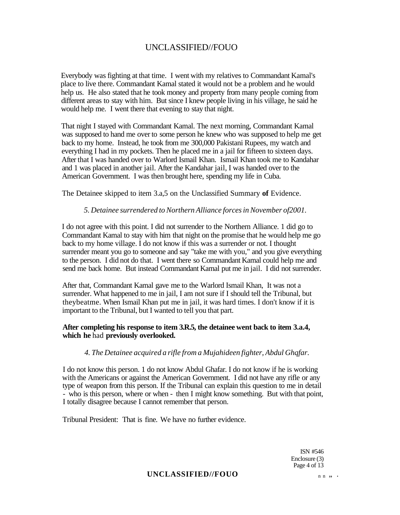Everybody was fighting at that time. I went with my relatives to Commandant Kamal's place to live there. Commandant Kamal stated it would not be a problem and he would help us. He also stated that he took money and property from many people coming from different areas to stay with him. But since I knew people living in his village, he said he would help me. I went there that evening to stay that night.

That night I stayed with Commandant Kamal. The next morning, Commandant Kamal was supposed to hand me over to some person he knew who was supposed to help me get back to my home. Instead, he took from me 300,000 Pakistani Rupees, my watch and everything I had in my pockets. Then he placed me in a jail for fifteen to sixteen days. After that I was handed over to Warlord Ismail Khan. Ismail Khan took me to Kandahar and 1 was placed in another jail. After the Kandahar jail, I was handed over to the American Government. I was then brought here, spending my life in Cuba.

The Detainee skipped to item 3.a,5 on the Unclassified Summary **of** Evidence.

### *5. Detainee surrendered to Northern Alliance forces in November of2001.*

I do not agree with this point. I did not surrender to the Northern Alliance. 1 did go to Commandant Kamal to stay with him that night on the promise that he would help me go back to my home village. I do not know if this was a surrender or not. I thought surrender meant you go to someone and say "take me with you," and you give everything to the person. I did not do that. I went there so Commandant Kamal could help me and send me back home. But instead Commandant Kamal put me in jail. I did not surrender.

After that, Commandant Kamal gave me to the Warlord Ismail Khan, It was not a surrender. What happened to me in jail, I am not sure if I should tell the Tribunal, but theybeatme. When Ismail Khan put me in jail, it was hard times. I don't know if it is important to the Tribunal, but I wanted to tell you that part.

### **After completing his response to item 3.R.5, the detainee went back to item 3.a.4, which he** had **previously overlooked.**

### *4. The Detainee acquired a rifle from a Mujahideen fighter, Abdul Ghqfar.*

I do not know this person. 1 do not know Abdul Ghafar. I do not know if he is working with the Americans or against the American Government. I did not have any rifle or any type of weapon from this person. If the Tribunal can explain this question to me in detail - who is this person, where or when - then I might know something. But with that point, I totally disagree because I cannot remember that person.

Tribunal President: That is fine. We have no further evidence.

ISN #546 Enclosure (3) Page 4 of 13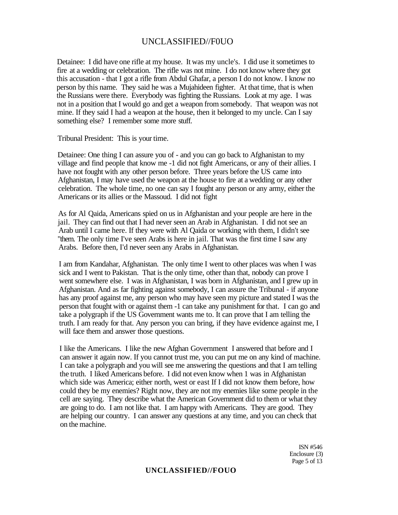Detainee: I did have one rifle at my house. It was my uncle's. I did use it sometimes to fire at a wedding or celebration. The rifle was not mine. I do not know where they got this accusation - that I got a rifle from Abdul Ghafar, a person I do not know. I know no person by this name. They said he was a Mujahideen fighter. At that time, that is when the Russians were there. Everybody was fighting the Russians. Look at my age. I was not in a position that I would go and get a weapon from somebody. That weapon was not mine. If they said I had a weapon at the house, then it belonged to my uncle. Can I say something else? I remember some more stuff.

Tribunal President: This is your time.

Detainee: One thing I can assure you of - and you can go back to Afghanistan to my village and find people that know me -1 did not fight Americans, or any of their allies. I have not fought with any other person before. Three years before the US came into Afghanistan, I may have used the weapon at the house to fire at a wedding or any other celebration. The whole time, no one can say I fought any person or any army, either the Americans or its allies or the Massoud. I did not fight

As for Al Qaida, Americans spied on us in Afghanistan and your people are here in the jail. They can find out that I had never seen an Arab in Afghanistan. I did not see an Arab until I came here. If they were with Al Qaida or working with them, I didn't see "them. The only time I've seen Arabs is here in jail. That was the first time I saw any Arabs. Before then, I'd never seen any Arabs in Afghanistan.

I am from Kandahar, Afghanistan. The only time I went to other places was when I was sick and I went to Pakistan. That is the only time, other than that, nobody can prove I went somewhere else. I was in Afghanistan, I was born in Afghanistan, and I grew up in Afghanistan. And as far fighting against somebody, I can assure the Tribunal - if anyone has any proof against me, any person who may have seen my picture and stated I was the person that fought with or against them -1 can take any punishment for that. I can go and take a polygraph if the US Government wants me to. It can prove that I am telling the truth. I am ready for that. Any person you can bring, if they have evidence against me, I will face them and answer those questions.

I like the Americans. I like the new Afghan Government I answered that before and I can answer it again now. If you cannot trust me, you can put me on any kind of machine. I can take a polygraph and you will see me answering the questions and that I am telling the truth. I liked Americans before. I did not even know when 1 was in Afghanistan which side was America; either north, west or east If I did not know them before, how could they be my enemies? Right now, they are not my enemies like some people in the cell are saying. They describe what the American Government did to them or what they are going to do. I am not like that. I am happy with Americans. They are good. They are helping our country. I can answer any questions at any time, and you can check that on the machine.

> ISN #546 Enclosure {3) Page 5 of 13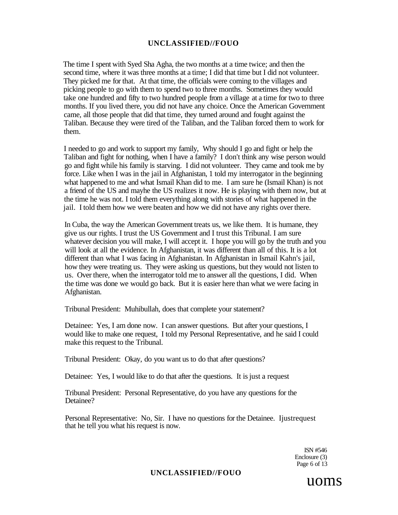The time I spent with Syed Sha Agha, the two months at a time twice; and then the second time, where it was three months at a time; I did that time but I did not volunteer. They picked me for that. At that time, the officials were coming to the villages and picking people to go with them to spend two to three months. Sometimes they would take one hundred and fifty to two hundred people from a village at a time for two to three months. If you lived there, you did not have any choice. Once the American Government came, all those people that did that time, they turned around and fought against the Taliban. Because they were tired of the Taliban, and the Taliban forced them to work for them.

I needed to go and work to support my family, Why should I go and fight or help the Taliban and fight for nothing, when I have a family? I don't think any wise person would go and fight while his family is starving. I did not volunteer. They came and took me by force. Like when I was in the jail in Afghanistan, 1 told my interrogator in the beginning what happened to me and what Ismail Khan did to me. I am sure he (Ismail Khan) is not a friend of the US and mayhe the US realizes it now. He is playing with them now, but at the time he was not. I told them everything along with stories of what happened in the jail. I told them how we were beaten and how we did not have any rights over there.

In Cuba, the way the American Government treats us, we like them. It is humane, they give us our rights. I trust the US Government and I trust this Tribunal. I am sure whatever decision you will make, I will accept it. I hope you will go by the truth and you will look at all the evidence. In Afghanistan, it was different than all of this. It is a lot different than what I was facing in Afghanistan. In Afghanistan in Ismail Kahn's jail, how they were treating us. They were asking us questions, but they would not listen to us. Over there, when the interrogator told me to answer all the questions, I did. When the time was done we would go back. But it is easier here than what we were facing in Afghanistan.

Tribunal President: Muhibullah, does that complete your statement?

Detainee: Yes, I am done now. I can answer questions. But after your questions, I would like to make one request, I told my Personal Representative, and he said I could make this request to the Tribunal.

Tribunal President: Okay, do you want us to do that after questions?

Detainee: Yes, I would like to do that after the questions. It is just a request

Tribunal President: Personal Representative, do you have any questions for the Detainee?

Personal Representative: No, Sir. I have no questions for the Detainee. Ijustrequest that he tell you what his request is now.

> ISN #546 Enclosure (3) Page 6 of 13

#### **UNCLASSIFIED//FOUO**

uoms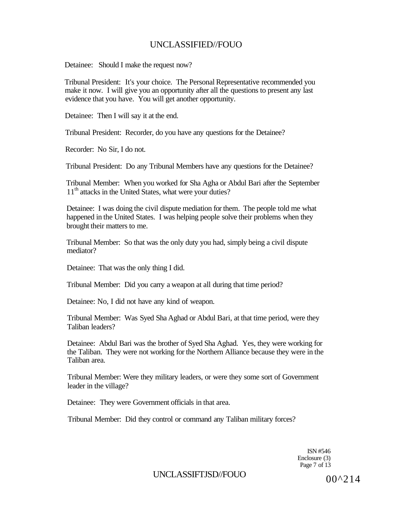Detainee: Should I make the request now?

Tribunal President: It's your choice. The Personal Representative recommended you make it now. I will give you an opportunity after all the questions to present any last evidence that you have. You will get another opportunity.

Detainee: Then I will say it at the end.

Tribunal President: Recorder, do you have any questions for the Detainee?

Recorder: No Sir, I do not.

Tribunal President: Do any Tribunal Members have any questions for the Detainee?

Tribunal Member: When you worked for Sha Agha or Abdul Bari after the September 11<sup>th</sup> attacks in the United States, what were your duties?

Detainee: I was doing the civil dispute mediation for them. The people told me what happened in the United States. I was helping people solve their problems when they brought their matters to me.

Tribunal Member: So that was the only duty you had, simply being a civil dispute mediator?

Detainee: That was the only thing I did.

Tribunal Member: Did you carry a weapon at all during that time period?

Detainee: No, I did not have any kind of weapon.

Tribunal Member: Was Syed Sha Aghad or Abdul Bari, at that time period, were they Taliban leaders?

Detainee: Abdul Bari was the brother of Syed Sha Aghad. Yes, they were working for the Taliban. They were not working for the Northern Alliance because they were in the Taliban area.

Tribunal Member: Were they military leaders, or were they some sort of Government leader in the village?

Detainee: They were Government officials in that area.

Tribunal Member: Did they control or command any Taliban military forces?

ISN #546 Enclosure (3) Page 7 of 13

UNCLASSIFTJSD//FOUO  $00^{0.214}$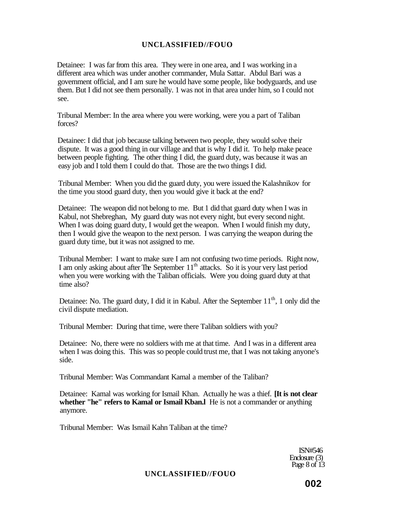Detainee: I was far from this area. They were in one area, and I was working in a different area which was under another commander, Mula Sattar. Abdul Bari was a government official, and I am sure he would have some people, like bodyguards, and use them. But I did not see them personally. 1 was not in that area under him, so I could not see.

Tribunal Member: In the area where you were working, were you a part of Taliban forces?

Detainee: I did that job because talking between two people, they would solve their dispute. It was a good thing in our village and that is why I did it. To help make peace between people fighting. The other thing I did, the guard duty, was because it was an easy job and I told them I could do that. Those are the two things I did.

Tribunal Member: When you did the guard duty, you were issued the Kalashnikov for the time you stood guard duty, then you would give it back at the end?

Detainee: The weapon did not belong to me. But 1 did that guard duty when I was in Kabul, not Shebreghan, My guard duty was not every night, but every second night. When I was doing guard duty, I would get the weapon. When I would finish my duty, then I would give the weapon to the next person. I was carrying the weapon during the guard duty time, but it was not assigned to me.

Tribunal Member: I want to make sure I am not confusing two time periods. Right now, I am only asking about after The September  $11<sup>th</sup>$  attacks. So it is your very last period when you were working with the Taliban officials. Were you doing guard duty at that time also?

Detainee: No. The guard duty, I did it in Kabul. After the September  $11<sup>th</sup>$ , 1 only did the civil dispute mediation.

Tribunal Member: During that time, were there Taliban soldiers with you?

Detainee: No, there were no soldiers with me at that time. And I was in a different area when I was doing this. This was so people could trust me, that I was not taking anyone's side.

Tribunal Member: Was Commandant Kamal a member of the Taliban?

Detainee: Kamal was working for Ismail Khan. Actually he was a thief. **[It is not clear whether "he" refers to Kamal or Ismail Kban.l** He is not a commander or anything anymore.

Tribunal Member: Was Ismail Kahn Taliban at the time?

ISN#546 Enclosure (3) Page 8 of 13

### **UNCLASSIFIED//FOUO**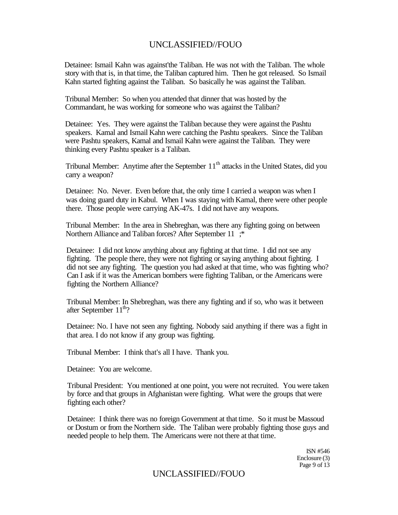Detainee: Ismail Kahn was against'the Taliban. He was not with the Taliban. The whole story with that is, in that time, the Taliban captured him. Then he got released. So Ismail Kahn started fighting against the Taliban. So basically he was against the Taliban.

Tribunal Member: So when you attended that dinner that was hosted by the Commandant, he was working for someone who was against the Taliban?

Detainee: Yes. They were against the Taliban because they were against the Pashtu speakers. Kamal and Ismail Kahn were catching the Pashtu speakers. Since the Taliban were Pashtu speakers, Kamal and Ismail Kahn were against the Taliban. They were thinking every Pashtu speaker is a Taliban.

Tribunal Member: Anytime after the September  $11<sup>th</sup>$  attacks in the United States, did you carry a weapon?

Detainee: No. Never. Even before that, the only time I carried a weapon was when I was doing guard duty in Kabul. When I was staying with Kamal, there were other people there. Those people were carrying AK-47s. I did not have any weapons.

Tribunal Member: In the area in Shebreghan, was there any fighting going on between Northern Alliance and Taliban forces? After September 11 ;\*

Detainee: I did not know anything about any fighting at that time. I did not see any fighting. The people there, they were not fighting or saying anything about fighting. I did not see any fighting. The question you had asked at that time, who was fighting who? Can I ask if it was the American bombers were fighting Taliban, or the Americans were fighting the Northern Alliance?

Tribunal Member: In Shebreghan, was there any fighting and if so, who was it between after September  $11^{\text{th}}$ ?

Detainee: No. I have not seen any fighting. Nobody said anything if there was a fight in that area. I do not know if any group was fighting.

Tribunal Member: I think that's all I have. Thank you.

Detainee: You are welcome.

Tribunal President: You mentioned at one point, you were not recruited. You were taken by force and that groups in Afghanistan were fighting. What were the groups that were fighting each other?

Detainee: I think there was no foreign Government at that time. So it must be Massoud or Dostum or from the Northern side. The Taliban were probably fighting those guys and needed people to help them. The Americans were not there at that time.

> ISN #546 Enclosure (3) Page 9 of 13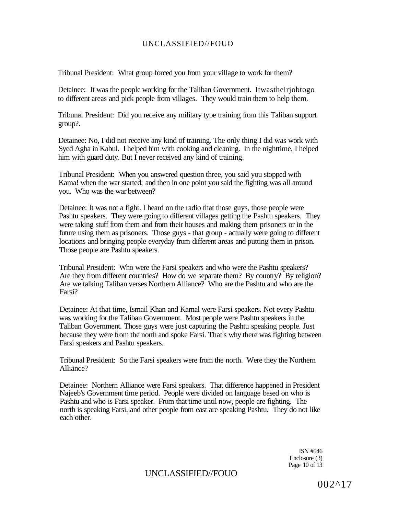Tribunal President: What group forced you from your village to work for them?

Detainee: It was the people working for the Taliban Government. Itwastheirjobtogo to different areas and pick people from villages. They would train them to help them.

Tribunal President: Did you receive any military type training from this Taliban support group?.

Detainee: No, I did not receive any kind of training. The only thing I did was work with Syed Agha in Kabul. I helped him with cooking and cleaning. In the nighttime, I helped him with guard duty. But I never received any kind of training.

Tribunal President: When you answered question three, you said you stopped with Kama! when the war started; and then in one point you said the fighting was all around you. Who was the war between?

Detainee: It was not a fight. I heard on the radio that those guys, those people were Pashtu speakers. They were going to different villages getting the Pashtu speakers. They were taking stuff from them and from their houses and making them prisoners or in the future using them as prisoners. Those guys - that group - actually were going to different locations and bringing people everyday from different areas and putting them in prison. Those people are Pashtu speakers.

Tribunal President: Who were the Farsi speakers and who were the Pashtu speakers? Are they from different countries? How do we separate them? By country? By religion? Are we talking Taliban verses Northern Alliance? Who are the Pashtu and who are the Farsi?

Detainee: At that time, Ismail Khan and Kamal were Farsi speakers. Not every Pashtu was working for the Taliban Government. Most people were Pashtu speakers in the Taliban Government. Those guys were just capturing the Pashtu speaking people. Just because they were from the north and spoke Farsi. That's why there was fighting between Farsi speakers and Pashtu speakers.

Tribunal President: So the Farsi speakers were from the north. Were they the Northern Alliance?

Detainee: Northern Alliance were Farsi speakers. That difference happened in President Najeeb's Government time period. People were divided on language based on who is Pashtu and who is Farsi speaker. From that time until now, people are fighting. The north is speaking Farsi, and other people from east are speaking Pashtu. They do not like each other.

> ISN #546 Enclosure (3) Page 10 of 13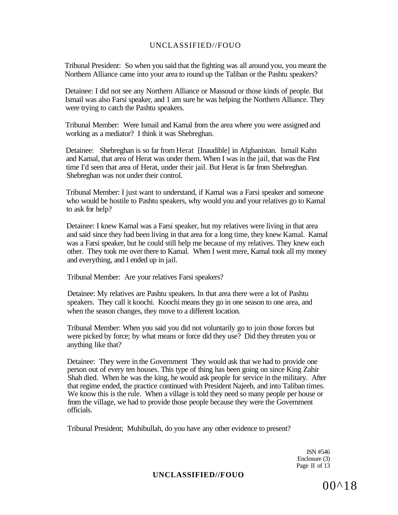Tribunal President: So when you said that the fighting was all around you, you meant the Northern Alliance came into your area to round up the Taliban or the Pashtu speakers?

Detainee: I did not see any Northern Alliance or Massoud or those kinds of people. But Ismail was also Farsi speaker, and 1 am sure he was helping the Northern Alliance. They were trying to catch the Pashtu speakers.

Tribunal Member: Were Ismail and Kamal from the area where you were assigned and working as a mediator? I think it was Shebreghan.

Detainee: Shebreghan is so far from Herat [Inaudible] in Afghanistan. Ismail Kahn and Kamal, that area of Herat was under them. When I was in the jail, that was the First time I'd seen that area of Herat, under their jail. But Herat is far from Shebreghan. Shebreghan was not under their control.

Tribunal Member: I just want to understand, if Kamal was a Farsi speaker and someone who would be hostile to Pashtu speakers, why would you and your relatives go to Kamal to ask for help?

Detainee: I knew Kamal was a Farsi speaker, hut my relatives were living in that area and said since they had been living in that area for a long time, they knew Kamal. Kamal was a Farsi speaker, but he could still help me because of my relatives. They knew each other. They took me over there to Kamal. When I went mere, Kamal took all my money and everything, and I ended up in jail.

Tribunal Member: Are your relatives Farsi speakers?

Detainee: My relatives are Pashtu speakers. In that area there were a lot of Pashtu speakers. They call it koochi. Koochi means they go in one season to one area, and when the season changes, they move to a different location.

Tribunal Member: When you said you did not voluntarily go to join those forces but were picked by force; by what means or force did they use? Did they threaten you or anything like that?

Detainee: They were in the Government They would ask that we had to provide one person out of every ten houses. This type of thing has been going on since King Zahir Shah died. When he was the king, he would ask people for service in the military. After that regime ended, the practice continued with President Najeeb, and into Taliban times. We know this is the rule. When a village is told they need so many people per house or from the village, we had to provide those people because they were the Government officials.

Tribunal President; Muhibullah, do you have any other evidence to present?

ISN #546 Enclosure (3) Page II of 13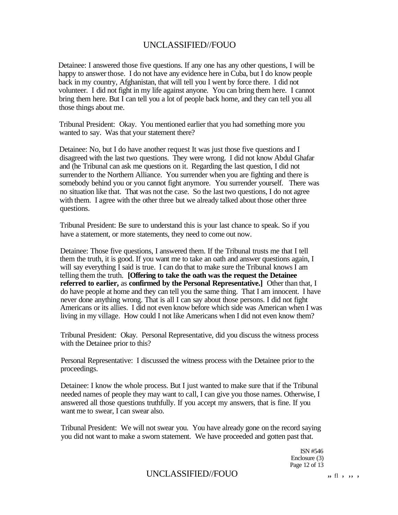Detainee: I answered those five questions. If any one has any other questions, I will be happy to answer those. I do not have any evidence here in Cuba, but I do know people back in my country, Afghanistan, that will tell you I went by force there. I did not volunteer. I did not fight in my life against anyone. You can bring them here. I cannot bring them here. But I can tell you a lot of people back home, and they can tell you all those things about me.

Tribunal President: Okay. You mentioned earlier that you had something more you wanted to say. Was that your statement there?

Detainee: No, but I do have another request It was just those five questions and I disagreed with the last two questions. They were wrong. I did not know Abdul Ghafar and (he Tribunal can ask me questions on it. Regarding the last question, I did not surrender to the Northern Alliance. You surrender when you are fighting and there is somebody behind you or you cannot fight anymore. You surrender yourself. There was no situation like that. That was not the case. So the last two questions, I do not agree with them. I agree with the other three but we already talked about those other three questions.

Tribunal President: Be sure to understand this is your last chance to speak. So if you have a statement, or more statements, they need to come out now.

Detainee: Those five questions, I answered them. If the Tribunal trusts me that I tell them the truth, it is good. If you want me to take an oath and answer questions again, I will say everything I said is true. I can do that to make sure the Tribunal knows I am telling them the truth. **[Offering to take the oath was the request the Detainee referred to earlier,** as **confirmed by the Personal Representative.]** Other than that, I do have people at home and they can tell you the same thing. That I am innocent. I have never done anything wrong. That is all I can say about those persons. I did not fight Americans or its allies. I did not even know before which side was American when I was living in my village. How could I not like Americans when I did not even know them?

Tribunal President: Okay. Personal Representative, did you discuss the witness process with the Detainee prior to this?

Personal Representative: I discussed the witness process with the Detainee prior to the proceedings.

Detainee: I know the whole process. But I just wanted to make sure that if the Tribunal needed names of people they may want to call, I can give you those names. Otherwise, I answered all those questions truthfully. If you accept my answers, that is fine. If you want me to swear, I can swear also.

Tribunal President: We will not swear you. You have already gone on the record saying you did not want to make a sworn statement. We have proceeded and gotten past that.

> ISN #546 Enclosure (3) Page 12 of 13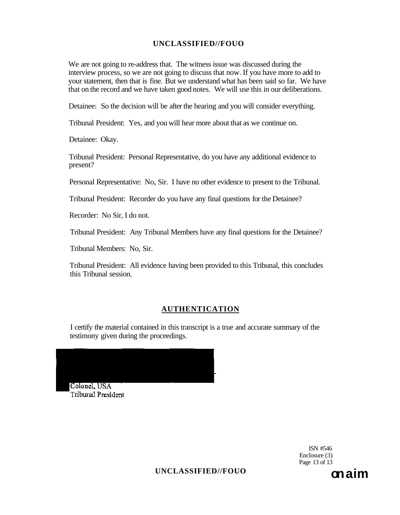We are not going to re-address that. The witness issue was discussed during the interview process, so we are not going to discuss that now. If you have more to add to your statement, then that is fine. But we understand what has been said so far. We have that on the record and we have taken good notes. We will use this in our deliberations.

Detainee: So the decision will be after the hearing and you will consider everything.

Tribunal President: Yes, and you will hear more about that as we continue on.

Detainee: Okay.

Tribunal President: Personal Representative, do you have any additional evidence to present?

Personal Representative: No, Sir. I have no other evidence to present to the Tribunal.

Tribunal President: Recorder do you have any final questions for the Detainee?

Recorder: No Sir, I do not.

Tribunal President: Any Tribunal Members have any final questions for the Detainee?

Tribunal Members: No, Sir.

Tribunal President: All evidence having been provided to this Tribunal, this concludes this Tribunal session.

### **AUTHENTICATION**

I certify the material contained in this transcript is a true and accurate summary of the testimony given during the proceedings.



ISN #546 Enclosure (3) Page 13 of 13

**UNCLASSIFIED//FOUO on aim**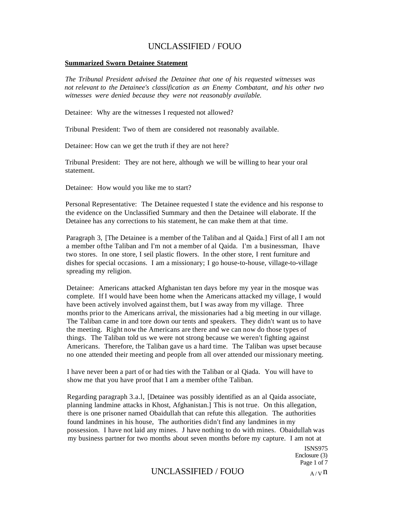#### **Summarized Sworn Detainee Statement**

*The Tribunal President advised the Detainee that one of his requested witnesses was not relevant to the Detainee's classification as an Enemy Combatant, and his other two witnesses were denied because they were not reasonably available.* 

Detainee: Why are the witnesses I requested not allowed?

Tribunal President: Two of them are considered not reasonably available.

Detainee: How can we get the truth if they are not here?

Tribunal President: They are not here, although we will be willing to hear your oral statement.

Detainee: How would you like me to start?

Personal Representative: The Detainee requested I state the evidence and his response to the evidence on the Unclassified Summary and then the Detainee will elaborate. If the Detainee has any corrections to his statement, he can make them at that time.

Paragraph 3, [The Detainee is a member of the Taliban and al Qaida.] First of all I am not a member ofthe Taliban and I'm not a member of al Qaida. I'm a businessman, Ihave two stores. In one store, I seil plastic flowers. In the other store, I rent furniture and dishes for special occasions. I am a missionary; I go house-to-house, village-to-village spreading my religion.

Detainee: Americans attacked Afghanistan ten days before my year in the mosque was complete. If I would have been home when the Americans attacked my village, I would have been actively involved against them, but I was away from my village. Three months prior to the Americans arrival, the missionaries had a big meeting in our village. The Taliban came in and tore down our tents and speakers. They didn't want us to have the meeting. Right now the Americans are there and we can now do those types of things. The Taliban told us we were not strong because we weren't fighting against Americans. Therefore, the Taliban gave us a hard time. The Taliban was upset because no one attended their meeting and people from all over attended our missionary meeting.

I have never been a part of or had ties with the Taliban or al Qiada. You will have to show me that you have proof that I am a member ofthe Taliban.

Regarding paragraph 3.a.l, [Detainee was possibly identified as an al Qaida associate, planning landmine attacks in Khost, Afghanistan.] This is not true. On this allegation, there is one prisoner named Obaidullah that can refute this allegation. The authorities found landmines in his house, The authorities didn't find any landmines in my possession. I have not laid any mines. J have nothing to do with mines. Obaidullah was my business partner for two months about seven months before my capture. I am not at

> ISNS975 Enclosure (3) Page 1 of 7

# UNCLASSIFIED / FOUO  $A/\gamma n$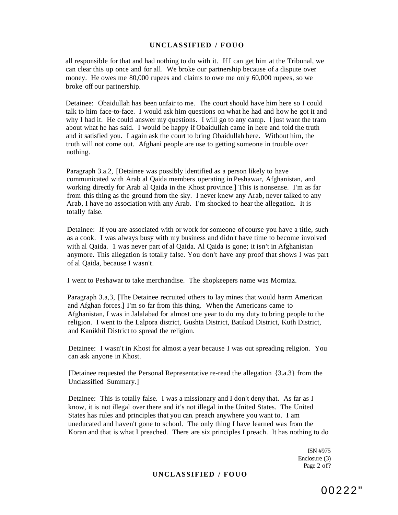all responsible for that and had nothing to do with it. If I can get him at the Tribunal, we can clear this up once and for all. We broke our partnership because of a dispute over money. He owes me 80,000 rupees and claims to owe me only 60,000 rupees, so we broke off our partnership.

Detainee: Obaidullah has been unfair to me. The court should have him here so I could talk to him face-to-face. I would ask him questions on what he had and how he got it and why I had it. He could answer my questions. I will go to any camp. I just want the tram about what he has said. I would be happy if Obaidullah came in here and told the truth and it satisfied you. I again ask the court to bring Obaidullah here. Without him, the truth will not come out. Afghani people are use to getting someone in trouble over nothing.

Paragraph 3.a.2, [Detainee was possibly identified as a person likely to have communicated with Arab al Qaida members operating in Peshawar, Afghanistan, and working directly for Arab al Qaida in the Khost province.] This is nonsense. I'm as far from this thing as the ground from the sky. I never knew any Arab, never talked to any Arab, I have no association with any Arab. I'm shocked to hear the allegation. It is totally false.

Detainee: If you are associated with or work for someone of course you have a title, such as a cook. I was always busy with my business and didn't have time to become involved with al Qaida. 1 was never part of al Qaida. Al Qaida is gone; it isn't in Afghanistan anymore. This allegation is totally false. You don't have any proof that shows I was part of al Qaida, because I wasn't.

I went to Peshawar to take merchandise. The shopkeepers name was Momtaz.

Paragraph 3.a,3, [The Detainee recruited others to lay mines that would harm American and Afghan forces.] I'm so far from this thing. When the Americans came to Afghanistan, I was in Jalalabad for almost one year to do my duty to bring people to the religion. I went to the Lalpora district, Gushta District, Batikud District, Kuth District, and Kanikhil District to spread the religion.

Detainee: I wasn't in Khost for almost a year because I was out spreading religion. You can ask anyone in Khost.

[Detainee requested the Personal Representative re-read the allegation {3.a.3} from the Unclassified Summary.]

Detainee: This is totally false. I was a missionary and I don't deny that. As far as I know, it is not illegal over there and it's not illegal in the United States. The United States has rules and principles that you can. preach anywhere you want to. I am uneducated and haven't gone to school. The only thing I have learned was from the Koran and that is what I preached. There are six principles I preach. It has nothing to do

> ISN #975 Enclosure (3) Page 2 of?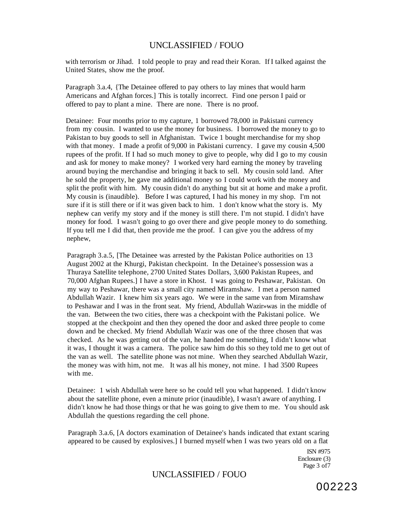with terrorism or Jihad. I told people to pray and read their Koran. If I talked against the United States, show me the proof.

Paragraph 3.a.4, {The Detainee offered to pay others to lay mines that would harm Americans and Afghan forces.] This is totally incorrect. Find one person I paid or offered to pay to plant a mine. There are none. There is no proof.

Detainee: Four months prior to my capture, 1 borrowed 78,000 in Pakistani currency from my cousin. I wanted to use the money for business. I borrowed the money to go to Pakistan to buy goods to sell in Afghanistan. Twice 1 bought merchandise for my shop with that money. I made a profit of 9,000 in Pakistani currency. I gave my cousin 4,500 rupees of the profit. If I had so much money to give to people, why did I go to my cousin and ask for money to make money? I worked very hard earning the money by traveling around buying the merchandise and bringing it back to sell. My cousin sold land. After he sold the property, he gave me additional money so I could work with the money and split the profit with him. My cousin didn't do anything but sit at home and make a profit. My cousin is (inaudible). Before I was captured, I had his money in my shop. I'm not sure if it is still there or if it was given back to him. 1 don't know what the story is. My nephew can verify my story and if the money is still there. I'm not stupid. I didn't have money for food. I wasn't going to go over there and give people money to do something. If you tell me I did that, then provide me the proof. I can give you the address of my nephew,

Paragraph 3.a.5, [The Detainee was arrested by the Pakistan Police authorities on 13 August 2002 at the Khurgi, Pakistan checkpoint. In the Detainee's possession was a Thuraya Satellite telephone, 2700 United States Dollars, 3,600 Pakistan Rupees, and 70,000 Afghan Rupees.] I have a store in Khost. I was going to Peshawar, Pakistan. On my way to Peshawar, there was a small city named Miramshaw. I met a person named Abdullah Wazir. I knew him six years ago. We were in the same van from Miramshaw to Peshawar and I was in the front seat. My friend, Abdullah Wazir»was in the middle of the van. Between the two cities, there was a checkpoint with the Pakistani police. We stopped at the checkpoint and then they opened the door and asked three people to come down and be checked. My friend Abdullah Wazir was one of the three chosen that was checked. As he was getting out of the van, he handed me something, I didn't know what it was, I thought it was a camera. The police saw him do this so they told me to get out of the van as well. The satellite phone was not mine. When they searched Abdullah Wazir, the money was with him, not me. It was all his money, not mine. I had 3500 Rupees with me.

Detainee: 1 wish Abdullah were here so he could tell you what happened. I didn't know about the satellite phone, even a minute prior (inaudible), I wasn't aware of anything. I didn't know he had those things or that he was going to give them to me. You should ask Abdullah the questions regarding the cell phone.

Paragraph 3.a.6, [A doctors examination of Detainee's hands indicated that extant scaring appeared to be caused by explosives.] I burned myself when I was two years old on a flat

> ISN #975 Enclosure (3) Page 3 of 7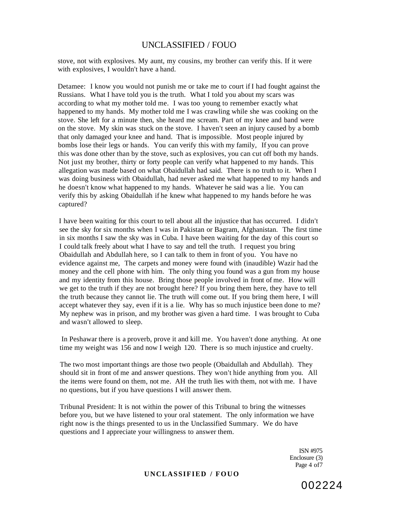stove, not with explosives. My aunt, my cousins, my brother can verify this. If it were with explosives, I wouldn't have a hand.

Detamee: I know you would not punish me or take me to court if I had fought against the Russians. What I have told you is the truth. What I told you about my scars was according to what my mother told me. I was too young to remember exactly what happened to my hands. My mother told me I was crawling while she was cooking on the stove. She left for a minute then, she heard me scream. Part of my knee and band were on the stove. My skin was stuck on the stove. I haven't seen an injury caused by a bomb that only damaged your knee and hand. That is impossible. Most people injured by bombs lose their legs or hands. You can verify this with my family, If you can prove this was done other than by the stove, such as explosives, you can cut off both my hands. Not just my brother, thirty or forty people can verify what happened to my hands. This allegation was made based on what Obaidullah had said. There is no truth to it. When I was doing business with Obaidullah, had never asked me what happened to my hands and he doesn't know what happened to my hands. Whatever he said was a lie. You can verify this by asking Obaidullah if he knew what happened to my hands before he was captured?

I have been waiting for this court to tell about all the injustice that has occurred. I didn't see the sky for six months when I was in Pakistan or Bagram, Afghanistan. The first time in six months I saw the sky was in Cuba. I have been waiting for the day of this court so I could talk freely about what I have to say and tell the truth. I request you bring Obaidullah and Abdullah here, so I can talk to them in front of you. You have no evidence against me, The carpets and money were found with (inaudible) Wazir had the money and the cell phone with him. The only thing you found was a gun from my house and my identity from this house. Bring those people involved in front of me. How will we get to the truth if they are not brought here? If you bring them here, they have to tell the truth because they cannot lie. The truth will come out. If you bring them here, I will accept whatever they say, even if it is a lie. Why has so much injustice been done to me? My nephew was in prison, and my brother was given a hard time. I was brought to Cuba and wasn't allowed to sleep.

In Peshawar there is a proverb, prove it and kill me. You haven't done anything. At one time my weight was 156 and now I weigh 120. There is so much injustice and cruelty.

The two most important things are those two people (Obaidullah and Abdullah). They should sit in front of me and answer questions. They won't hide anything from you. All the items were found on them, not me. AH the truth lies with them, not with me. I have no questions, but if you have questions I will answer them.

Tribunal President: It is not within the power of this Tribunal to bring the witnesses before you, but we have listened to your oral statement. The only information we have right now is the things presented to us in the Unclassified Summary. We do have questions and I appreciate your willingness to answer them.

> ISN #975 Enclosure (3) Page 4 of7

002224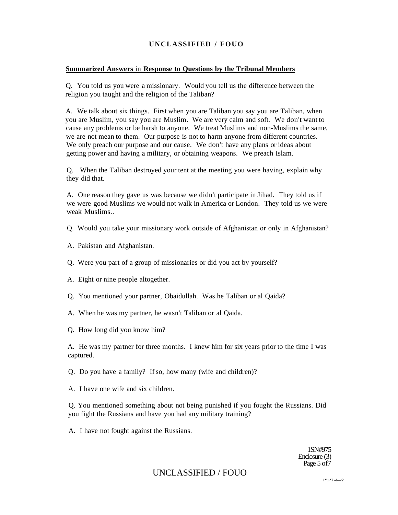#### **Summarized Answers** in **Response to Questions by the Tribunal Members**

Q. You told us you were a missionary. Would you tell us the difference between the religion you taught and the religion of the Taliban?

A. We talk about six things. First when you are Taliban you say you are Taliban, when you are Muslim, you say you are Muslim. We are very calm and soft. We don't want to cause any problems or be harsh to anyone. We treat Muslims and non-Muslims the same, we are not mean to them. Our purpose is not to harm anyone from different countries. We only preach our purpose and our cause. We don't have any plans or ideas about getting power and having a military, or obtaining weapons. We preach Islam.

Q. When the Taliban destroyed your tent at the meeting you were having, explain why they did that.

A. One reason they gave us was because we didn't participate in Jihad. They told us if we were good Muslims we would not walk in America or London. They told us we were weak Muslims..

Q. Would you take your missionary work outside of Afghanistan or only in Afghanistan?

- A. Pakistan and Afghanistan.
- Q. Were you part of a group of missionaries or did you act by yourself?
- A. Eight or nine people altogether.
- Q. You mentioned your partner, Obaidullah. Was he Taliban or al Qaida?
- A. When he was my partner, he wasn't Taliban or al Qaida.
- Q. How long did you know him?

A. He was my partner for three months. I knew him for six years prior to the time I was captured.

Q. Do you have a family? If so, how many (wife and children)?

A. I have one wife and six children.

Q. You mentioned something about not being punished if you fought the Russians. Did you fight the Russians and have you had any military training?

A. I have not fought against the Russians.

1SN#975 Enclosure (3) Page 5 of7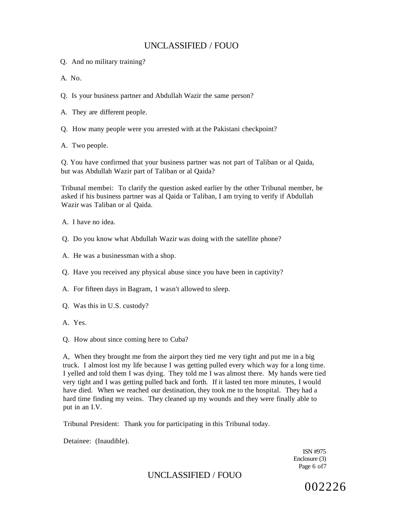- Q. And no military training?
- A. No.
- Q. Is your business partner and Abdullah Wazir the same person?
- A. They are different people.
- Q. How many people were you arrested with at the Pakistani checkpoint?
- A. Two people.

Q. You have confirmed that your business partner was not part of Taliban or al Qaida, but was Abdullah Wazir part of Taliban or al Qaida?

Tribunal membei: To clarify the question asked earlier by the other Tribunal member, he asked if his business partner was al Qaida or Taliban, I am trying to verify if Abdullah Wazir was Taliban or al Qaida.

A. I have no idea.

- Q. Do you know what Abdullah Wazir was doing with the satellite phone?
- A. He was a businessman with a shop.
- Q. Have you received any physical abuse since you have been in captivity?
- A. For fifteen days in Bagram, 1 wasn't allowed to sleep.
- Q. Was this in U.S. custody?
- A. Yes.
- Q. How about since coming here to Cuba?

A, When they brought me from the airport they tied me very tight and put me in a big truck. I almost lost my life because I was getting pulled every which way for a long time. I yelled and told them I was dying. They told me I was almost there. My hands were tied very tight and I was getting pulled back and forth. If it lasted ten more minutes, I would have died. When we reached our destination, they took me to the hospital. They had a hard time finding my veins. They cleaned up my wounds and they were finally able to put in an I.V.

Tribunal President: Thank you for participating in this Tribunal today.

Detainee: (Inaudible).

ISN #975 Enclosure (3) Page 6 of7

UNCLASSIFIED / FOUO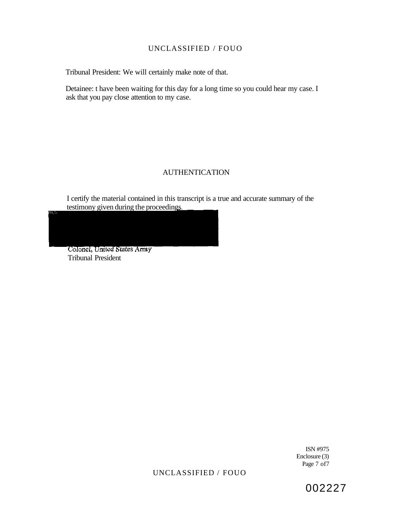Tribunal President: We will certainly make note of that.

Detainee: t have been waiting for this day for a long time so you could hear my case. I ask that you pay close attention to my case.

## AUTHENTICATION

I certify the material contained in this transcript is a true and accurate summary of the testimony given during the proceedings.

Colonel, United States Army Tribunal President

> ISN #975 Enclosure (3) Page 7 of7

UNCLASSIFIED / FOUO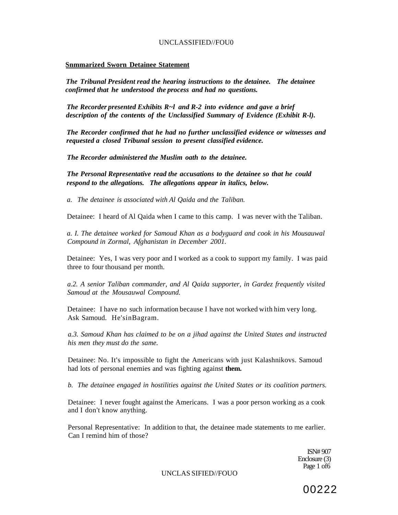#### **Snmmarized Sworn Detainee Statement**

*The Tribunal President read the hearing instructions to the detainee. The detainee confirmed that he understood the process and had no questions.* 

*The Recorder presented Exhibits R~l and R-2 into evidence and gave a brief description of the contents of the Unclassified Summary of Evidence (Exhibit R-l).* 

*The Recorder confirmed that he had no further unclassified evidence or witnesses and requested a closed Tribunal session to present classified evidence.* 

*The Recorder administered the Muslim oath to the detainee.* 

*The Personal Representative read the accusations to the detainee so that he could respond to the allegations. The allegations appear in italics, below.* 

*a. The detainee is associated with Al Qaida and the Taliban.* 

Detainee: I heard of Al Qaida when I came to this camp. I was never with the Taliban.

*a. I. The detainee worked for Samoud Khan as a bodyguard and cook in his Mousauwal Compound in Zormal, Afghanistan in December 2001.* 

Detainee: Yes, I was very poor and I worked as a cook to support my family. I was paid three to four thousand per month.

*a.2. A senior Taliban commander, and Al Qaida supporter, in Gardez frequently visited Samoud at the Mousauwal Compound.* 

Detainee: I have no such information because I have not worked with him very long. Ask Samoud. He'sinBagram.

*a.3. Samoud Khan has claimed to be on a jihad against the United States and instructed his men they must do the same.* 

Detainee: No. It's impossible to fight the Americans with just Kalashnikovs. Samoud had lots of personal enemies and was fighting against **them.** 

*b. The detainee engaged in hostilities against the United States or its coalition partners.* 

Detainee: I never fought against the Americans. I was a poor person working as a cook and I don't know anything.

Personal Representative: In addition to that, the detainee made statements to me earlier. Can I remind him of those?

> ISN# 907 Enclosure (3) Page 1 of6

UNCLAS SIFIED//FOUO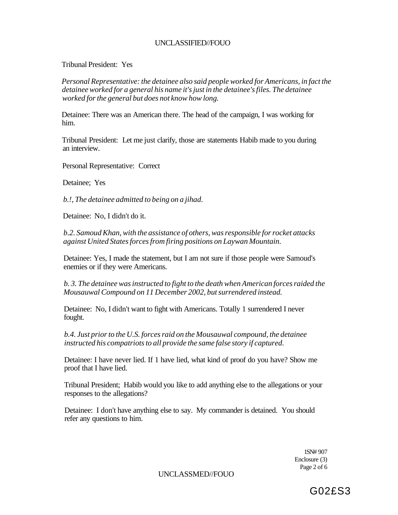Tribunal President: Yes

*Personal Representative: the detainee also said people worked for Americans, in fact the detainee worked for a general his name it's just in the detainee's files. The detainee worked for the general but does not know how long.* 

Detainee: There was an American there. The head of the campaign, I was working for him.

Tribunal President: Let me just clarify, those are statements Habib made to you during an interview.

Personal Representative: Correct

Detainee; Yes

*b.!, The detainee admitted to being on a jihad.* 

Detainee: No, I didn't do it.

*b.2. Samoud Khan, with the assistance of others, was responsible for rocket attacks against United States forces from firing positions on Laywan Mountain.* 

Detainee: Yes, I made the statement, but I am not sure if those people were Samoud's enemies or if they were Americans.

*b. 3. The detainee was instructed to fight to the death when American forces raided the Mousauwal Compound on 11 December 2002, but surrendered instead.* 

Detainee: No, I didn't want to fight with Americans. Totally 1 surrendered I never fought.

*b.4. Just prior to the U.S. forces raid on the Mousauwal compound, the detainee instructed his compatriots to all provide the same false story if captured.* 

Detainee: I have never lied. If 1 have lied, what kind of proof do you have? Show me proof that I have lied.

Tribunal President; Habib would you like to add anything else to the allegations or your responses to the allegations?

Detainee: I don't have anything else to say. My commander is detained. You should refer any questions to him.

> 1SN# 907 Enclosure (3) Page 2 of 6

UNCLASSMED//FOUO

G02£S3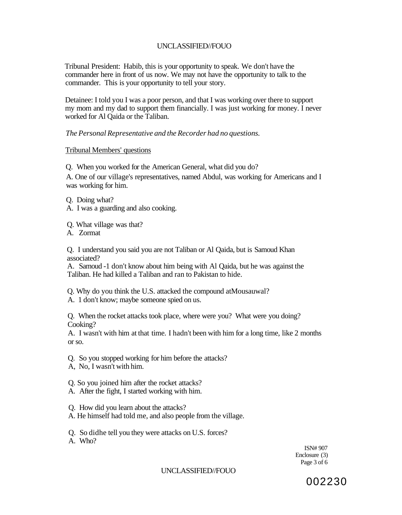Tribunal President: Habib, this is your opportunity to speak. We don't have the commander here in front of us now. We may not have the opportunity to talk to the commander. This is your opportunity to tell your story.

Detainee: I told you I was a poor person, and that I was working over there to support my mom and my dad to support them financially. I was just working for money. I never worked for Al Qaida or the Taliban.

*The Personal Representative and the Recorder had no questions.* 

#### Tribunal Members' questions

Q. When you worked for the American General, what did you do?

A. One of our village's representatives, named Abdul, was working for Americans and I was working for him.

Q. Doing what?

A. I was a guarding and also cooking.

Q. What village was that?

A. Zormat

Q. I understand you said you are not Taliban or Al Qaida, but is Samoud Khan associated?

A. Samoud -1 don't know about him being with Al Qaida, but he was against the Taliban. He had killed a Taliban and ran to Pakistan to hide.

Q. Why do you think the U.S. attacked the compound atMousauwal?

A. 1 don't know; maybe someone spied on us.

Q. When the rocket attacks took place, where were you? What were you doing? Cooking?

A. I wasn't with him at that time. I hadn't been with him for a long time, like 2 months or so.

- Q. So you stopped working for him before the attacks?
- A, No, I wasn't with him.
- Q. So you joined him after the rocket attacks?
- A. After the fight, I started working with him.
- Q. How did you learn about the attacks?
- A. He himself had told me, and also people from the village.

Q. So didhe tell you they were attacks on U.S. forces?

A. Who?

ISN# 907 Enclosure (3) Page 3 of 6

### UNCLASSIFIED//FOUO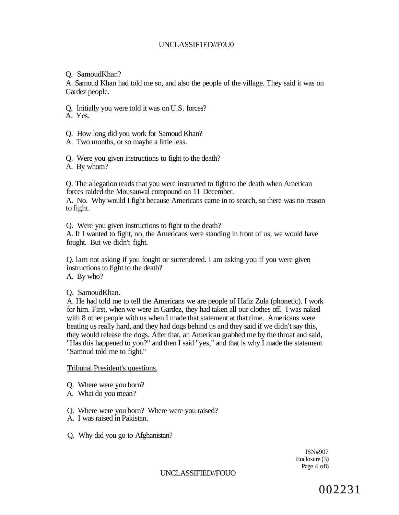### UNCLASSIF1ED//F0U0

Q. SamoudKhan?

A. Samoud Khan had told me so, and also the people of the village. They said it was on Gardez people.

Q. Initially you were told it was on U.S. forces?

A. Yes.

Q. How long did you work for Samoud Khan?

A. Two months, or so maybe a little less.

Q. Were you given instructions to fight to the death?

A. By whom?

Q. The allegation reads that you were instructed to fight to the death when American forces raided the Mousauwal compound on 11 December.

A. No. Why would I fight because Americans came in to search, so there was no reason to fight.

Q. Were you given instructions to fight to the death?

A. If I wanted to fight, no, the Americans were standing in front of us, we would have fought. But we didn't fight.

Q. lam not asking if you fought or surrendered. I am asking you if you were given instructions to fight to the death? A. By who?

Q. SamoudKhan.

A. He had told me to tell the Americans we are people of Hafiz Zula (phonetic). I work for him. First, when we were in Gardez, they had taken all our clothes off. I was naked with 8 other people with us when I made that statement at that time. Americans were beating us really hard, and they had dogs behind us and they said if we didn't say this, they would release the dogs. After that, an American grabbed me by the throat and said, "Has this happened to you?" and then I said "yes," and that is why I made the statement "Samoud told me to fight."

Tribunal President's questions.

- Q. Where were you born?
- A. What do you mean?

Q. Where were you born? Where were you raised?

A. I was raised in Pakistan.

Q. Why did you go to Afghanistan?

ISN#907 Enclosure (3) Page 4 of6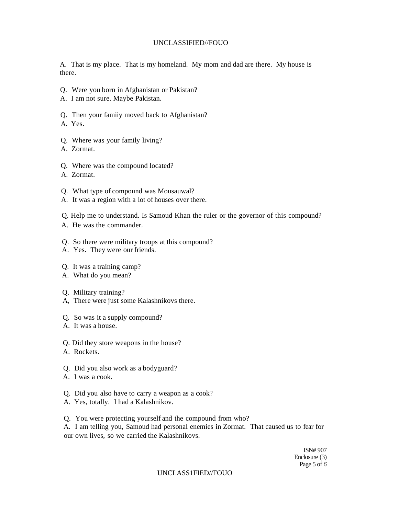A. That is my place. That is my homeland. My mom and dad are there. My house is there.

- Q. Were you born in Afghanistan or Pakistan?
- A. I am not sure. Maybe Pakistan.
- Q. Then your famiiy moved back to Afghanistan?
- A. Yes.
- Q. Where was your family living?
- A. Zormat.
- Q. Where was the compound located?
- A. Zormat.
- Q. What type of compound was Mousauwal?
- A. It was a region with a lot of houses over there.
- Q. Help me to understand. Is Samoud Khan the ruler or the governor of this compound?
- A. He was the commander.
- Q. So there were military troops at this compound?
- A. Yes. They were our friends.

## Q. It was a training camp?

- A. What do you mean?
- Q. Military training?
- A, There were just some Kalashnikovs there.
- Q. So was it a supply compound?
- A. It was a house.
- Q. Did they store weapons in the house?
- A. Rockets.
- Q. Did you also work as a bodyguard?
- A. I was a cook.
- Q. Did you also have to carry a weapon as a cook?
- A. Yes, totally. I had a Kalashnikov.
- Q. You were protecting yourself and the compound from who?

A. I am telling you, Samoud had personal enemies in Zormat. That caused us to fear for our own lives, so we carried the Kalashnikovs.

> ISN# 907 Enclosure (3) Page 5 of *6*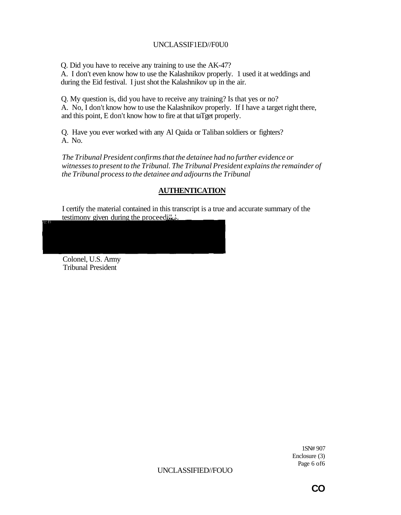## UNCLASSIF1ED//F0U0

Q. Did you have to receive any training to use the AK-47? A. I don't even know how to use the Kalashnikov properly. 1 used it at weddings and during the Eid festival. I just shot the Kalashnikov up in the air.

Q. My question is, did you have to receive any training? Is that yes or no? A. No, I don't know how to use the Kalashnikov properly. If I have a target right there, and this point, E don't know how to fire at that taTget properly.

Q. Have you ever worked with any Al Qaida or Taliban soldiers or fighters? A. No.

*The Tribunal President confirms that the detainee had no further evidence or witnesses to present to the Tribunal. The Tribunal President explains the remainder of the Tribunal process to the detainee and adjourns the Tribunal* 

## **AUTHENTICATION**

I certify the material contained in this transcript is a true and accurate summary of the testimony given during the proceeding.

Colonel, U.S. Army Tribunal President

> 1SN# 907 Enclosure (3) Page 6 of6

**CO**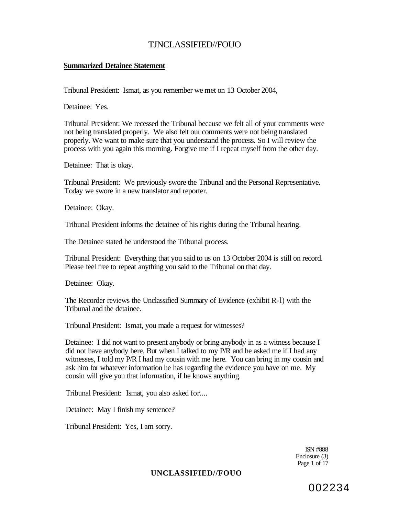### **Summarized Detainee Statement**

Tribunal President: Ismat, as you remember we met on 13 October 2004,

Detainee: Yes.

Tribunal President: We recessed the Tribunal because we felt all of your comments were not being translated properly. We also felt our comments were not being translated properly. We want to make sure that you understand the process. So I will review the process with you again this morning. Forgive me if I repeat myself from the other day.

Detainee: That is okay.

Tribunal President: We previously swore the Tribunal and the Personal Representative. Today we swore in a new translator and reporter.

Detainee: Okay.

Tribunal President informs the detainee of his rights during the Tribunal hearing.

The Detainee stated he understood the Tribunal process.

Tribunal President: Everything that you said to us on 13 October 2004 is still on record. Please feel free to repeat anything you said to the Tribunal on that day.

Detainee: Okay.

The Recorder reviews the Unclassified Summary of Evidence (exhibit R-l) with the Tribunal and the detainee.

Tribunal President: Ismat, you made a request for witnesses?

Detainee: I did not want to present anybody or bring anybody in as a witness because I did not have anybody here, But when I talked to my P/R and he asked me if I had any witnesses, I told my P/R I had my cousin with me here. You can bring in my cousin and ask him for whatever information he has regarding the evidence you have on me. My cousin will give you that information, if he knows anything.

Tribunal President: Ismat, you also asked for....

Detainee: May I finish my sentence?

Tribunal President: Yes, I am sorry.

ISN #888 Enclosure (3) Page 1 of 17

## **UNCLASSIFIED//FOUO**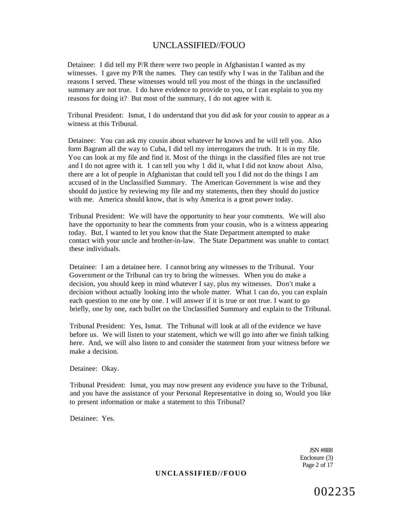Detainee: I did tell my P/R there were two people in Afghanistan I wanted as my witnesses. I gave my P/R the names. They can testify why I was in the Taliban and the reasons I served. These witnesses would tell you most of the things in the unclassified summary are not true. I do have evidence to provide to you, or I can explain to you my reasons for doing it? But most of the summary, I do not agree with it.

Tribunal President: Ismat, I do understand that you did ask for your cousin to appear as a witness at this Tribunal.

Detainee: You can ask my cousin about whatever he knows and he will tell you. Also form Bagram all the way to Cuba, I did tell my interrogators the truth. It is in my file. You can look at my file and find it. Most of the things in the classified files are not true and I do not agree with it. I can tell you why 1 did it, what I did not know about Also, there are a lot of people in Afghanistan that could tell you I did not do the things I am accused of in the Unclassified Summary. The American Government is wise and they should do justice by reviewing my file and my statements, then they should do justice with me. America should know, that is why America is a great power today.

Tribunal President: We will have the opportunity to hear your comments. We will also have the opportunity to hear the comments from your cousin, who is a witness appearing today. But, I wanted to let you know that the State Department attempted to make contact with your uncle and brother-in-law. The State Department was unable to contact these individuals.

Detainee: I am a detainee here. I cannot bring any witnesses to the Tribunal. Your Government or the Tribunal can try to bring the witnesses. When you do make a decision, you should keep in mind whatever I say, plus my witnesses. Don't make a decision without actually looking into the whole matter. What 1 can do, you can explain each question to me one by one. I will answer if it is true or not true. I want to go briefly, one by one, each bullet on the Unclassified Summary and explain to the Tribunal.

Tribunal President: Yes, Ismat. The Tribunal will look at all of the evidence we have before us. We will listen to your statement, which we will go into after we finish talking here. And, we will also listen to and consider the statement from your witness before we make a decision.

Detainee: Okay.

Tribunal President: Ismat, you may now present any evidence you have to the Tribunal, and you have the assistance of your Personal Representative in doing so, Would you like to present information or make a statement to this Tribunal?

Detainee: Yes.

JSN #888 Enclosure (3) Page 2 of 17

#### **UNCLASSIFIED//FOUO**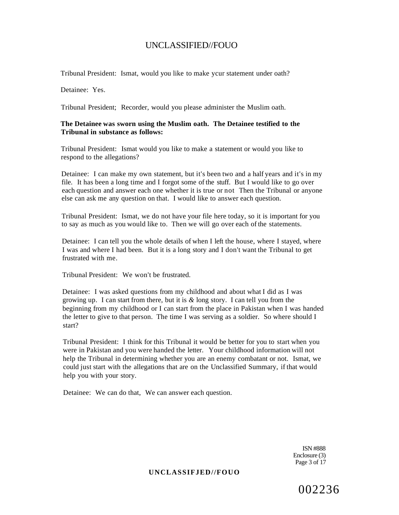Tribunal President: Ismat, would you like to make ycur statement under oath?

Detainee: Yes.

Tribunal President; Recorder, would you please administer the Muslim oath.

#### **The Detainee was sworn using the Muslim oath. The Detainee testified to the Tribunal in substance as follows:**

Tribunal President: Ismat would you like to make a statement or would you like to respond to the allegations?

Detainee: I can make my own statement, but it's been two and a half years and it's in my file. It has been a long time and I forgot some of the stuff. But I would like to go over each question and answer each one whether it is true or not Then the Tribunal or anyone else can ask me any question on that. I would like to answer each question.

Tribunal President: Ismat, we do not have your file here today, so it is important for you to say as much as you would like to. Then we will go over each of the statements.

Detainee: I can tell you the whole details of when I left the house, where I stayed, where I was and where I had been. But it is a long story and I don't want the Tribunal to get frustrated with me.

Tribunal President: We won't be frustrated.

Detainee: I was asked questions from my childhood and about what I did as I was growing up. I can start from there, but it is *&* long story. I can tell you from the beginning from my childhood or I can start from the place in Pakistan when I was handed the letter to give to that person. The time I was serving as a soldier. So where should I start?

Tribunal President: I think for this Tribunal it would be better for you to start when you were in Pakistan and you were handed the letter. Your childhood information will not help the Tribunal in determining whether you are an enemy combatant or not. Ismat, we could just start with the allegations that are on the Unclassified Summary, if that would help you with your story.

Detainee: We can do that, We can answer each question.

ISN #888 Enclosure (3) Page 3 of 17

#### **UNCLASSIFJED//FOUO**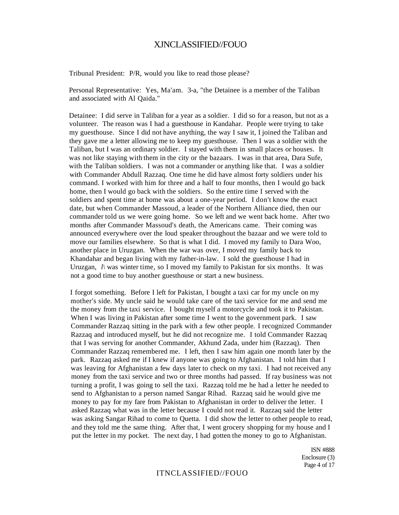Tribunal President: P/R, would you like to read those please?

Personal Representative: Yes, Ma'am. 3-a, "the Detainee is a member of the Taliban and associated with Al Qaida."

Detainee: I did serve in Taliban for a year as a soldier. I did so for a reason, but not as a volunteer. The reason was I had a guesthouse in Kandahar. People were trying to take my guesthouse. Since I did not have anything, the way I saw it, I joined the Taliban and they gave me a letter allowing me to keep my guesthouse. Then I was a soldier with the Taliban, but I was an ordinary soldier. I stayed with them in small places or houses. It was not like staying with them in the city or the bazaars. I was in that area, Dara Sufe, with the Taliban soldiers. I was not a commander or anything like that. I was a soldier with Commander Abdull Razzaq. One time he did have almost forty soldiers under his command. I worked with him for three and a half to four months, then I would go back home, then I would go back with the soldiers. So the entire time I served with the soldiers and spent time at home was about a one-year period. I don't know the exact date, but when Commander Massoud, a leader of the Northern Alliance died, then our commander told us we were going home. So we left and we went back home. After two months after Commander Massoud's death, the Americans came. Their coming was announced everywhere over the loud speaker throughout the bazaar and we were told to move our families elsewhere. So that is what I did. I moved my family to Dara Woo, another place in Uruzgan. When the war was over, I moved my family back to Khandahar and began living with my father-in-law. I sold the guesthouse I had in Uruzgan,  $l \wedge$  was winter time, so I moved my family to Pakistan for six months. It was not a good time to buy another guesthouse or start a new business.

I forgot something. Before I left for Pakistan, I bought a taxi car for my uncle on my mother's side. My uncle said he would take care of the taxi service for me and send me the money from the taxi service. I bought myself a motorcycle and took it to Pakistan. When I was living in Pakistan after some time I went to the government park. I saw Commander Razzaq sitting in the park with a few other people. I recognized Commander Razzaq and introduced myself, but he did not recognize me. I told Commander Razzaq that I was serving for another Commander, Akhund Zada, under him (Razzaq). Then Commander Razzaq remembered me. I left, then I saw him again one month later by the park. Razzaq asked me if I knew if anyone was going to Afghanistan. I told him that I was leaving for Afghanistan a few days later to check on my taxi. I had not received any money from the taxi service and two or three months had passed. If ray business was not turning a profit, I was going to sell the taxi. Razzaq told me he had a letter he needed to send to Afghanistan to a person named Sangar Rihad. Razzaq said he would give me money to pay for my fare from Pakistan to Afghanistan in order to deliver the letter. I asked Razzaq what was in the letter because I could not read it. Razzaq said the letter was asking Sangar Rihad to come to Quetta. I did show the letter to other people to read, and they told me the same thing. After that, I went grocery shopping for my house and I put the letter in my pocket. The next day, I had gotten the money to go to Afghanistan.

> ISN #888 Enclosure (3) Page 4 of 17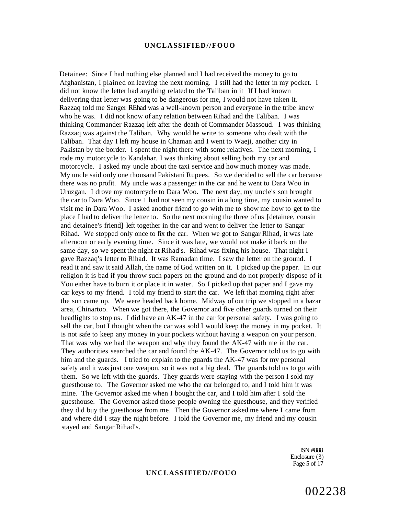Detainee: Since I had nothing else planned and I had received the money to go to Afghanistan, I plained on leaving the next morning. I still had the letter in my pocket. I did not know the letter had anything related to the Taliban in it If I had known delivering that letter was going to be dangerous for me, I would not have taken it. Razzaq told me Sanger REhad was a well-known person and everyone in the tribe knew who he was. I did not know of any relation between Rihad and the Taliban. I was thinking Commander Razzaq left after the death of Commander Massoud. I was thinking Razzaq was against the Taliban. Why would he write to someone who dealt with the Taliban. That day I left my house in Chaman and I went to Waeji, another city in Pakistan by the border. I spent the night there with some relatives. The next morning, I rode my motorcycle to Kandahar. I was thinking about selling both my car and motorcycle. I asked my uncle about the taxi service and how much money was made. My uncle said only one thousand Pakistani Rupees. So we decided to sell the car because there was no profit. My uncle was a passenger in the car and he went to Dara Woo in Uruzgan. I drove my motorcycle to Dara Woo. The next day, my uncle's son brought the car to Dara Woo. Since 1 had not seen my cousin in a long time, my cousin wanted to visit me in Dara Woo. I asked another friend to go with me to show me how to get to the place I had to deliver the letter to. So the next morning the three of us [detainee, cousin and detainee's friend] left together in the car and went to deliver the letter to Sangar Rihad. We stopped only once to fix the car. When we got to Sangar Rihad, it was late afternoon or early evening time. Since it was late, we would not make it back on the same day, so we spent the night at Rihad's. Rihad was fixing his house. That night I gave Razzaq's letter to Rihad. It was Ramadan time. I saw the letter on the ground. I read it and saw it said Allah, the name of God written on it. I picked up the paper. In our religion it is bad if you throw such papers on the ground and do not properly dispose of it You either have to burn it or place it in water. So I picked up that paper and I gave my car keys to my friend. I told my friend to start the car. We left that morning right after the sun came up. We were headed back home. Midway of out trip we stopped in a bazar area, Chinartoo. When we got there, the Governor and five other guards turned on their headlights to stop us. I did have an AK-47 in the car for personal safety. I was going to sell the car, but I thought when the car was sold I would keep the money in my pocket. It is not safe to keep any money in your pockets without having a weapon on your person. That was why we had the weapon and why they found the AK-47 with me in the car. They authorities searched the car and found the AK-47. The Governor told us to go with him and the guards. I tried to explain to the guards the AK-47 was for my personal safety and it was just one weapon, so it was not a big deal. The guards told us to go with them. So we left with the guards. They guards were staying with the person I sold my guesthouse to. The Governor asked me who the car belonged to, and I told him it was mine. The Governor asked me when I bought the car, and I told him after I sold the guesthouse. The Governor asked those people owning the guesthouse, and they verified they did buy the guesthouse from me. Then the Governor asked me where I came from and where did I stay the night before. I told the Governor me, my friend and my cousin stayed and Sangar Rihad's.

> ISN #888 Enclosure (3) Page 5 of 17

002238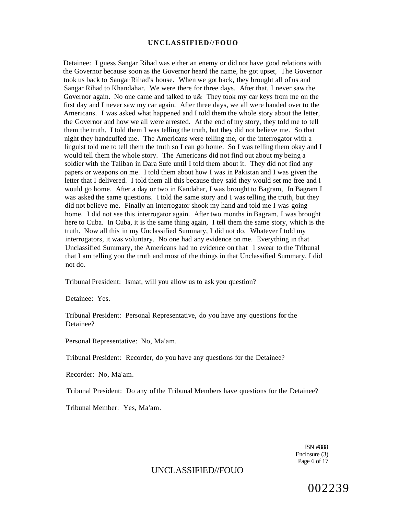Detainee: I guess Sangar Rihad was either an enemy or did not have good relations with the Governor because soon as the Governor heard the name, he got upset, The Governor took us back to Sangar Rihad's house. When we got back, they brought all of us and Sangar Rihad to Khandahar. We were there for three days. After that, I never saw the Governor again. No one came and talked to u& They took my car keys from me on the first day and I never saw my car again. After three days, we all were handed over to the Americans. I was asked what happened and I told them the whole story about the letter, the Governor and how we all were arrested. At the end of my story, they told me to tell them the truth. I told them I was telling the truth, but they did not believe me. So that night they handcuffed me. The Americans were telling me, or the interrogator with a linguist told me to tell them the truth so I can go home. So I was telling them okay and I would tell them the whole story. The Americans did not find out about my being a soldier with the Taliban in Dara Sufe until I told them about it. They did not find any papers or weapons on me. I told them about how I was in Pakistan and I was given the letter that I delivered. I told them all this because they said they would set me free and I would go home. After a day or two in Kandahar, I was brought to Bagram, In Bagram I was asked the same questions. I told the same story and I was telling the truth, but they did not believe me. Finally an interrogator shook my hand and told me I was going home. I did not see this interrogator again. After two months in Bagram, I was brought here to Cuba. In Cuba, it is the same thing again, I tell them the same story, which is the truth. Now all this in my Unclassified Summary, I did not do. Whatever I told my interrogators, it was voluntary. No one had any evidence on me. Everything in that Unclassified Summary, the Americans had no evidence on that 1 swear to the Tribunal that I am telling you the truth and most of the things in that Unclassified Summary, I did not do.

Tribunal President: Ismat, will you allow us to ask you question?

Detainee: Yes.

Tribunal President: Personal Representative, do you have any questions for the Detainee?

Personal Representative: No, Ma'am.

Tribunal President: Recorder, do you have any questions for the Detainee?

Recorder: No, Ma'am.

Tribunal President: Do any of the Tribunal Members have questions for the Detainee?

Tribunal Member: Yes, Ma'am.

ISN #888 Enclosure (3) Page 6 of 17

# UNCLASSIFIED//FOUO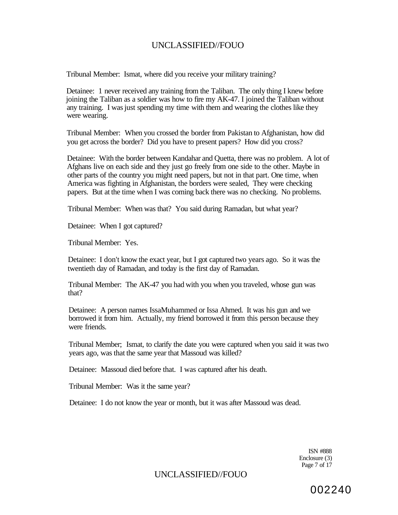Tribunal Member: Ismat, where did you receive your military training?

Detainee: 1 never received any training from the Taliban. The only thing I knew before joining the Taliban as a soldier was how to fire my AK-47. I joined the Taliban without any training. I was just spending my time with them and wearing the clothes like they were wearing.

Tribunal Member: When you crossed the border from Pakistan to Afghanistan, how did you get across the border? Did you have to present papers? How did you cross?

Detainee: With the border between Kandahar and Quetta, there was no problem. A lot of Afghans live on each side and they just go freely from one side to the other. Maybe in other parts of the country you might need papers, but not in that part. One time, when America was fighting in Afghanistan, the borders were sealed, They were checking papers. But at the time when I was coming back there was no checking. No problems.

Tribunal Member: When was that? You said during Ramadan, but what year?

Detainee: When I got captured?

Tribunal Member: Yes.

Detainee: I don't know the exact year, but I got captured two years ago. So it was the twentieth day of Ramadan, and today is the first day of Ramadan.

Tribunal Member: The AK-47 you had with you when you traveled, whose gun was that?

Detainee: A person names IssaMuhammed or Issa Ahmed. It was his gun and we borrowed it from him. Actually, my friend borrowed it from this person because they were friends.

Tribunal Member; Ismat, to clarify the date you were captured when you said it was two years ago, was that the same year that Massoud was killed?

Detainee: Massoud died before that. I was captured after his death.

Tribunal Member: Was it the same year?

Detainee: I do not know the year or month, but it was after Massoud was dead.

ISN #888 Enclosure (3) Page 7 of 17

## UNCLASSIFIED//FOUO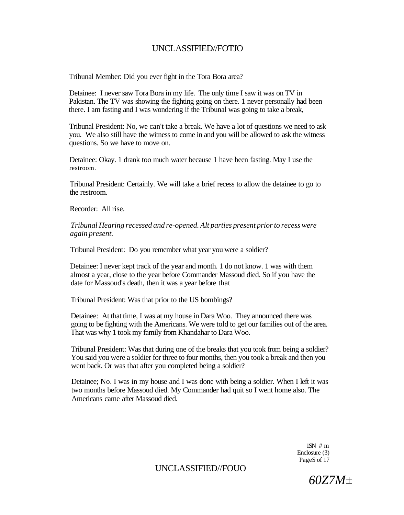Tribunal Member: Did you ever fight in the Tora Bora area?

Detainee: I never saw Tora Bora in my life. The only time I saw it was on TV in Pakistan. The TV was showing the fighting going on there. 1 never personally had been there. I am fasting and I was wondering if the Tribunal was going to take a break,

Tribunal President: No, we can't take a break. We have a lot of questions we need to ask you. We also still have the witness to come in and you will be allowed to ask the witness questions. So we have to move on.

Detainee: Okay. 1 drank too much water because 1 have been fasting. May I use the restroom.

Tribunal President: Certainly. We will take a brief recess to allow the detainee to go to the restroom.

Recorder: All rise.

*Tribunal Hearing recessed and re-opened. Alt parties present prior to recess were again present.* 

Tribunal President: Do you remember what year you were a soldier?

Detainee: I never kept track of the year and month. 1 do not know. 1 was with them almost a year, close to the year before Commander Massoud died. So if you have the date for Massoud's death, then it was a year before that

Tribunal President: Was that prior to the US bombings?

Detainee: At that time, I was at my house in Dara Woo. They announced there was going to be fighting with the Americans. We were told to get our families out of the area. That was why 1 took my family from Khandahar to Dara Woo.

Tribunal President: Was that during one of the breaks that you took from being a soldier? You said you were a soldier for three to four months, then you took a break and then you went back. Or was that after you completed being a soldier?

Detainee; No. I was in my house and I was done with being a soldier. When I left it was two months before Massoud died. My Commander had quit so I went home also. The Americans came after Massoud died.

> $1SN \# m$ Enclosure (3) PageS of 17

*60Z7M±*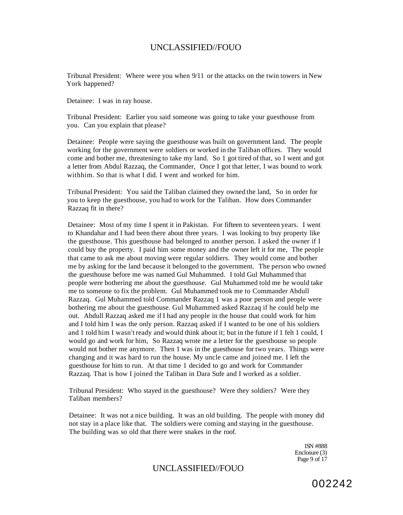Tribunal President: Where were you when 9/11 or the attacks on the twin towers in New York happened?

Detainee: I was in ray house.

Tribunal President: Earlier you said someone was going to take your guesthouse from you. Can you explain that please?

Detainee: People were saying the guesthouse was built on government land. The people working for the government were soldiers or worked in the Taliban offices. They would come and bother me, threatening to take my land. So 1 got tired of that, so I went and got a letter from Abdul Razzaq, the Commander, Once I got that letter, I was bound to work withhim. So that is what I did. I went and worked for him.

Tribunal President: You said the Taliban claimed they owned the land, So in order for you to keep the guesthouse, you had to work for the Taliban. How does Commander Razzaq fit in there?

Detainee: Most of my time I spent it in Pakistan. For fifteen to seventeen years. I went to Khandahar and I had been there about three years. I was looking to buy property like the guesthouse. This guesthouse had belonged to another person. I asked the owner if I could buy the property. I paid him some money and the owner left it for me, The people that came to ask me about moving were regular soldiers. They would come and bother me by asking for the land because it belonged to the government. The person who owned the guesthouse before me was named Gul Muhammed. I told Gul Muhammed that people were bothering me about the guesthouse. Gul Muhammed told me he would take me to someone to fix the problem. Gul Muhammed took me to Commander Abdull Razzaq. Gul Muhammed told Commander Razzaq 1 was a poor person and people were bothering me about the guesthouse. Gul Muhammed asked Razzaq if he could help me out. Abdull Razzaq asked me if I had any people in the house that could work for him and I told him I was the only person. Razzaq asked if I wanted to be one of his soldiers and 1 told him I wasn't ready and would think about it; but in the future if 1 felt 1 could, I would go and work for him, So Razzaq wrote me a letter for the guesthouse so people would not bother me anymore. Then 1 was in the guesthouse for two years. Things were changing and it was hard to run the house. My uncle came and joined me. I left the guesthouse for him to run. At that time 1 decided to go and work for Commander Razzaq. That is how I joined the Taliban in Dara Sufe and I worked as a soldier.

Tribunal President: Who stayed in the guesthouse? Were they soldiers? Were they Taliban members?

Detainee: It was not a nice building. It was an old building. The people with money did not stay in a place like that. The soldiers were coming and staying in the guesthouse. The building was so old that there were snakes in the roof.

> 1SN #888 Enclosure (3) Page 9 of 17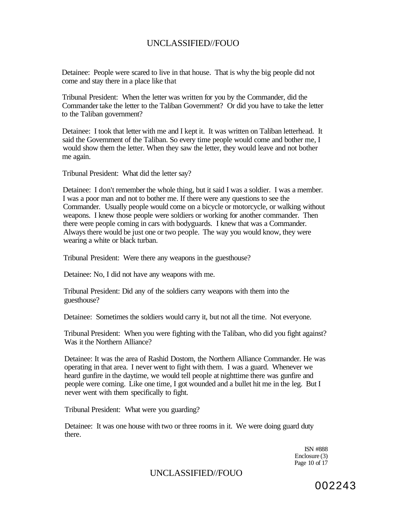Detainee: People were scared to live in that house. That is why the big people did not come and stay there in a place like that

Tribunal President: When the letter was written for you by the Commander, did the Commander take the letter to the Taliban Government? Or did you have to take the letter to the Taliban government?

Detainee: I took that letter with me and I kept it. It was written on Taliban letterhead. It said the Government of the Taliban. So every time people would come and bother me, I would show them the letter. When they saw the letter, they would leave and not bother me again.

Tribunal President: What did the letter say?

Detainee: I don't remember the whole thing, but it said I was a soldier. I was a member. I was a poor man and not to bother me. If there were any questions to see the Commander. Usually people would come on a bicycle or motorcycle, or walking without weapons. I knew those people were soldiers or working for another commander. Then there were people coming in cars with bodyguards. I knew that was a Commander. Always there would be just one or two people. The way you would know, they were wearing a white or black turban.

Tribunal President: Were there any weapons in the guesthouse?

Detainee: No, I did not have any weapons with me.

Tribunal President: Did any of the soldiers carry weapons with them into the guesthouse?

Detainee: Sometimes the soldiers would carry it, but not all the time. Not everyone.

Tribunal President: When you were fighting with the Taliban, who did you fight against? Was it the Northern Alliance?

Detainee: It was the area of Rashid Dostom, the Northern Alliance Commander. He was operating in that area. I never went to fight with them. I was a guard. Whenever we heard gunfire in the daytime, we would tell people at nighttime there was gunfire and people were coming. Like one time, I got wounded and a bullet hit me in the leg. But I never went with them specifically to fight.

Tribunal President: What were you guarding?

Detainee: It was one house with two or three rooms in it. We were doing guard duty there.

> ISN #888 Enclosure (3) Page 10 of 17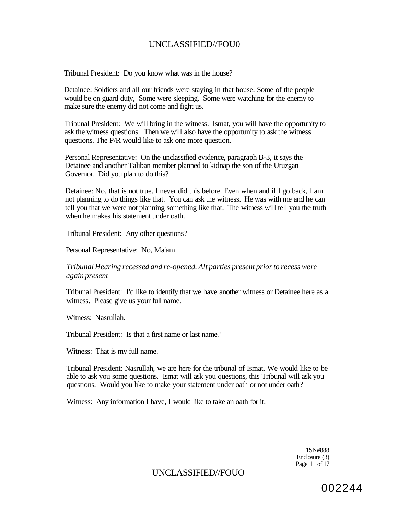Tribunal President: Do you know what was in the house?

Detainee: Soldiers and all our friends were staying in that house. Some of the people would be on guard duty, Some were sleeping. Some were watching for the enemy to make sure the enemy did not come and fight us.

Tribunal President: We will bring in the witness. Ismat, you will have the opportunity to ask the witness questions. Then we will also have the opportunity to ask the witness questions. The P/R would like to ask one more question.

Personal Representative: On the unclassified evidence, paragraph B-3, it says the Detainee and another Taliban member planned to kidnap the son of the Uruzgan Governor. Did you plan to do this?

Detainee: No, that is not true. I never did this before. Even when and if I go back, I am not planning to do things like that. You can ask the witness. He was with me and he can tell you that we were not planning something like that. The witness will tell you the truth when he makes his statement under oath.

Tribunal President: Any other questions?

Personal Representative: No, Ma'am.

*Tribunal Hearing recessed and re-opened. Alt parties present prior to recess were again present* 

Tribunal President: I'd like to identify that we have another witness or Detainee here as a witness. Please give us your full name.

Witness: Nasrullah.

Tribunal President: Is that a first name or last name?

Witness: That is my full name.

Tribunal President: Nasrullah, we are here for the tribunal of Ismat. We would like to be able to ask you some questions. Ismat will ask you questions, this Tribunal will ask you questions. Would you like to make your statement under oath or not under oath?

Witness: Any information I have, I would like to take an oath for it.

1SN#888 Enclosure (3) Page 11 of 17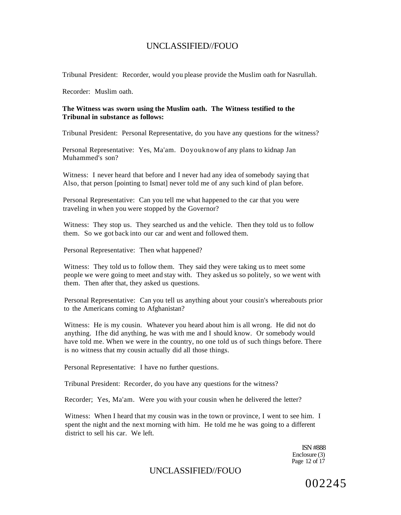Tribunal President: Recorder, would you please provide the Muslim oath for Nasrullah.

Recorder: Muslim oath.

#### **The Witness was sworn using the Muslim oath. The Witness testified to the Tribunal in substance as follows:**

Tribunal President: Personal Representative, do you have any questions for the witness?

Personal Representative: Yes, Ma'am. Doyouknowof any plans to kidnap Jan Muhammed's son?

Witness: I never heard that before and I never had any idea of somebody saying that Also, that person [pointing to Ismat] never told me of any such kind of plan before.

Personal Representative: Can you tell me what happened to the car that you were traveling in when you were stopped by the Governor?

Witness: They stop us. They searched us and the vehicle. Then they told us to follow them. So we got back into our car and went and followed them.

Personal Representative: Then what happened?

Witness: They told us to follow them. They said they were taking us to meet some people we were going to meet and stay with. They asked us so politely, so we went with them. Then after that, they asked us questions.

Personal Representative: Can you tell us anything about your cousin's whereabouts prior to the Americans coming to Afghanistan?

Witness: He is my cousin. Whatever you heard about him is all wrong. He did not do anything. Ifhe did anything, he was with me and I should know. Or somebody would have told me. When we were in the country, no one told us of such things before. There is no witness that my cousin actually did all those things.

Personal Representative: I have no further questions.

Tribunal President: Recorder, do you have any questions for the witness?

Recorder; Yes, Ma'am. Were you with your cousin when he delivered the letter?

Witness: When I heard that my cousin was in the town or province, I went to see him. I spent the night and the next morning with him. He told me he was going to a different district to sell his car. We left.

> ISN #888 Enclosure (3) Page 12 of 17

UNCLASSIFIED//FOUO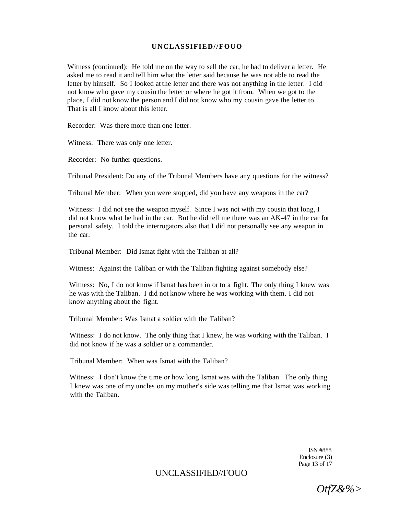Witness (continued): He told me on the way to sell the car, he had to deliver a letter. He asked me to read it and tell him what the letter said because he was not able to read the letter by himself. So I looked at the letter and there was not anything in the letter. I did not know who gave my cousin the letter or where he got it from. When we got to the place, I did not know the person and I did not know who my cousin gave the letter to. That is all I know about this letter.

Recorder: Was there more than one letter.

Witness: There was only one letter.

Recorder: No further questions.

Tribunal President: Do any of the Tribunal Members have any questions for the witness?

Tribunal Member: When you were stopped, did you have any weapons in the car?

Witness: I did not see the weapon myself. Since I was not with my cousin that long, I did not know what he had in the car. But he did tell me there was an AK-47 in the car for personal safety. I told the interrogators also that I did not personally see any weapon in the car.

Tribunal Member: Did Ismat fight with the Taliban at all?

Witness: Against the Taliban or with the Taliban fighting against somebody else?

Witness: No, I do not know if Ismat has been in or to a fight. The only thing I knew was he was with the Taliban. I did not know where he was working with them. I did not know anything about the fight.

Tribunal Member: Was Ismat a soldier with the Taliban?

Witness: I do not know. The only thing that I knew, he was working with the Taliban. I did not know if he was a soldier or a commander.

Tribunal Member: When was Ismat with the Taliban?

Witness: I don't know the time or how long Ismat was with the Taliban. The only thing I knew was one of my uncles on my mother's side was telling me that Ismat was working with the Taliban.

> ISN #888 Enclosure (3) Page 13 of 17

## UNCLASSIFIED//FOUO

*OtfZ&%>*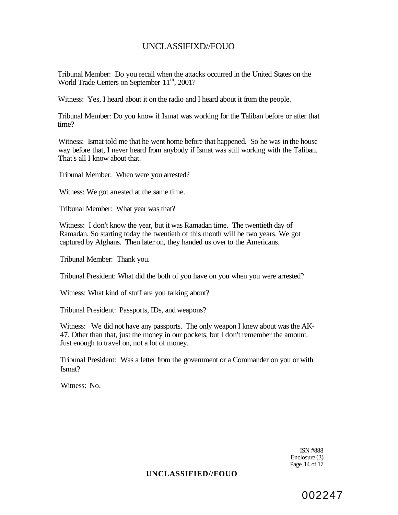Tribunal Member: Do you recall when the attacks occurred in the United States on the World Trade Centers on September 11<sup>th</sup>, 2001?

Witness: Yes, I heard about it on the radio and I heard about it from the people.

Tribunal Member: Do you know if Ismat was working for the Taliban before or after that time?

Witness: Ismat told me that he went home before that happened. So he was in the house way before that, I never heard from anybody if Ismat was still working with the Taliban. That's all I know about that.

Tribunal Member: When were you arrested?

Witness: We got arrested at the same time.

Tribunal Member: What year was that?

Witness: I don't know the year, but it was Ramadan time. The twentieth day of Ramadan. So starting today the twentieth of this month will be two years. We got captured by Afghans. Then later on, they handed us over to the Americans.

Tribunal Member: Thank you.

Tribunal President: What did the both of you have on you when you were arrested?

Witness: What kind of stuff are you talking about?

Tribunal President: Passports, IDs, and weapons?

Witness: We did not have any passports. The only weapon I knew about was the AK-47. Other than that, just the money in our pockets, but I don't remember the amount. Just enough to travel on, not a lot of money.

Tribunal President: Was a letter from the government or a Commander on you or with Ismat?

Witness: No.

ISN #888 Enclosure (3) Page 14 of 17

#### **UNCLASSIFIED//FOUO**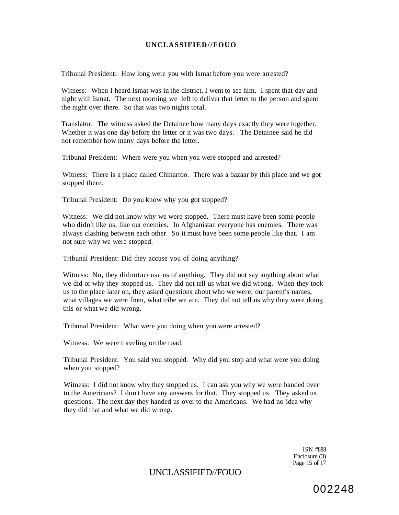Tribunal President: How long were you with Ismat before you were arrested?

Witness: When I heard Ismat was in the district, I went to see him. I spent that day and night with Ismat. The next morning we left to deliver that letter to the person and spent the night over there. So that was two nights total.

Translator: The witness asked the Detainee how many days exactly they were together. Whether it was one day before the letter or it was two days. The Detainee said he did not remember how many days before the letter.

Tribunal President: Where were you when you were stopped and arrested?

Witness: There is a place called Chinartoo. There was a bazaar by this place and we got stopped there.

Tribunal President: Do you know why you got stopped?

Witness: We did not know why we were stopped. There must have been some people who didn't like us, like our enemies. In Afghanistan everyone has enemies. There was always clashing between each other. So it must have been some people like that. I am not sure why we were stopped.

Tribunal President: Did they accuse you of doing anything?

Witness: No, they didnotaccuse us of anything. They did not say anything about what we did or why they stopped us. They did not tell us what we did wrong. When they took us to the place later on, they asked questions about who we were, our parent's names, what villages we were from, what tribe we are. They did not tell us why they were doing this or what we did wrong.

Tribunal President: What were you doing when you were arrested?

Witness: We were traveling on the road.

Tribunal President: You said you stopped. Why did you stop and what were you doing when you stopped?

Witness: I did not know why they stopped us. I can ask you why we were handed over to the Americans? I don't have any answers for that. They stopped us. They asked us questions. The next day they handed us over to the Americans. We had no idea why they did that and what we did wrong.

> ISN #888 Enclosure (3) Page 15 of 17

### UNCLASSIFIED//FOUO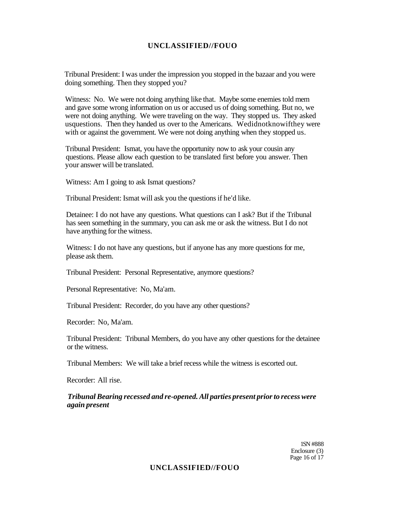Tribunal President: I was under the impression you stopped in the bazaar and you were doing something. Then they stopped you?

Witness: No. We were not doing anything like that. Maybe some enemies told mem and gave some wrong information on us or accused us of doing something. But no, we were not doing anything. We were traveling on the way. They stopped us. They asked usquestions. Then they handed us over to the Americans. Wedidnotknowifthey were with or against the government. We were not doing anything when they stopped us.

Tribunal President: Ismat, you have the opportunity now to ask your cousin any questions. Please allow each question to be translated first before you answer. Then your answer will be translated.

Witness: Am I going to ask Ismat questions?

Tribunal President: Ismat will ask you the questions if he'd like.

Detainee: I do not have any questions. What questions can I ask? But if the Tribunal has seen something in the summary, you can ask me or ask the witness. But I do not have anything for the witness.

Witness: I do not have any questions, but if anyone has any more questions for me, please ask them.

Tribunal President: Personal Representative, anymore questions?

Personal Representative: No, Ma'am.

Tribunal President: Recorder, do you have any other questions?

Recorder: No, Ma'am.

Tribunal President: Tribunal Members, do you have any other questions for the detainee or the witness.

Tribunal Members: We will take a brief recess while the witness is escorted out.

Recorder: All rise.

## *Tribunal Bearing recessed and re-opened. All parties present prior to recess were again present*

1SN #888 Enclosure (3) Page 16 of 17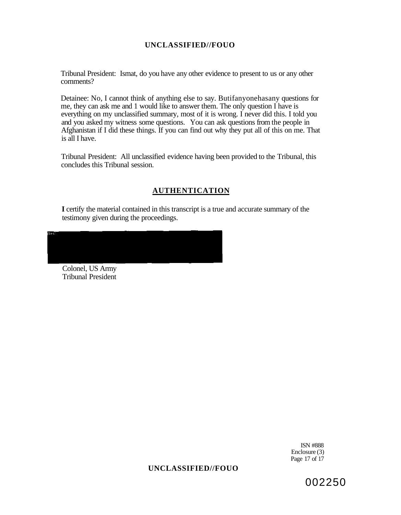Tribunal President: Ismat, do you have any other evidence to present to us or any other comments?

Detainee: No, I cannot think of anything else to say. Butifanyonehasany questions for me, they can ask me and 1 would like to answer them. The only question I have is everything on my unclassified summary, most of it is wrong. I never did this. I told you and you asked my witness some questions. You can ask questions from the people in Afghanistan if I did these things. If you can find out why they put all of this on me. That is all I have.

Tribunal President: All unclassified evidence having been provided to the Tribunal, this concludes this Tribunal session.

## **AUTHENTICATION**

**I** certify the material contained in this transcript is a true and accurate summary of the testimony given during the proceedings.

Colonel, US Army Tribunal President

> ISN #888 Enclosure (3) Page 17 of 17

## **UNCLASSIFIED//FOUO**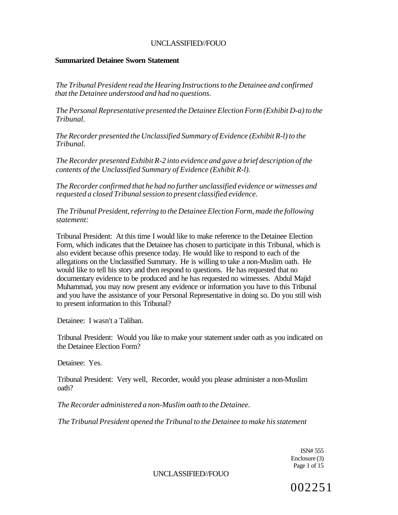### **Summarized Detainee Sworn Statement**

*The Tribunal President read the Hearing Instructions to the Detainee and confirmed that the Detainee understood and had no questions.* 

*The Personal Representative presented the Detainee Election Form (Exhibit D-a) to the Tribunal.* 

*The Recorder presented the Unclassified Summary of Evidence (Exhibit R-l) to the Tribunal.* 

*The Recorder presented Exhibit R-2 into evidence and gave a brief description of the contents of the Unclassified Summary of Evidence (Exhibit R-l).* 

*The Recorder confirmed that he had no further unclassified evidence or witnesses and requested a closed Tribunal session to present classified evidence.* 

*The Tribunal President, referring to the Detainee Election Form, made the following statement:* 

Tribunal President: At this time I would like to make reference to the Detainee Election Form, which indicates that the Detainee has chosen to participate in this Tribunal, which is also evident because ofhis presence today. He would like to respond to each of the allegations on the Unclassified Summary. He is willing to take a non-Muslim oath. He would like to tell his story and then respond to questions. He has requested that no documentary evidence to be produced and he has requested no witnesses. Abdul Majid Muhammad, you may now present any evidence or information you have to this Tribunal and you have the assistance of your Personal Representative in doing so. Do you still wish to present information to this Tribunal?

Detainee: I wasn't a Taliban.

Tribunal President: Would you like to make your statement under oath as you indicated on the Detainee Election Form?

Detainee: Yes.

Tribunal President: Very well, Recorder, would you please administer a non-Muslim oath?

*The Recorder administered a non-Muslim oath to the Detainee.* 

*The Tribunal President opened the Tribunal to the Detainee to make his statement* 

ISN# 555 Enclosure (3) Page 1 of 15

UNCLASSIFIED//FOUO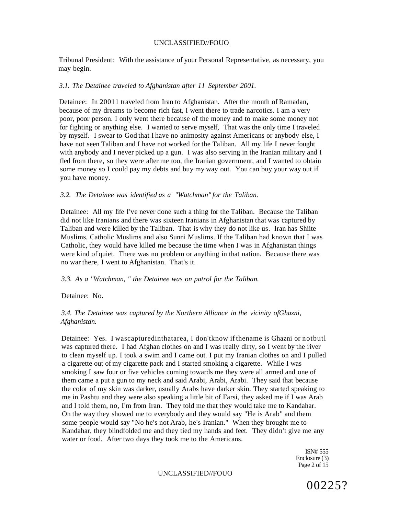Tribunal President: With the assistance of your Personal Representative, as necessary, you may begin.

#### *3.1. The Detainee traveled to Afghanistan after 11 September 2001.*

Detainee: In 20011 traveled from Iran to Afghanistan. After the month of Ramadan, because of my dreams to become rich fast, I went there to trade narcotics. I am a very poor, poor person. I only went there because of the money and to make some money not for fighting or anything else. I wanted to serve myself, That was the only time I traveled by myself. I swear to God that I have no animosity against Americans or anybody else, I have not seen Taliban and I have not worked for the Taliban. All my life I never fought with anybody and I never picked up a gun. I was also serving in the Iranian military and I fled from there, so they were after me too, the Iranian government, and I wanted to obtain some money so I could pay my debts and buy my way out. You can buy your way out if you have money.

#### *3.2. The Detainee was identified as a "Watchman" for the Taliban.*

Detainee: All my life I've never done such a thing for the Taliban. Because the Taliban did not like Iranians and there was sixteen Iranians in Afghanistan that was captured by Taliban and were killed by the Taliban. That is why they do not like us. Iran has Shiite Muslims, Catholic Muslims and also Sunni Muslims. If the Taliban had known that I was Catholic, they would have killed me because the time when I was in Afghanistan things were kind of quiet. There was no problem or anything in that nation. Because there was no war there, I went to Afghanistan. That's it.

#### *3.3. As a "Watchman, " the Detainee was on patrol for the Taliban.*

Detainee: No.

### *3.4. The Detainee was captured by the Northern Alliance in the vicinity ofGhazni, Afghanistan.*

Detainee: Yes. I wascapturedinthatarea, I don'tknow if thename is Ghazni or notbutl was captured there. I had Afghan clothes on and I was really dirty, so I went by the river to clean myself up. I took a swim and I came out. I put my Iranian clothes on and I pulled a cigarette out of my cigarette pack and I started smoking a cigarette. While I was smoking I saw four or five vehicles coming towards me they were all armed and one of them came a put a gun to my neck and said Arabi, Arabi, Arabi. They said that because the color of my skin was darker, usually Arabs have darker skin. They started speaking to me in Pashtu and they were also speaking a little bit of Farsi, they asked me if I was Arab and I told them, no, I'm from Iran. They told me that they would take me to Kandahar. On the way they showed me to everybody and they would say "He is Arab" and them some people would say "No he's not Arab, he's Iranian." When they brought me to Kandahar, they blindfolded me and they tied my hands and feet. They didn't give me any water or food. After two days they took me to the Americans.

> ISN# 555 Enclosure (3) Page 2 of 15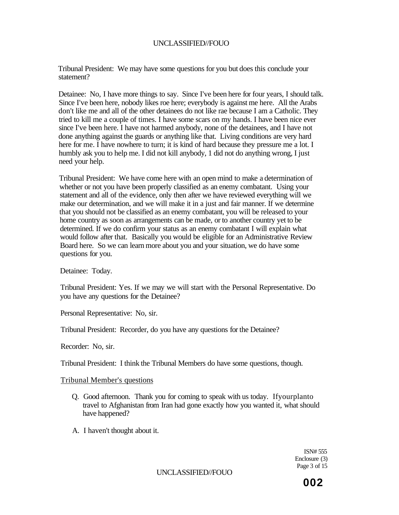Tribunal President: We may have some questions for you but does this conclude your statement?

Detainee: No, I have more things to say. Since I've been here for four years, I should talk. Since I've been here, nobody likes roe here; everybody is against me here. All the Arabs don't like me and all of the other detainees do not like rae because I am a Catholic. They tried to kill me a couple of times. I have some scars on my hands. I have been nice ever since I've been here. I have not harmed anybody, none of the detainees, and I have not done anything against the guards or anything like that. Living conditions are very hard here for me. I have nowhere to turn; it is kind of hard because they pressure me a lot. I humbly ask you to help me. I did not kill anybody, 1 did not do anything wrong, I just need your help.

Tribunal President: We have come here with an open mind to make a determination of whether or not you have been properly classified as an enemy combatant. Using your statement and all of the evidence, only then after we have reviewed everything will we make our determination, and we will make it in a just and fair manner. If we determine that you should not be classified as an enemy combatant, you will be released to your home country as soon as arrangements can be made, or to another country yet to be determined. If we do confirm your status as an enemy combatant I will explain what would follow after that. Basically you would be eligible for an Administrative Review Board here. So we can learn more about you and your situation, we do have some questions for you.

Detainee: Today.

Tribunal President: Yes. If we may we will start with the Personal Representative. Do you have any questions for the Detainee?

Personal Representative: No, sir.

Tribunal President: Recorder, do you have any questions for the Detainee?

Recorder: No, sir.

Tribunal President: I think the Tribunal Members do have some questions, though.

#### Tribunal Member's questions

- Q. Good afternoon. Thank you for coming to speak with us today. Ifyourplanto travel to Afghanistan from Iran had gone exactly how you wanted it, what should have happened?
- A. I haven't thought about it.

ISN# 555 Enclosure (3) Page 3 of 15

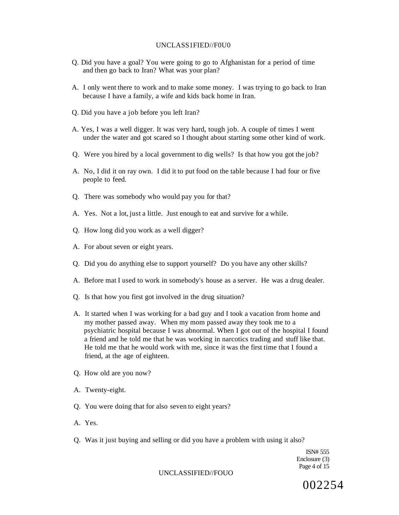#### UNCLASS1FIED//F0U0

- Q. Did you have a goal? You were going to go to Afghanistan for a period of time and then go back to Iran? What was your plan?
- A. I only went there to work and to make some money. I was trying to go back to Iran because I have a family, a wife and kids back home in Iran.
- Q. Did you have a job before you left Iran?
- A. Yes, I was a well digger. It was very hard, tough job. A couple of times I went under the water and got scared so I thought about starting some other kind of work.
- Q. Were you hired by a local government to dig wells? Is that how you got the job?
- A. No, I did it on ray own. I did it to put food on the table because I had four or five people to feed.
- Q. There was somebody who would pay you for that?
- A. Yes. Not a lot, just a little. Just enough to eat and survive for a while.
- Q. How long did you work as a well digger?
- A. For about seven or eight years.
- Q. Did you do anything else to support yourself? Do you have any other skills?
- A. Before mat I used to work in somebody's house as a server. He was a drug dealer.
- Q. Is that how you first got involved in the drug situation?
- A. It started when I was working for a bad guy and I took a vacation from home and my mother passed away. When my mom passed away they took me to a psychiatric hospital because I was abnormal. When I got out of the hospital I found a friend and he told me that he was working in narcotics trading and stuff like that. He told me that he would work with me, since it was the first time that I found a friend, at the age of eighteen.
- Q. How old are you now?
- A. Twenty-eight.
- Q. You were doing that for also seven to eight years?
- A. Yes.
- Q. Was it just buying and selling or did you have a problem with using it also?

ISN# 555 Enclosure (3) Page 4 of 15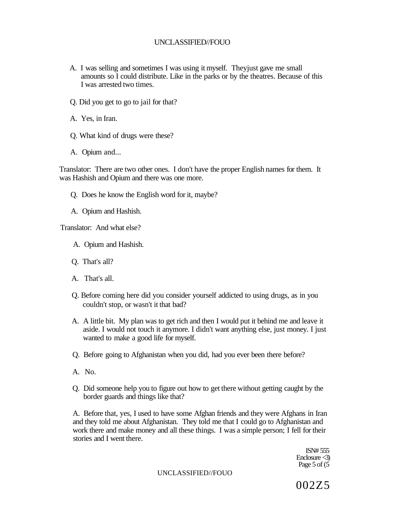- A. I was selling and sometimes I was using it myself. Theyjust gave me small amounts so I could distribute. Like in the parks or by the theatres. Because of this I was arrested two times.
- Q. Did you get to go to jail for that?
- A. Yes, in Iran.
- Q. What kind of drugs were these?
- A. Opium and...

Translator: There are two other ones. I don't have the proper English names for them. It was Hashish and Opium and there was one more.

- Q. Does he know the English word for it, maybe?
- A. Opium and Hashish.

Translator: And what else?

- A. Opium and Hashish.
- Q. That's all?
- A. That's all.
- Q. Before coming here did you consider yourself addicted to using drugs, as in you couldn't stop, or wasn't it that bad?
- A. A little bit. My plan was to get rich and then I would put it behind me and leave it aside. I would not touch it anymore. I didn't want anything else, just money. I just wanted to make a good life for myself.
- Q. Before going to Afghanistan when you did, had you ever been there before?
- A. No.
- Q. Did someone help you to figure out how to get there without getting caught by the border guards and things like that?

A. Before that, yes, I used to have some Afghan friends and they were Afghans in Iran and they told me about Afghanistan. They told me that I could go to Afghanistan and work there and make money and all these things. I was a simple person; I fell for their stories and I went there.

> ISN# 555 Enclosure <3) Page 5 of (5

UNCLASSIFIED//FOUO

002Z5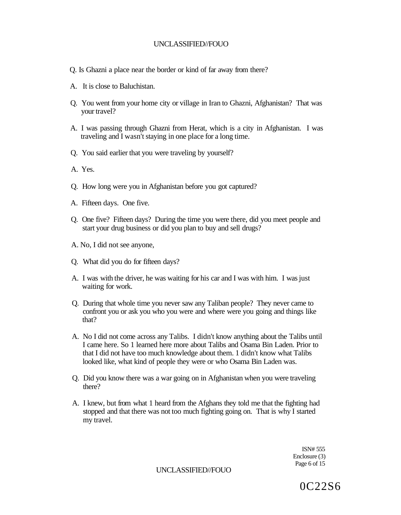- Q. Is Ghazni a place near the border or kind of far away from there?
- A. It is close to Baluchistan.
- Q. You went from your home city or village in Iran to Ghazni, Afghanistan? That was your travel?
- A. I was passing through Ghazni from Herat, which is a city in Afghanistan. I was traveling and I wasn't staying in one place for a long time.
- Q. You said earlier that you were traveling by yourself?
- A. Yes.
- Q. How long were you in Afghanistan before you got captured?
- A. Fifteen days. One five.
- Q. One five? Fifteen days? During the time you were there, did you meet people and start your drug business or did you plan to buy and sell drugs?
- A. No, I did not see anyone,
- Q. What did you do for fifteen days?
- A. I was with the driver, he was waiting for his car and I was with him. I was just waiting for work.
- Q. During that whole time you never saw any Taliban people? They never came to confront you or ask you who you were and where were you going and things like that?
- A. No I did not come across any Talibs. I didn't know anything about the Talibs until I came here. So 1 learned here more about Talibs and Osama Bin Laden. Prior to that I did not have too much knowledge about them. 1 didn't know what Talibs looked like, what kind of people they were or who Osama Bin Laden was.
- Q. Did you know there was a war going on in Afghanistan when you were traveling there?
- A. I knew, but from what 1 heard from the Afghans they told me that the fighting had stopped and that there was not too much fighting going on. That is why I started my travel.

ISN# 555 Enclosure (3) Page 6 of 15

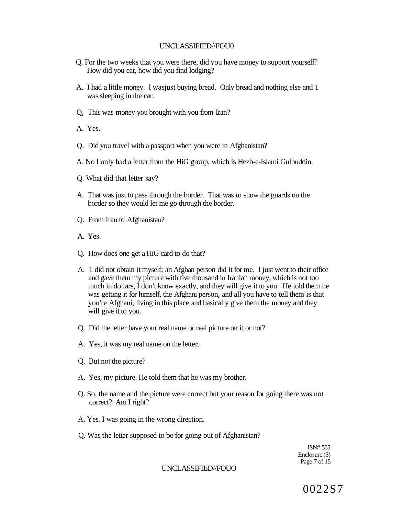- Q. For the two weeks that you were there, did you have money to support yourself? How did you eat, how did you find lodging?
- A. I had a little money. I wasjust buying bread. Only bread and nothing else and 1 was sleeping in the car.
- Q, This was money you brought with you from Iran?
- A. Yes.
- Q. Did you travel with a passport when you were in Afghanistan?
- A. No I only had a letter from the HiG group, which is Hezb-e-Islami Gulbuddin.
- Q. What did that letter say?
- A. That was just to pass through the border. That was to show the guards on the border so they would let me go through the border.
- Q. From Iran to Afghanistan?
- A. Yes.
- Q. How does one get a HiG card to do that?
- A. 1 did not obtain it myself; an Afghan person did it for me. I just went to their office and gave them my picture with five thousand in Iranian money, which is not too much in dollars, I don't know exactly, and they will give it to you. He told them he was getting it for himself, the Afghani person, and all you have to tell them is that you're Afghani, living in this place and basically give them the money and they will give it to you.
- Q. Did the letter have your real name or real picture on it or not?
- A. Yes, it was my real name on the letter.
- Q. But not the picture?
- A. Yes, my picture. He told them that he was my brother.
- Q. So, the name and the picture were correct but your reason for going there was not correct? Am I right?
- A. Yes, I was going in the wrong direction.
- Q. Was the letter supposed to be for going out of Afghanistan?

ISN# 555 Enclosure (3) Page 7 of 15

#### UNCLASSIFIED//FOUO

0022S7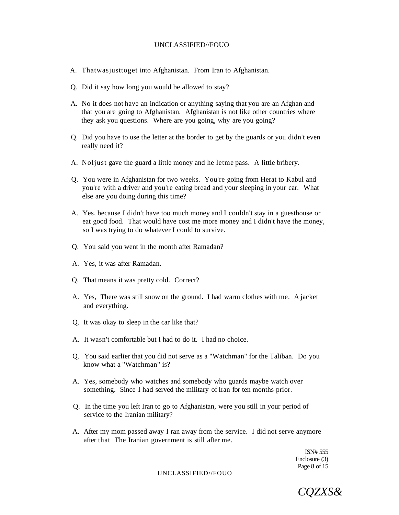- A. Thatwasjusttoget into Afghanistan. From Iran to Afghanistan.
- Q. Did it say how long you would be allowed to stay?
- A. No it does not have an indication or anything saying that you are an Afghan and that you are going to Afghanistan. Afghanistan is not like other countries where they ask you questions. Where are you going, why are you going?
- Q. Did you have to use the letter at the border to get by the guards or you didn't even really need it?
- A. Noljust gave the guard a little money and he letme pass. A little bribery.
- Q. You were in Afghanistan for two weeks. You're going from Herat to Kabul and you're with a driver and you're eating bread and your sleeping in your car. What else are you doing during this time?
- A. Yes, because I didn't have too much money and I couldn't stay in a guesthouse or eat good food. That would have cost me more money and I didn't have the money, so I was trying to do whatever I could to survive.
- Q. You said you went in the month after Ramadan?
- A. Yes, it was after Ramadan.
- Q. That means it was pretty cold. Correct?
- A. Yes, There was still snow on the ground. I had warm clothes with me. A jacket and everything.
- Q. It was okay to sleep in the car like that?
- A. It wasn't comfortable but I had to do it. I had no choice.
- Q. You said earlier that you did not serve as a "Watchman" for the Taliban. Do you know what a "Watchman" is?
- A. Yes, somebody who watches and somebody who guards maybe watch over something. Since I had served the military of Iran for ten months prior.
- Q. In the time you left Iran to go to Afghanistan, were you still in your period of service to the Iranian military?
- A. After my mom passed away I ran away from the service. I did not serve anymore after that The Iranian government is still after me.

ISN# 555 Enclosure (3) Page 8 of 15

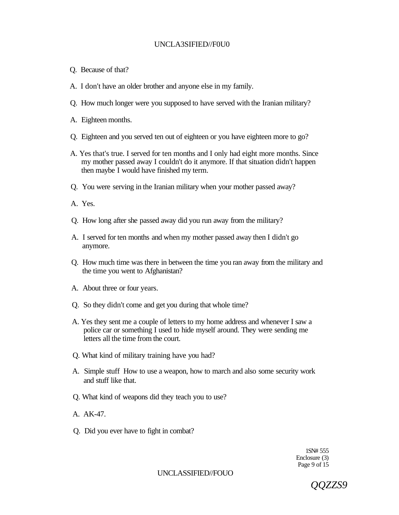# UNCLA3SIFIED//F0U0

- Q. Because of that?
- A. I don't have an older brother and anyone else in my family.
- Q. How much longer were you supposed to have served with the Iranian military?
- A. Eighteen months.
- Q. Eighteen and you served ten out of eighteen or you have eighteen more to go?
- A. Yes that's true. I served for ten months and I only had eight more months. Since my mother passed away I couldn't do it anymore. If that situation didn't happen then maybe I would have finished my term.
- Q. You were serving in the Iranian military when your mother passed away?
- A. Yes.
- Q. How long after she passed away did you run away from the military?
- A. I served for ten months and when my mother passed away then I didn't go anymore.
- Q. How much time was there in between the time you ran away from the military and the time you went to Afghanistan?
- A. About three or four years.
- Q. So they didn't come and get you during that whole time?
- A. Yes they sent me a couple of letters to my home address and whenever I saw a police car or something I used to hide myself around. They were sending me letters all the time from the court.
- Q. What kind of military training have you had?
- A. Simple stuff How to use a weapon, how to march and also some security work and stuff like that.
- Q. What kind of weapons did they teach you to use?
- A. AK-47.
- Q. Did you ever have to fight in combat?

1SN# 555 Enclosure (3) Page 9 of 15

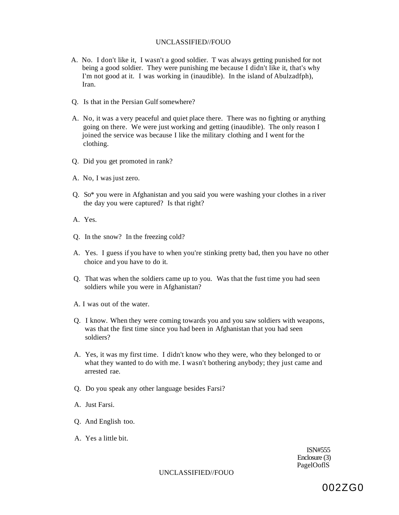- A. No. I don't like it, I wasn't a good soldier. T was always getting punished for not being a good soldier. They were punishing me because I didn't like it, that's why I'm not good at it. I was working in (inaudible). In the island of Abulzadfph), Iran.
- Q. Is that in the Persian Gulf somewhere?
- A. No, it was a very peaceful and quiet place there. There was no fighting or anything going on there. We were just working and getting (inaudible). The only reason I joined the service was because I like the military clothing and I went for the clothing.
- Q. Did you get promoted in rank?
- A. No, I was just zero.
- Q. So\* you were in Afghanistan and you said you were washing your clothes in a river the day you were captured? Is that right?
- A. Yes.
- Q. In the snow? In the freezing cold?
- A. Yes. I guess if you have to when you're stinking pretty bad, then you have no other choice and you have to do it.
- Q. That was when the soldiers came up to you. Was that the fust time you had seen soldiers while you were in Afghanistan?
- A. I was out of the water.
- Q. I know. When they were coming towards you and you saw soldiers with weapons, was that the first time since you had been in Afghanistan that you had seen soldiers?
- A. Yes, it was my first time. I didn't know who they were, who they belonged to or what they wanted to do with me. I wasn't bothering anybody; they just came and arrested rae.
- Q. Do you speak any other language besides Farsi?
- A. Just Farsi.
- Q. And English too.
- A. Yes a little bit.

ISN#555 Enclosure (3) PagelOoflS

UNCLASSIFIED//FOUO

002ZG0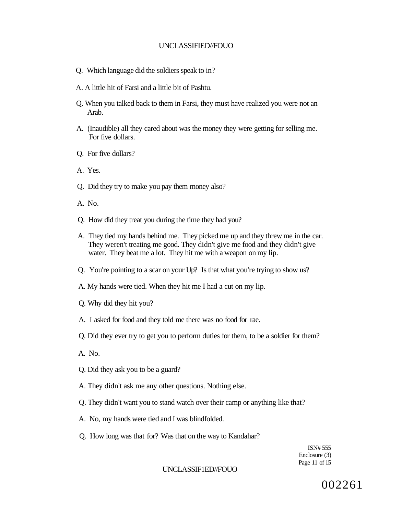- Q. Which language did the soldiers speak to in?
- A. A little hit of Farsi and a little bit of Pashtu.
- Q. When you talked back to them in Farsi, they must have realized you were not an Arab.
- A. (Inaudible) all they cared about was the money they were getting for selling me. For five dollars.
- Q. For five dollars?
- A. Yes.
- Q. Did they try to make you pay them money also?
- A. No.
- Q. How did they treat you during the time they had you?
- A. They tied my hands behind me. They picked me up and they threw me in the car. They weren't treating me good. They didn't give me food and they didn't give water. They beat me a lot. They hit me with a weapon on my lip.
- Q. You're pointing to a scar on your Up? Is that what you're trying to show us?
- A. My hands were tied. When they hit me I had a cut on my lip.
- Q. Why did they hit you?
- A. I asked for food and they told me there was no food for rae.
- Q. Did they ever try to get you to perform duties for them, to be a soldier for them?
- A. No.
- Q. Did they ask you to be a guard?
- A. They didn't ask me any other questions. Nothing else.
- Q. They didn't want you to stand watch over their camp or anything like that?
- A. No, my hands were tied and I was blindfolded.
- Q. How long was that for? Was that on the way to Kandahar?

ISN# 555 Enclosure (3) Page 11 of 15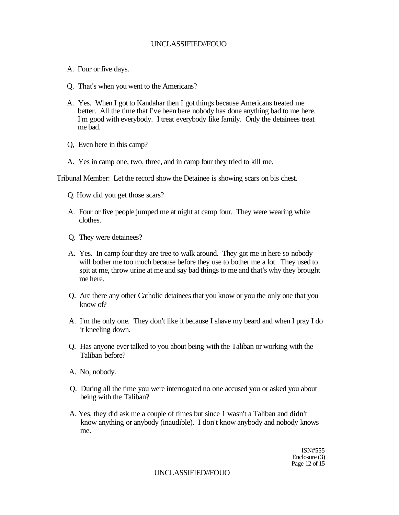- A. Four or five days.
- Q. That's when you went to the Americans?
- A. Yes. When I got to Kandahar then I got things because Americans treated me better. All the time that I've been here nobody has done anything bad to me here. I'm good with everybody. I treat everybody like family. Only the detainees treat me bad.
- Q, Even here in this camp?
- A. Yes in camp one, two, three, and in camp four they tried to kill me.

Tribunal Member: Let the record show the Detainee is showing scars on bis chest.

- Q. How did you get those scars?
- A. Four or five people jumped me at night at camp four. They were wearing white clothes.
- Q. They were detainees?
- A. Yes. In camp four they are tree to walk around. They got me in here so nobody will bother me too much because before they use to bother me a lot. They used to spit at me, throw urine at me and say bad things to me and that's why they brought me here.
- Q. Are there any other Catholic detainees that you know or you the only one that you know of?
- A. I'm the only one. They don't like it because I shave my beard and when I pray I do it kneeling down.
- Q. Has anyone ever talked to you about being with the Taliban or working with the Taliban before?
- A. No, nobody.
- Q. During all the time you were interrogated no one accused you or asked you about being with the Taliban?
- A. Yes, they did ask me a couple of times but since 1 wasn't a Taliban and didn't know anything or anybody (inaudible). I don't know anybody and nobody knows me.

ISN#555 Enclosure (3) Page 12 of 15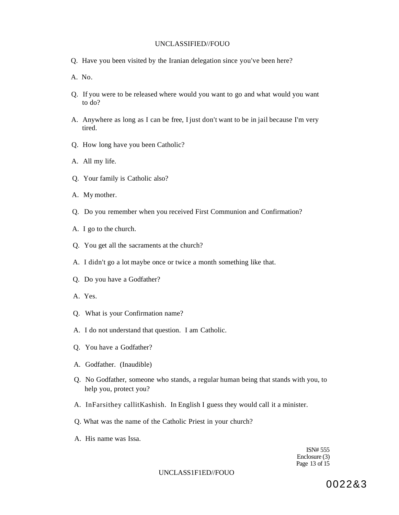- Q. Have you been visited by the Iranian delegation since you've been here?
- A. No.
- Q. If you were to be released where would you want to go and what would you want to do?
- A. Anywhere as long as I can be free, I just don't want to be in jail because I'm very tired.
- Q. How long have you been Catholic?
- A. All my life.
- Q. Your family is Catholic also?
- A. My mother.
- Q. Do you remember when you received First Communion and Confirmation?
- A. I go to the church.
- Q. You get all the sacraments at the church?
- A. I didn't go a lot maybe once or twice a month something like that.
- Q. Do you have a Godfather?
- A. Yes.
- Q. What is your Confirmation name?
- A. I do not understand that question. I am Catholic.
- Q. You have a Godfather?
- A. Godfather. (Inaudible)
- Q. No Godfather, someone who stands, a regular human being that stands with you, to help you, protect you?
- A. InFarsithey callitKashish. In English I guess they would call it a minister.
- Q. What was the name of the Catholic Priest in your church?
- A. His name was Issa.

ISN# 555 Enclosure (3) Page 13 of 15

#### UNCLASS1F1ED//FOUO

0022&3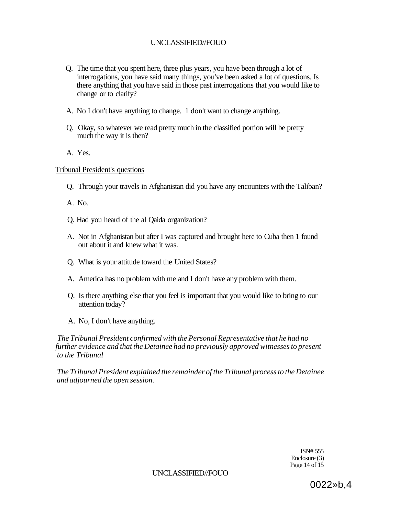- Q. The time that you spent here, three plus years, you have been through a lot of interrogations, you have said many things, you've been asked a lot of questions. Is there anything that you have said in those past interrogations that you would like to change or to clarify?
- A. No I don't have anything to change. 1 don't want to change anything.
- Q. Okay, so whatever we read pretty much in the classified portion will be pretty much the way it is then?
- A. Yes.

# Tribunal President's questions

- Q. Through your travels in Afghanistan did you have any encounters with the Taliban?
- A. No.
- Q. Had you heard of the al Qaida organization?
- A. Not in Afghanistan but after I was captured and brought here to Cuba then 1 found out about it and knew what it was.
- Q. What is your attitude toward the United States?
- A. America has no problem with me and I don't have any problem with them.
- Q. Is there anything else that you feel is important that you would like to bring to our attention today?
- A. No, I don't have anything.

*The Tribunal President confirmed with the Personal Representative that he had no further evidence and that the Detainee had no previously approved witnesses to present to the Tribunal* 

*The Tribunal President explained the remainder of the Tribunal process to the Detainee and adjourned the open session.* 

> ISN# 555 Enclosure (3) Page 14 of 15